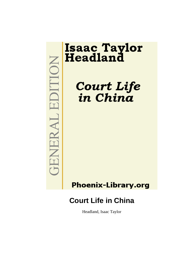EDITION **TENERAL** 

# **Isaac Taylor<br>Headland**

Court Life<br>in China

**Phoenix-Library.org** 

# **Court Life in China**

Headland, Isaac Taylor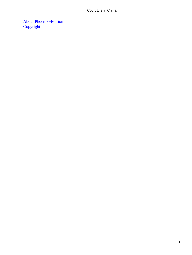[About Phoenix−Edition](#page-144-0) **[Copyright](#page-145-0)**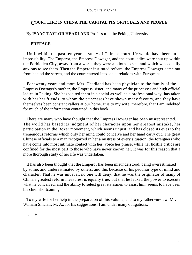# *C*OURT **LIFE IN CHINA THE CAPITAL ITS OFFICIALS AND PEOPLE**

# By **ISAAC TAYLOR HEADLAND** Professor in the Peking University

# **PREFACE**

 Until within the past ten years a study of Chinese court life would have been an impossibility. The Emperor, the Empress Dowager, and the court ladies were shut up within the Forbidden City, away from a world they were anxious to see, and which was equally anxious to see them. Then the Emperor instituted reform, the Empress Dowager came out from behind the screen, and the court entered into social relations with Europeans.

 For twenty years and more Mrs. Headland has been physician to the family of the Empress Dowager's mother, the Empress' sister, and many of the princesses and high official ladies in Peking. She has visited them in a social as well as a professional way, has taken with her her friends, to whom the princesses have shown many favours, and they have themselves been constant callers at our home. It is to my wife, therefore, that I am indebted for much of the information contained in this book.

 There are many who have thought that the Empress Dowager has been misrepresented. The world has based its judgment of her character upon her greatest mistake, her participation in the Boxer movement, which seems unjust, and has closed its eyes to the tremendous reforms which only her mind could conceive and her hand carry out. The great Chinese officials to a man recognized in her a mistress of every situation; the foreigners who have come into most intimate contact with her, voice her praise; while her hostile critics are confined for the most part to those who have never known her. It was for this reason that a more thorough study of her life was undertaken.

 It has also been thought that the Emperor has been misunderstood, being overestimated by some, and underestimated by others, and this because of his peculiar type of mind and character. That he was unusual, no one will deny; that he was the originator of many of China's greatest reform measures, is equally true; but that he lacked the power to execute what he conceived, and the ability to select great statesmen to assist him, seems to have been his chief shortcoming.

 To my wife for her help in the preparation of this volume, and to my father−in−law, Mr. William Sinclair, M. A., for his suggestions, I am under many obligations.

I. T. H.

I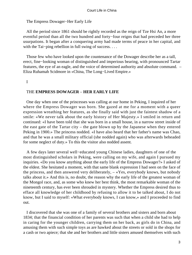# The Empress Dowager−Her Early Life

 All the period since 1861 should be rightly recorded as the reign of Tze Hsi An, a more eventful period than all the two hundred and forty−four reigns that had preceded her three usurpations. It began after a conquering army had made terms of peace in her capital, and with the Tai–ping rebellion in full swing of success. . . .

 Those few who have looked upon the countenance of the Dowager describe her as a tall, erect, fine−looking woman of distinguished and imperious bearing, with pronounced Tartar features, the eye of an eagle, and the voice of determined authority and absolute command. – Eliza Ruhamah Scidmore in «China, The Long−Lived Empire.»

I

# THE **EMPRESS DOWAGER** – **HER EARLY LIFE**

 One day when one of the princesses was calling at our home in Peking, I inquired of her where the Empress Dowager was born. She gazed at me for a moment with a queer expression wreathing her features, as she finally said with just the faintest shadow of a smile: «We never talk about the early history of Her Majesty.» I smiled in return and continued: «I have been told that she was born in a small house, in a narrow street inside of the east gate of the Tartar city – the gate blown up by the Japanese when they entered Peking in 1900.» The princess nodded. «I have also heard that her father's name was Chao, and that he was a small military official (she nodded again) who was afterwards beheaded for some neglect of duty.» To this the visitor also nodded assent.

 A few days later several well−educated young Chinese ladies, daughters of one of the most distinguished scholars in Peking, were calling on my wife, and again I pursued my inquiries. «Do you know anything about the early life of the Empress Dowager?» I asked of the eldest. She hesitated a moment, with that same blank expression I had seen on the face of the princess, and then answered very deliberately, – «Yes, everybody knows, but nobody talks about it.» And this is, no doubt, the reason why the early life of the greatest woman of the Mongol race, and, as some who knew her best think, the most remarkable woman of the nineteenth century, has ever been shrouded in mystery. Whether the Empress desired thus to efface all knowledge of her childhood by refusing to allow it to be talked about, I do not know, but I said to myself: «What everybody knows, I can know,» and I proceeded to find out.

 I discovered that she was one of a family of several brothers and sisters and born about 1834; that the financial condition of her parents was such that when a child she had to help in caring for the younger children, carrying them on her back, as girls do in China, and amusing them with such simple toys as are hawked about the streets or sold in the shops for a cash or two apiece; that she and her brothers and little sisters amused themselves with such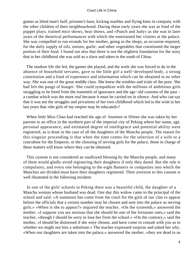games as blind man's buff, prisoner's base, kicking marbles and flying kites in company with the other children of their neighbourhood. During these early years she was as fond of the puppet plays, trained mice shows, bear shows, and «Punch and Judy» as she was in later years of the theatrical performances with which she entertained her visitors at the palace. She was compelled to run errands for her mother, going to the shops, as occasion required, for the daily supply of oils, onions, garlic, and other vegetables that constituted the larger portion of their food. I found out also that there is not the slightest foundation for the story that in her childhood she was sold as a slave and taken to the south of China.

 The outdoor life she led, the games she played, and the work she was forced to do in the absence of household servants, gave to the little girl a well−developed body, a strong constitution and a fund of experience and information which can be obtained in no other way. She was one of the great middle class. She knew the troubles and trials of the poor. She had felt the pangs of hunger. She could sympathize with the millions of ambitious girls struggling to be freed from the trammels of ignorance and the age−old customs of the past – a combat which was the more real because it must be carried on in silence. And who can say that it was not the struggles and privations of her own childhood which led to the wish in her last years that «the girls of my empire may be educated»?

 When little Miss Chao had reached the age of fourteen or fifteen she was taken by her parents to an office in the northern part of the imperial city of Peking where her name, age, personal appearance, and estimated degree of intelligence and potential ability were registered, as is done in the case of all the daughters of the Manchu people. The reason for this singular proceeding is that when the time comes for the selection of a wife or a concubine for the Emperor, or the choosing of serving girls for the palace, those in charge of these matters will know where they can be obtained.

 This custom is not considered an unalloyed blessing by the Manchu people, and many of them would gladly avoid registering their daughters if only they dared. But the rule is compulsory, and every one belonging to the eight Banners or companies into which the Manchus are divided must have their daughters registered. Their aversion to this custom is well illustrated in the following incident:

 In one of the girls' schools in Peking there was a beautiful child, the daughter of a Manchu woman whose husband was dead. One day this widow came to the principal of the school and said: «A summons has come from the court for the girls of our clan to appear before the officials that a certain number may be chosen and sent into the palace as serving girls.» «When is she to appear?» inquired the teacher. «On the sixteenth,» answered the mother. «I suppose you are anxious that she should be one of the fortunate ones,» said the teacher, «though I should be sorry to lose her from the school.» «On the contrary,» said the mother, «I should be distressed if she were chosen, and have come to consult with you as to whether we might not hire a substitute.» The teacher expressed surprise and asked her why. «When our daughters are taken into the palace,» answered the mother, «they are dead to us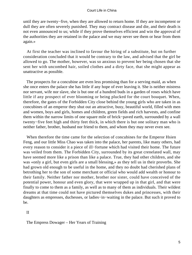until they are twenty−five, when they are allowed to return home. If they are incompetent or dull they are often severely punished. They may contract disease and die, and their death is not even announced to us; while if they prove themselves efficient and win the approval of the authorities they are retained in the palace and we may never see them or hear from them again.»

 At first the teacher was inclined to favour the hiring of a substitute, but on further consideration concluded that it would be contrary to the law, and advised that the girl be allowed to go. The mother, however, was so anxious to prevent her being chosen that she sent her with uncombed hair, soiled clothes and a dirty face, that she might appear as unattractive as possible.

 The prospects for a concubine are even less promising than for a serving maid, as when she once enters the palace she has little if any hope of ever leaving it. She is neither mistress nor servant, wife nor slave, she is but one of a hundred buds in a garden of roses which have little if any prospect of ever blooming or being plucked for the court bouquet. When, therefore, the gates of the Forbidden City close behind the young girls who are taken in as concubines of an emperor they shut out an attractive, busy, beautiful world, filled with men and women, boys and girls, homes and children, green fields and rich harvests, and confine them within the narrow limits of one square mile of brick−paved earth, surrounded by a wall twenty−five feet high and thirty feet thick, in which there is but one solitary man who is neither father, brother, husband nor friend to them, and whom they may never even see.

 When therefore the time came for the selection of concubines for the Emperor Hsien Feng, and our little Miss Chao was taken into the palace, her parents, like many others, had every reason to consider it a piece of ill−fortune which had visited their home. The future was veiled from them. The Forbidden City, surrounded by its great crenelated wall, may have seemed more like a prison than like a palace. True, they had other children, and she was «only a girl, but even girls are a small blessing,» as they tell us in their proverbs. She had grown old enough to be useful in the home, and they no doubt had cherished plans of betrothing her to the son of some merchant or official who would add wealth or honour to their family. Neither father nor mother, brother nor sister, could have conceived of the potential power, honour and even glory, that were wrapped up in that girl, and that were finally to come to them as a family, as well as to many of them as individuals. Their wildest dreams at that time could not have pictured themselves dukes and princesses, with their daughters as empresses, duchesses, or ladies−in−waiting in the palace. But such it proved to be.

II

The Empress Dowager – Her Years of Training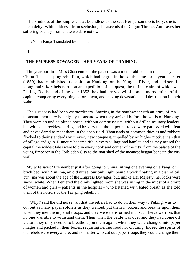The kindness of the Empress is as boundless as the sea. Her person too is holy, she is like a deity. With boldness, from seclusion, she ascends the Dragon Throne, And saves her suffering country from a fate we dare not own.

– «Yuan Fan,» Translated by I. T. C.

II

# THE **EMPRESS DOWAGER** – **HER YEARS OF TRAINING**

 The year our little Miss Chao entered the palace was a memorable one in the history of China. The Tai−ping rebellion, which had begun in the south some three years earlier (1850), had established its capital at Nanking, on the Yangtse River, and had sent its «long−haired» rebels north on an expedition of conquest, the ultimate aim of which was Peking. By the end of the year 1853 they had arrived within one hundred miles of the capital, conquering everything before them, and leaving devastation and destruction in their wake.

 Their success had been extraordinary. Starting in the southwest with an army of ten thousand men they had eighty thousand when they arrived before the walls of Nanking. They were an undisciplined horde, without commissariat, without drilled military leaders, but with such reckless daring and bravery that the imperial troops were paralyzed with fear and never dared to meet them in the open field. Thousands of common thieves and robbers flocked to their standards with every new conquest, impelled by no higher motive than that of pillage and gain. Rumours became rife in every village and hamlet, and as they neared the capital the wildest tales were told in every nook and corner of the city, from the palace of the young Emperor in the Forbidden City to the mat shed of the meanest beggar beneath the city wall.

 My wife says: "I remember just after going to China, sitting one evening on a kang, or brick bed, with Yin−ma, an old nurse, our only light being a wick floating in a dish of oil. Yin−ma was about the age of the Empress Dowager, but, unlike Her Majesty, her locks were snow−white. When I entered the dimly lighted room she was sitting in the midst of a group of women and girls – patients in the hospital – who listened with bated breath as she told them of the horrors of the Tai−ping rebellion.

 " 'Why!' said the old nurse, 'all that the rebels had to do on their way to Peking, was to cut out as many paper soldiers as they wanted, put them in boxes, and breathe upon them when they met the imperial troops, and they were transformed into such fierce warriors that no one was able to withstand them. Then when the battle was over and they had come off victors they only needed to breathe upon them again, when they were changed into paper images and packed in their boxes, requiring neither food nor clothing. Indeed the spirits of the rebels were everywhere, and no matter who cut out paper troops they could change them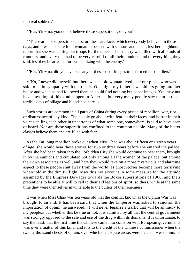into real soldiers.'

" 'But, Yin−ma, you do not believe those superstitions, do you?'

 " 'These are not superstitions, doctor, these are facts, which everybody believed in those days, and it was not safe for a woman to be seen with scissors and paper, lest her neighbours report that she was cutting out troops for the rebels. The country was filled with all kinds of rumours, and every one had to be very careful of all their conduct, and of everything they said, lest they be arrested for sympathizing with the enemy.'

" 'But, Yin−ma, did you ever see any of these paper images transformed into soldiers?'

 « 'No, I never did myself, but there was an old woman lived near our place, who was said to be in sympathy with the rebels. One night my father saw soldiers going into her house and when he had followed them he could find nothing but paper images. You may not have anything of this kind happen in America, but very many people saw them in those terrible days of pillage and bloodshed here.' »

 Such stories are common in all parts of China during every period of rebellion, war, riot or disturbance of any kind. The people go about with fear on their faces, and horror in their voices, telling each other in undertones of what some one, somewhere, is said to have seen or heard. Nor are these superstitions confined to the common people. Many of the better classes believe them and are filled with fear.

 As the Tai−ping rebellion broke out when Miss Chao was about fifteen or sixteen years of age, she would hear these stories for two or three years before she entered the palace. After she had been taken into the Forbidden City she would continue to hear them, brought in by the eunuchs and circulated not only among all the women of the palace, but among their own associates as well, and here they would take on a more mysterious and alarming aspect to these people shut away from the world, as ghost stories become more terrifying when told in the dim twilight. May this not account in some measure for the attitude assumed by the Empress Dowager towards the Boxer superstitions of 1900, and their pretentions to be able at will to call to their aid legions of spirit−soldiers, while at the same time they were themselves invulnerable to the bullets of their enemies?

 It was when Miss Chao was ten years old that the conflict known as the Opium War was brought to an end. It has been said that when the Emperor was asked to sanction the importation of opium, he answered, «I will never legalize a traffic that will be an injury to my people,» but whether this be true or not, it is admitted by all that the central government was strongly opposed to the sale and use of the drug within its domains. It is unfortunate, to say the least, that the first time the Chinese came into collision with European governments was over a matter of this kind, and it is to the credit of the Chinese commissioner when the twenty thousand chests of opium, over which the dispute arose, were handed over to him, he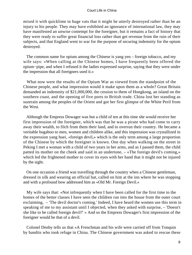mixed it with quicklime in huge vats that it might be utterly destroyed rather than be an injury to his people. They may have exhibited an ignorance of international law, they may have manifested an unwise contempt for the foreigner, but it remains a fact of history that they were ready to suffer great financial loss rather than get revenue from the ruin of their subjects, and that England went to war for the purpose of securing indemnity for the opium destroyed.

 The common name for opium among the Chinese is yang yen – foreign tobacco, and my wife says: «When calling at the Chinese homes, I have frequently been offered the opium−pipe, and when I refused it the ladies expressed surprise, saying that they were under the impression that all foreigners used it.»

 What now were the results of the Opium War as viewed from the standpoint of the Chinese people, and what impression would it make upon them as a whole? Great Britain demanded an indemnity of \$21,000,000, the cession to them of Hongkong, an island on the southern coast, and the opening of five ports to British trade. China lost her standing as suzerain among the peoples of the Orient and got her first glimpse of the White Peril from the West.

 Although the Empress Dowager was but a child of ten at this time she would receive her first impression of the foreigner, which was that he was a pirate who had come to carry away their wealth, to filch from them their land, and to overrun their country. He became a veritable bugaboo to men, women and children alike, and this impression was crystallized in the expression yang huei, «foreign devil,» which is the only term among a large proportion of the Chinese by which the foreigner is known. One day when walking on the street in Peking I met a woman with a child of two years in her arms, and as I passed them, the child patted its mother on the cheek and said in an undertone, – «The foreign devil's coming,» which led the frightened mother to cover its eyes with her hand that it might not be injured by the sight.

 On one occasion a friend was travelling through the country when a Chinese gentleman, dressed in silk and wearing an official hat, called on him at the inn where he was stopping and with a profound bow addressed him as «Old Mr. Foreign Devil.»

 My wife says that: «Not infrequently when I have been called for the first time to the homes of the better classes I have seen the children run into the house from the outer court exclaiming, – 'The devil doctor's coming.' Indeed, I have heard the women use this term in speaking of me to my assistant until I objected, when they asked with surprise, – 'Doesn't she like to be called foreign devil?' » And so the Empress Dowager's first impression of the foreigner would be that of a devil.

 Colonel Denby tells us that «A Frenchman and his wife were carried off from Tonquin by bandits who took refuge in China. The Chinese government was asked to rescue these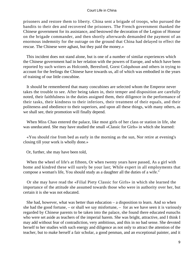prisoners and restore them to liberty. China sent a brigade of troops, who pursued the bandits to their den and recovered the prisoners. The French government thanked the Chinese government for its assistance, and bestowed the decoration of the Legion of Honour on the brigade commander, and then shortly afterwards demanded the payment of an enormous indemnity for the outrage on the ground that China had delayed to effect the rescue. The Chinese were aghast, but they paid the money.»

 This incident does not stand alone, but is one of a number of similar experiences which the Chinese government had in her relation with the powers of Europe, and which have been reported by such writers as Holcomb, Beresford, Gorst Colquhoun and others in trying to account for the feelings the Chinese have towards us, all of which was embodied in the years of training of our little concubine.

 It should be remembered that many concubines are selected whom the Emperor never takes the trouble to see. After being taken in, their temper and disposition are carefully noted, their faithfulness in the duties assigned them, their diligence in the performance of their tasks, their kindness to their inferiors, their treatment of their equals, and their politeness and obedience to their superiors, and upon all these things, with many others, as we shall see, their promotion will finally depend.

 When Miss Chao entered the palace, like most girls of her class or station in life, she was uneducated. She may have studied the small «Classic for Girls» in which she learned:

 «You should rise from bed as early in the morning as the sun, Nor retire at evening's closing till your work is wholly done.»

Or, further, she may have been told,

 When the wheel of life's at fifteen, Or when twenty years have passed, As a girl with home and kindred these will surely be your last; While expert in all employments that compose a woman's life, You should study as a daughter all the duties of a wife."

 Or she may have read the «Filial Piety Classic for Girls» in which she learned the importance of the attitude she assumed towards those who were in authority over her, but certain it is she was not educated.

 She had, however, what was better than education – a disposition to learn. And so when she had the good fortune, – or shall we say misfortune, – for as we have seen it is variously regarded by Chinese parents to be taken into the palace, she found there educated eunuchs who were set aside as teachers of the imperial harem. She was bright, attractive, and I think I may add without fear of contradiction, very ambitious, and this in no bad sense. She devoted herself to her studies with such energy and diligence as not only to attract the attention of the teacher, but to make herself a fair scholar, a good penman, and an exceptional painter, and it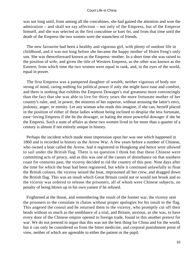was not long until, from among all the concubines, she had gained the attention and won the admiration – and shall we say affection – not only of the Empress, but of the Emperor himself, and she was selected as the first concubine or kuei fei, and from that time until the death of the Empress the two women were the staunchest of friends.

 The new favourite had been a healthy and vigorous girl, with plenty of outdoor life in childhood, and it was not long before she became the happy mother of Hsien Feng's only son. She was thenceforward known as the Empress−mother. In a short time she was raised to the position of wife, and given the title of Western Empress, as the other was known as the Eastern, from which time the two women were equal in rank, and, in the eyes of the world, equal in power.

 The first Empress was a pampered daughter of wealth, neither vigorous of body nor strong of mind, caring nothing for political power if only she might have ease and comfort, and there is nothing that exhibits the Empress Dowager's real greatness more convincingly than the fact that she was able to live for thirty years the more fortunate mother of her country's ruler, and, in power, the mistress of her superior, without arousing the latter's envy, jealousy, anger, or enmity. Let any woman who reads this imagine, if she can, herself placed in the position of either of these ladies without being inclined to despise the less fortunate, ease−loving Empress if she be the dowager, or hating the more powerful dowager if she be the Empress. Such a state of affairs as these two women lived in for more than a quarter of a century is almost if not entirely unique in history.

 Perhaps the incident which made most impression upon her was one which happened in 1860 and is recorded in history as the Arrow War. A few years before a number of Chinese, who owned a boat called the Arrow, had it registered in Hongkong and hence were allowed to sail under the British flag. There is no question I think but that these Chinese were committing acts of piracy, and as this was one of the causes of disturbance on that southern coast for centuries past, the viceroy decided to rid the country of this pest. Nine days after the time for which the boat had been registered, but while it continued unlawfully to float the British colours, the viceroy seized the boat, imprisoned all her crew, and dragged down the British flag. This was an insult which Great Britain could not or would not brook and so the viceroy was ordered to release the prisoners, all of whom were Chinese subjects, on penalty of being blown up in his own yamen if he refused.

 Frightened at the threat, and remembering the result of the former war, the viceroy sent the prisoners to the consulate in chains without proper apologies for his insult to the flag. This angered the consul and he returned them to the viceroy, who promptly cut off their heads without so much as the semblance of a trial, and Britain, anxious, as she was, to have every door of the Chinese empire opened to foreign trade, found in this another pretext for war. We do not pretend to argue that this was not the best thing for China and for the world, but it can only be considered so from the bitter medicine, and corporal punishment point of view, neither of which are agreeable to either the patient or the pupil.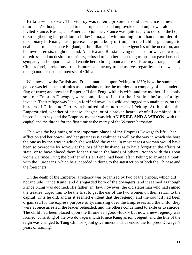Britain went to war. The viceroy was taken a prisoner to India, whence he never returned. As though ashamed to enter upon a second unprovoked and unjust war alone, she invited France, Russia, and America to join her. France was quite ready to do so in the hope of strengthening her position in Indo−China, and with nothing more than the murder of a missionary in Kuangsi as a pretext she put a body of troops in the field large enough to enable her to checkmate England, or humiliate China as the exigencies of the occasion, and her own interests, might demand. America and Russia having no cause for war, no wrongs to redress, and no desire for territory, refused to join her in sending troops, but gave her such sympathy and support as would enable her to bring about a more satisfactory arrangement of China's foreign relations – that is more satisfactory to themselves regardless of the wishes, though not perhaps the interests, of China.

 We know how the British and French marched upon Peking in 1860; how the summer palace was left a heap of ruins as a punishment for the murder of a company of men under a flag of truce; and how the Emperor Hsien Feng, with his wife, and the mother of his only son, our Empress Dowager, were compelled to flee for the first time before a foreign invader. Their refuge was Jehol, a fortified town, in a wild and rugged mountain pass, on the borders of China and Tartary, a hundred miles northeast of Peking. At this place the Emperor died, whether of disease, chagrin, or of a broken heart – or of all combined, it is impossible to say, and the Empress−mother was left **AN EXILE AND A WIDOW,** with the capital and the throne for the first time at the mercy of the Western barbarian.

 This was the beginning of two important phases of the Empress Dowager's life – her affliction and her power, and her greatness is exhibited as well by the way in which she bore the one as by the way in which she wielded the other. In most cases a woman would have been so overcome by sorrow at the loss of her husband, as to have forgotten the affairs of state, or to have placed them for the time in the hands of others. Not so with this great woman. Prince Kung the brother of Hsien Feng, had been left in Peking to arrange a treaty with the Europeans, which he succeeded in doing to the satisfaction of both the Chinese and the foreigners.

 On the death of the Emperor, a regency was organized by two of the princes, which did not include Prince Kung, and disregarded both of the dowagers, and it seemed as though Prince Kung was doomed. His father−in−law, however, the old statesman who had signed the treaties, urged him to be the first to get the ear of the two women on their return to the capital. This he did, and as it seemed evident that the regency and the council had been organized for the express purpose of tyrannizing over the Empresses and the child, they were at once arrested, the leader beheaded, and the others condemned to exile or to suicide. The child had been placed upon the throne as «good−luck,» but now a new regency was formed, consisting of the two dowagers, with Prince Kung as joint regent, and the title of the reign was changed to Tung Chih or «joint government.» Thus ended the Empress Dowager's years of training.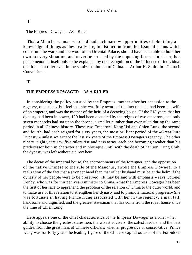# III

# The Empress Dowager – As a Ruler

 That a Manchu woman who had had such narrow opportunities of obtaining a knowledge of things as they really are, in distinction from the tissue of shams which constitute the warp and the woof of an Oriental Palace, should have been able to hold her own in every situation, and never be crushed by the opposing forces about her, is a phenomenon in itself only to be explained by due recognition of the influence of individual qualities in a ruler even in the semi−absolutism of China. – Arthur H. Smith in «China in Convulsion.»

# III

# THE **EMPRESS DOWAGER** – **AS A RULER**

 In considering the policy pursued by the Empress−mother after her accession to the regency, one cannot but feel that she was fully aware of the fact that she had been the wife of an emperor, and was the mother of the heir, of a decaying house. Of the 218 years that her dynasty had been in power, 120 had been occupied by the reigns of two emperors, and only seven monarchs had sat upon the throne, a smaller number than ever ruled during the same period in all Chinese history. These two Emperors, Kang Hsi and Chien Lung, the second and fourth, had each reigned for sixty years, the most brilliant period of the «Great Pure Dynasty,» unless we except the last six years of the Empress Dowager's regency. The other ninety−eight years saw five rulers rise and pass away, each one becoming weaker than his predecessor both in character and in physique, until with the death of her son, Tung Chih, the dynasty was left without a direct heir.

 The decay of the imperial house, the encroachments of the foreigner, and the opposition of the native Chinese to the rule of the Manchus, awoke the Empress Dowager to a realization of the fact that a stronger hand than that of her husband must be at the helm if the dynasty of her people were to be preserved. «It may be said with emphasis,» says Colonel Denby, who was for thirteen years minister to China, «that the Empress Dowager has been the first of her race to apprehend the problem of the relation of China to the outer world, and to make use of this relation to strengthen her dynasty and to promote material progress.» She was fortunate in having Prince Kung associated with her in the regency, a man tall, handsome and dignified, and the greatest statesman that has come from the royal house since the time of Chien Lung.

 Here appears one of the chief characteristics of the Empress Dowager as a ruler – her ability to choose the greatest statesmen, the wisest advisers, the safest leaders, and the best guides, from the great mass of Chinese officials, whether progressive or conservative. Prince Kung was for forty years the leading figure of the Chinese capital outside of the Forbidden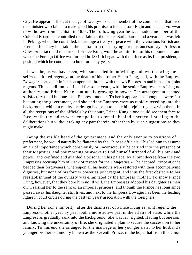City. He appeared first, at the age of twenty−six, as a member of the commission that tried the minister who failed to make good his promise to induce Lord Elgin and his men−of−war to withdraw from Tientsin in 1858. The following year he was made a member of the Colonial Board that controlled the affairs of the «outer Barbarians,» and a year later was left in Peking, when the court fled, to arrange a treaty of peace with the victorious British and French after they had taken the capital. «In these trying circumstances,» says Professor Giles, «the tact and resource of Prince Kung won the admiration of his opponents,» and when the Foreign Office was formed in 1861, it began with the Prince as its first president, a position which he continued to hold for many years.

 It was he, as we have seen, who succeeded in outwitting and overthrowing the self−constituted regency on the death of his brother Hsien Feng, and, with the Empress Dowager, seated her infant son upon the throne, with the two Empresses and himself as joint regents. This condition continued for some years, with the senior Empress exercising no authority, and Prince Kung continually growing in power. The arrangement seemed satisfactory to all but one – the Empress−mother. To her it appeared as though he were fast becoming the government, and she and the Empress were as rapidly receding into the background, while in reality the design had been to make him «joint regent» with them. In all the receptions of the officials by the court, Prince Kung alone could see them face to face, while the ladies were compelled to remain behind a screen, listening to the deliberations but without taking any part therein, other than by such suggestions as they might make.

 Being the visible head of the government, and the only avenue to positions of preferment, he would naturally be flattered by the Chinese officials. This led him to assume an air of importance which consciously or unconsciously he carried into the presence of their Majesties, and one morning he awoke to find himself stripped of all his rank and power, and confined and guarded a prisoner in his palace, by a joint decree from the two Empresses accusing him of «lack of respect for their Majesties.» The deposed Prince at once begged their forgiveness, whereupon all his honours were restored with their accompanying dignities, but none of his former power as joint regent, and thus the first obstacle to her reestablishment of the dynasty was eliminated by the Empress−mother. To show Prince Kung, however, that they bore him no ill will, the Empresses adopted his daughter as their own, raising her to the rank of an imperial princess, and though the Prince has long since passed away his daughter still lives, and next to the Empress Dowager has been the leading figure in court circles during the past ten years' association with the foreigners.

 During her son's minority, after the dismissal of Prince Kung as joint regent, the Empress−mother year by year took a more active part in the affairs of state, while the Empress as gradually sank into the background. She was far−sighted. Having but one son, and knowing the uncertainty of life, she originated a plan to secure the succession to her family. To this end she arranged for the marriage of her younger sister to her husband's younger brother commonly known as the Seventh Prince, in the hope that from this union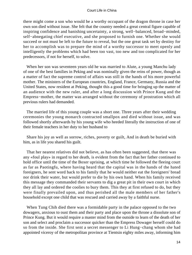there might come a son who would be a worthy occupant of the dragon throne in case her own son died without issue. She felt that the country needed a great central figure capable of inspiring confidence and banishing uncertainty, a strong, well−balanced, broad−minded, self−abnegating chief executive, and she proposed to furnish one. Whether she would succeed or not must be left to the future to reveal, but the one great task set by destiny for her to accomplish was to prepare the mind of a worthy successor to meet openly and intelligently the problems which had been too vast, too new and too complicated for her predecessors, if not for herself, to solve.

 When her son was seventeen years old he was married to Alute, a young Manchu lady of one of the best families in Peking and was nominally given the reins of power, though as a matter of fact the supreme control of affairs was still in the hands of his more powerful mother. The ministers of the European countries, England, France, Germany, Russia and the United States, now resident at Peking, thought this a good time for bringing up the matter of an audience with the new ruler, and after a long discussion with Prince Kung and the Empress−mother, the matter was arranged without the ceremony of prostration which all previous rulers had demanded.

 The married life of this young couple was a short one. Three years after their wedding ceremonies the young monarch contracted smallpox and died without issue, and was followed shortly afterwards by his young wife who heeded literally the instruction of one of their female teachers in her duty to her husband to

 Share his joy as well as sorrow, riches, poverty or guilt, And in death be buried with him, as in life you shared his guilt.

 That her nearest relatives did not believe, as has often been suggested, that there was any «foul play» in regard to her death, is evident from the fact that her father continued to hold office until the time of the Boxer uprising, at which time he followed the fleeing court as far as Paotingfu, where having heard that the capital was in the hands of the hated foreigners, he sent word back to his family that he would neither eat the foreigners' bread nor drink their water, but would prefer to die by his own hand. When his family received this message they commanded their servants to dig a great pit in their own court in which they all lay and ordered the coolies to bury them. This they at first refused to do, but they were finally prevailed upon, and thus perished all the male members of her father's household except one child that was rescued and carried away by a faithful nurse.

 When Tung Chih died there was a formidable party in the palace opposed to the two dowagers, anxious to oust them and their party and place upon the throne a dissolute son of Prince Kung. But it would require a master mind from the outside to learn of the death of her son and select and proclaim a successor quicker than the Empress Dowager herself could do so from the inside. She first sent a secret messenger to Li Hung−chang whom she had appointed viceroy of the metropolitan province at Tientsin eighty miles away, informing him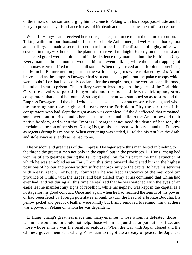of the illness of her son and urging him to come to Peking with his troops post−haste and be ready to prevent any disturbance in case of his death and the announcement of a successor.

 When Li Hung−chang received her orders, he began at once to put them into execution. Taking with him four thousand of his most reliable Anhui men, all well−armed horse, foot and artillery, he made a secret forced march to Peking. The distance of eighty miles was covered in thirty−six hours and he planned to arrive at midnight. Exactly on the hour Li and his picked guard were admitted, and in dead silence they marched into the Forbidden City. Every man had in his mouth a wooden bit to prevent talking, while the metal trappings of the horses were muffled to deaden all sound. When they arrived at the forbidden precincts, the Manchu Bannermen on guard at the various city gates were replaced by Li's Anhui braves, and as the Empress Dowager had sent eunuchs to point out the palace troops which were doubtful or that had openly declared for the conspirators, these were at once disarmed, bound and sent to prison. The artillery were ordered to guard the gates of the Forbidden City, the cavalry to patrol the grounds, and the foot−soldiers to pick up any stray conspirators that could be found. A strong detachment was stationed so as to surround the Empress Dowager and the child whom she had selected as a successor to her son, and when the morning sun rose bright and clear over the Forbidden City the surprise of the conspirators who had slept the night away was complete. Of the disaffected that remained, some were put in prison and others sent into perpetual exile to the Amoor beyond their native borders, and when the Empress Dowager announced the death of her son, she proclaimed the son of her sister, Kuang Hsu, as his successor, with herself and the Empress as regents during his minority. When everything was settled, Li folded his tent like the Arab, and stole away as silently as he had come.

 The wisdom and greatness of the Empress Dowager were thus manifested in binding to the throne the greatest men not only in the capital but in the provinces. Li Hung−chang had won his title to greatness during the Tai−ping rebellion, for his part in the final extinction of which he was ennobled as an Earl. From this time onward she placed him in the highest positions of honour and power within sufficient proximity to the capital to have his services within easy reach. For twenty−four years he was kept as viceroy of the metropolitan province of Chihli, with the largest and best drilled army at his command that China had ever had, and yet during all this time he realized that he was watched with the eyes of an eagle lest he manifest any signs of rebellion, while his nephew was kept in the capital as a hostage for his good conduct. Once and again when he had reached the zenith of his power, or had been feted by foreign potentates enough to turn the head of a bronze Buddha, his yellow jacket and peacock feather were kindly but firmly removed to remind him that there was a power in Peking on whom he was dependent.

 Li Hung−chang's greatness made him many enemies. Those whom he defeated, those whom he would not or could not help, those whom he punished or put out of office, and those whose enmity was the result of jealousy. When the war with Japan closed and the Chinese government sent Chang Yin−huan to negotiate a treaty of peace, the Japanese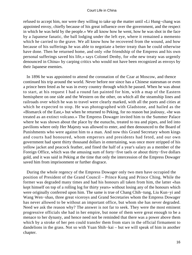refused to accept him, nor were they willing to take up the matter until «Li Hung−chang was appointed envoy, chiefly because of his great influence over the government, and the respect in which he was held by the people.» We all know how he went, how he was shot in the face by a Japanese fanatic, the ball lodging under the left eye, where it remained a memento which he carried to the grave. We all know how he recovered from the wound, and how because of his sufferings he was able to negotiate a better treaty than he could otherwise have done. Then he returned home, and only «the friendship of the Empress and his own personal sufferings saved his life,» says Colonel Denby, for «the new treaty was urgently denounced in China» by carping critics who would not have been recognized as envoys by their Japanese enemies.

 In 1896 he was appointed to attend the coronation of the Czar at Moscow, and thence continued his trip around the world. Never before nor since has a Chinese statesman or even a prince been feted as he was in every country through which he passed. When he was about to start, at his request I had a round fan painted for him, with a map of the Eastern hemisphere on one side and the Western on the other, on which all the steamship lines and railroads over which he was to travel were clearly marked, with all the ports and cities at which he expected to stop. He was photographed with Gladstone, and hailed as the «Bismarck of the East,» but when he returned to Peking, for no reason but jealousy, «he was treated as an extinct volcano.» The Empress Dowager invited him to the Summer Palace where he was shown about the place by the eunuchs, treated to tea and pipes, and led into pavilions where only Her Majesty was allowed to enter, and then denounced to the Board of Punishments who were against him to a man. And now this Grand Secretary whom kings and courts had honoured, whom emperors and presidents had feted, and our own government had spent thirty thousand dollars in entertaining, was once more stripped of his yellow jacket and peacock feather, and fined the half of a year's salary as a member of the Foreign Office, which was the amusing sum of forty−five taels or about thirty−five dollars gold, and it was said in Peking at the time that only the intercession of the Empress Dowager saved him from imprisonment or further disgrace.

 During the whole regency of the Empress Dowager only two men have occupied the position of President of the Grand Council – Prince Kung and Prince Ching. While the former was degraded many times and had his honours all taken from him, the latter «has kept himself on top of a rolling log for thirty years» without losing any of the honours which were originally conferred upon him. The same is true of Chang Chih−tung, Liu Kun−yi and Wang Wen−shao, three great viceroys and Grand Secretaries whom the Empress Dowager has never allowed to be without an important office, but whom she has never degraded. Need we ask the reason why? The answer is not far to seek. They were the most eminent progressive officials she had in her empire, but none of them were great enough to be a menace to her dynasty, and hence need not be reminded that there was a power above them which by a stroke of her pen could transfer them from stars in the official firmament to dandelions in the grass. Not so with Yuan Shih−kai – but we will speak of him in another chapter.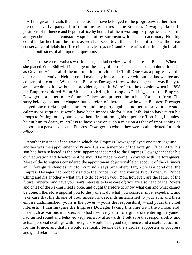All the great officials thus far mentioned have belonged to the progressive rather than the conservative party, all of them the favourites of the Empress Dowager, placed in positions of influence and kept in office by her, all of them working for progress and reform, and yet she has been constantly spoken of by European writers as a reactionary. Nothing could be farther from the truth, as we shall see. Nevertheless she kept some of the great conservative officials in office either as viceroys or Grand Secretaries that she might be able to hear both sides of all important questions.

 One of these conservatives was Jung Lu, the father−in−law of the present Regent. When she placed Yuan Shih−kai in charge of the army of north China, she also appointed Jung Lu as Governor−General of the metropolitan province of Chihli. One was a progressive, the other a conservative. Neither could make any important move without the knowledge and consent of the other. Whether the Empress Dowager foresaw the danger that was likely to arise, we do not know, but she provided against it. We refer to the occasion when in 1898 the Emperor ordered Yuan Shih−kai to bring his troops to Peking, guard the Empress Dowager a prisoner in the Summer Palace, and protect him in his efforts at reform. The story belongs in another chapter, but we refer to it here to show how the Empress Dowager played one official against another, and one party against another, to prevent any such calamity or surprise. It would have been impossible for Yuan Shih−kai to have taken his troops to Peking for any purpose without first informing his superior officer Jung Lu unless he put him to death, much less to have gone on such a mission as that of imprisoning as important a personage as the Empress Dowager, to whom they were both indebted for their office.

 Another instance of the way in which the Empress Dowager played one party against another was the appointment of Prince Tuan as a member of the Foreign Office. After his son had been selected as the heir−apparent it seemed to the Empress Dowager that for his own education and development he should be made to come in contact with the foreigners. Most of the foreigners considered the appointment objectionable on account of the «Prince's anti− foreign tendencies. But to my mind,» says Sir Robert Hart, «it was a good one; the Empress Dowager had probably said to the Prince, 'You and your party pull one way, Prince Ching and his another – what am I to do between you? You, however, are the father of the future Emperor, and have your son's interests to take care of; you are also head of the Boxers and chief of the Peking Field Force, and ought therefore to know what can and what cannot be done. I therefore appoint you to the yamen; do what you consider most expedient, and take care that the throne of your ancestors descends untarnished to your son, and their empire undiminished! yours is the power,  $-\nu$  yours the responsibility  $-\nu$  and yours the chief interests!' I can imagine the Empress Dowager taking this line with the Prince, and, inasmuch as various ministers who had been very anti−foreign before entering the yamen had turned round and behaved very sensibly afterwards, I felt sure that responsibility and actual personal dealings with foreigners would be a good experience and a useful education for this Prince, and that he would eventually be one of the sturdiest supporters of progress and good relations.»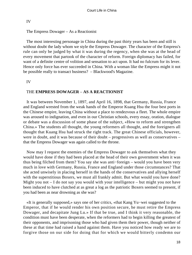# IV

# The Empress Dowager – As a Reactionist

 The most interesting personage in China during the past thirty years has been and still is without doubt the lady whom we style the Empress Dowager. The character of the Empress's rule can only be judged by what it was during the regency, when she was at the head of every movement that partook of the character of reform. Foreign diplomacy has failed, for want of a definite centre of volition and sensation to act upon. It had no fulcrum for its lever. Hence only force has ever succeeded in China. With a woman like the Empress might it not be possible really to transact business? – Blackwood's Magazine.

IV

# THE **EMPRESS DOWAGER** – **AS A REACTIONIST**

 It was between November 1, 1897, and April 16, 1898, that Germany, Russia, France and England wrested from the weak hands of the Emperor Kuang Hsu the four best ports in the Chinese empire, leaving China without a place to rendezvous a fleet. The whole empire was aroused to indignation, and even in our Christian schools, every essay, oration, dialogue or debate was a discussion of some phase of the subject, «How to reform and strengthen China.» The students all thought, the young reformers all thought, and the foreigners all thought that Kuang Hsu had struck the right track. The great Chinese officials, however, were in doubt, and it was because of their doubt – progressives as well as conservatives – that the Empress Dowager was again called to the throne.

 Now may I request the enemies of the Empress Dowager to ask themselves what they would have done if they had been placed at the head of their own government when it was thus being filched from them? You say she was anti−foreign – would you have been very much in love with Germany, Russia, France and England under those circumstances? That she acted unwisely in placing herself in the hands of the conservatives and allying herself with the superstitious Boxers, we must all frankly admit. But what would you have done? Might you not  $-1$  do not say you would with your intelligence  $-$  but might you not have been induced to have clutched at as great a log as the patriotic Boxers seemed to present, if you had been as near drowning as she was?

 «It is generally supposed,» says one of her critics, «that Kang Yu−wei suggested to the Emperor, that if he would render his own position secure, he must retire the Empress Dowager, and decapitate Jung Lu.» If that be true, and I think it very reasonable, the condition must have been desperate, when the reformers had to begin killing the greatest of their opponents, and imprisoning those who had given them their power, though neither of these at that time had raised a hand against them. Have you noticed how ready we are to forgive those on our side for doing that for which we would bitterly condemn our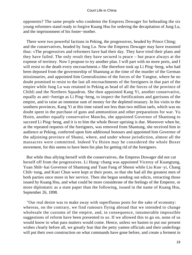opponents? The same people who condemn the Empress Dowager for beheading the six young reformers stand ready to forgive Kuang Hsu for ordering the decapitation of Jung Lu, and the imprisonment of his foster−mother.

 There were two powerful factions in Peking, the progressives, headed by Prince Ching; and the conservatives, headed by Jung Lu. Now the Empress Dowager may have reasoned thus: «The progressives and reformers have had their day. They have tried their plans and they have failed. The only result they have secured is peace – but peace always at the expense of territory. Now I propose to try another plan. I will part with no more ports, and I will resist to the death every encroachment.» She therefore took up Li Ping−heng, who had been deposed from the governorship of Shantung at the time of the murder of the German missionaries, and appointed him Generalissimo of the forces of the Yangtse, where he no doubt promised to resist to the last all encroachments of the foreigners in that part of the empire while Jung Lu was retained in Peking as head of all the forces of the province of Chihli and the Northern Squadron. She then appointed Kang Yi, another conservative, equally as anti−foreign as Li Ping−heng, to inspect the fortifications and garrisons of the empire, and to raise an immense sum of money for the depleted treasury. In his visits to the southern provinces, Kang Yi at this time raised not less than two million taels, which was no doubt spent in the purchase of guns and ammunition and other preparations for war. Yu Hsien, another equally conservative Manchu, she appointed Governor of Shantung to succeed Li Ping−heng, and it is to him the whole Boxer uprising is due. Moreover when he, at the repeated requests of the foreigners, was removed from Shantung, she received him in audience at Peking, conferred upon him additional honours and appointed him Governor of the adjoining province of Shansi, where, and under whose jurisdiction, almost all the massacres were committed. Indeed Yu Hsien may be considered the whole Boxer movement, for this seems to have been his plan for getting rid of the foreigners.

 But while thus allying herself with the conservatives, the Empress Dowager did not cut herself off from the progressives. Li Hung−chang was appointed Viceroy of Kuangtung, Yuan Shih−kai Governor of Shantung and Tuan Fang of Shensi while Liu Kun−yi, Chang Chih−tung, and Kuei Chun were kept at their posts, so that she had all the greatest men of both parties once more in her service. Then she began sending out edicts, retracting those issued by Kuang Hsu, and what could be more considerate of the feelings of the Emperor, or more diplomatic as a state paper than the following, issued in the name of Kuang Hsu, September 26, 1898.

 "Our real desire was to make away with superfluous posts for the sake of economy: whereas, on the contrary, we find rumours flying abroad that we intended to change wholesale the customs of the empire, and, in consequence, innumerable impossible suggestions of reform have been presented to us. If we allowed this to go on, none of us would know to what pass matters would come. Hence, unless we hasten to put our present wishes clearly before all, we greatly fear that the petty yamen officials and their underlings will put their own construction on what commands have gone before, and create a ferment in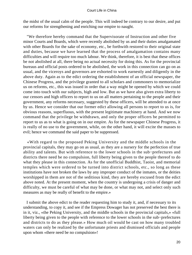the midst of the usual calm of the people. This will indeed be contrary to our desire, and put our reforms for strengthening and enriching our empire to naught.

 "We therefore hereby command that the Supervisorate of Instruction and other five minor Courts and Boards, which were recently abolished by us and their duties amalgamated with other Boards for the sake of economy, etc., be forthwith restored to their original state and duties, because we have learned that the process of amalgamation contains many difficulties and will require too much labour. We think, therefore, it is best that these offices be not abolished at all, there being no actual necessity for doing this. As for the provincial bureaus and official posts ordered to be abolished, the work in this connection can go on as usual, and the viceroys and governors are exhorted to work earnestly and diligently in the above duty. Again as to the edict ordering the establishment of an official newspaper, the Chinese Progress, and the privilege granted to all scholars and commoners to memorialize us on reforms, etc., this was issued in order that a way might be opened by which we could come into touch with our subjects, high and low. But as we have also given extra liberty to our censors and high officers to report to us on all matters pertaining to the people and their government, any reforms necessary, suggested by these officers, will be attended to at once by us. Hence we consider that our former edict allowing all persons to report to us is, for obvious reasons, superfluous, with the present legitimate machinery at hand. And we now command that the privilege be withdrawn, and only the proper officers be permitted to report to us as to what is going on in our empire. As for the newspaper Chinese Progress, it is really of no use to the government, while, on the other hand, it will excite the masses to evil; hence we command the said paper to be suppressed.

 «With regard to the proposed Peking University and the middle schools in the provincial capitals, they may go on as usual, as they are a nursery for the perfection of true ability and talents. But with reference to the lower schools in the sub−prefectures and districts there need be no compulsion, full liberty being given to the people thereof to do what they please in this connection. As for the unofficial Buddhist, Taoist, and memorial temples which were ordered to be turned into district schools, etc., so long as these institutions have not broken the laws by any improper conduct of the inmates, or the deities worshipped in them are not of the seditious kind, they are hereby excused from the edict above noted. At the present moment, when the country is undergoing a crisis of danger and difficulty, we must be careful of what may be done, or what may not, and select only such measures as may be really of benefit to the empire.»

 I submit the above edict to the reader requesting him to study it, and, if necessary to its understanding, to copy it, and see if the Empress Dowager has not preserved the best there is in it, viz., «the Peking University, and the middle schools in the provincial capitals,» «full liberty being given to the people with reference to the lower schools in the sub−prefectures and districts to do as they please.» How much oil would be cast on how many troubled waters can only be realized by the unfortunate priests and dismissed officials and people upon whom «there need be no compulsion»!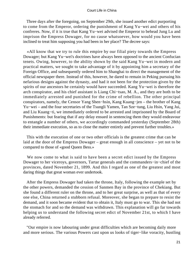Three days after the foregoing, on September 29th, she issued another edict purporting to come from the Emperor, ordering the punishment of Kang Yu−wei and others of his confreres. Now, if it is true that Kang Yu−wei advised the Emperor to behead Jung Lu and imprison the Empress Dowager, for no cause whatsoever, how would you have been inclined to treat him supposing you had been in her place? The decree says:

 «All know that we try to rule this empire by our filial piety towards the Empress Dowager; but Kang Yu−wei's doctrines have always been opposed to the ancient Confucian tenets. Owing, however, to the ability shown by the said Kang Yu−wei in modern and practical matters, we sought to take advantage of it by appointing him a secretary of the Foreign Office, and subsequently ordered him to Shanghai to direct the management of the official newspaper there. Instead of this, however, he dared to remain in Peking pursuing his nefarious designs against the dynasty, and had it not been for the protection given by the spirits of our ancestors he certainly would have succeeded. Kang Yu−wei is therefore the arch conspirator, and his chief assistant is Liang Chi−tsao, M. A., and they are both to be immediately arrested and punished for the crime of rebellion. The other principal conspirators, namely, the Censor Yang Shen−hsin, Kang Kuang−jen – the brother of Kang Yu−wei – and the four secretaries of the Tsungli Yamen, Tan Sze−tung, Liu Hsin, Yang Jui, and Liu Kuang−ti, we immediately ordered to be arrested and imprisoned by the Board of Punishments: but fearing that if any delay ensued in sentencing them they would endeavour to entangle a number of others, we accordingly commanded yesterday (September 28th) their immediate execution, so as to close the matter entirely and prevent further troubles.»

 This with the execution of one or two other officials is the greatest crime that can be laid at the door of the Empress Dowager – great enough in all conscience – yet not to be compared to those of «good Queen Bess.»

 We now come to what is said to have been a secret edict issued by the Empress Dowager to her viceroys, governors, Tartar generals and the commanders−in−chief of the provinces, dated November 21, 1899. And this I regard as one of the greatest and most daring things that great woman ever undertook.

 After the Empress Dowager had taken the throne, Italy, following the example set by the other powers, demanded the cession of Sanmen Bay in the province of Chekiang. But she found a different ruler on the throne, and to her great surprise, as well as that of every one else, China returned a stubborn refusal. Moreover, she began to prepare to resist the demand, and it soon became evident that to obtain it, Italy must go to war. This she had not the stomach for and so the demand was withdrawn. This explanation will go far towards helping us to understand the following secret edict of November 21st, to which I have already referred.

 "Our empire is now labouring under great difficulties which are becoming daily more and more serious. The various Powers cast upon us looks of tiger−like voracity, hustling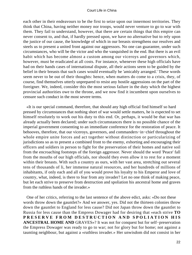each other in their endeavours to be the first to seize upon our innermost territories. They think that China, having neither money nor troops, would never venture to go to war with them. They fail to understand, however, that there are certain things that this empire can never consent to, and that, if hardly pressed upon, we have no alternative but to rely upon the justice of our cause, the knowledge of which in our breasts strengthens our resolves and steels us to present a united front against our aggressors. No one can guarantee, under such circumstances, who will be the victor and who the vanquished in the end. But there is an evil habit which has become almost a custom among our viceroys and governors which, however, must be eradicated at all costs. For instance, whenever these high officials have had on their hands cases of international dispute, all their actions seem to be guided by the belief in their breasts that such cases would eventually be 'amicably arranged.' These words seem never to be out of their thoughts: hence, when matters do come to a crisis, they, of course, find themselves utterly unprepared to resist any hostile aggressions on the part of the foreigner. We, indeed, consider this the most serious failure in the duty which the highest provincial authorities owe to the throne, and we now find it incumbent upon ourselves to censure such conduct in the most severe terms.

 «It is our special command, therefore, that should any high official find himself so hard pressed by circumstances that nothing short of war would settle matters, he is expected to set himself resolutely to work out his duty to this end. Or, perhaps, it would be that war has already actually been declared; under such circumstances there is no possible chance of the imperial government consenting to an immediate conference for the restoration of peace. It behooves, therefore, that our viceroys, governors, and commanders−in−chief throughout the whole empire unite forces and act together without distinction or particularizing of jurisdictions so as to present a combined front to the enemy, exhorting and encouraging their officers and soldiers in person to fight for the preservation of their homes and native soil from the encroaching footsteps of the foreign aggressor. Never should the word 'Peace' fall from the mouths of our high officials, nor should they even allow it to rest for a moment within their breasts. With such a country as ours, with her vast area, stretching out several tens of thousands of li, her immense natural resources, and her hundreds of millions of inhabitants, if only each and all of you would prove his loyalty to his Emperor and love of country, what, indeed, is there to fear from any invader? Let no one think of making peace, but let each strive to preserve from destruction and spoliation his ancestral home and graves from the ruthless hands of the invader.»

 One of her critics, referring to the last sentence of the above edict, asks: «Do not these words throw down the gauntlet?» And we answer, yes. Did not the thirteen colonies throw down the gauntlet to England for less cause? Did not Japan throw down the gauntlet to Russia for less cause than the Empress Dowager had for desiring that «each strive **TO PRESERVE FROM DESTRUCTION AND SPOLIATION HIS ANCESTRAL HOME AND** GRAVES»? It was not for conquest but for self−preservation the Empress Dowager was ready to go to war; not for glory but for home; not against a taunting neighbour, but against a «ruthless invader.» Her unwisdom did not consist in her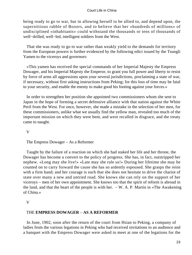being ready to go to war, but in allowing herself to be allied to, and depend upon, the superstitious rabble of Boxers, and to believe that her «hundreds of millions» of undisciplined «inhabitants» could withstand the thousands or tens of thousands of well−drilled, well−led, intelligent soldiers from the West.

 That she was ready to go to war rather than weakly yield to the demands for territory from the European powers is further evidenced by the following edict issued by the Tsungli Yamen to the viceroys and governors:

 «This yamen has received the special commands of her Imperial Majesty the Empress Dowager, and his Imperial Majesty the Emperor, to grant you full power and liberty to resist by force of arms all aggressions upon your several jurisdictions, proclaiming a state of war, if necessary, without first asking instructions from Peking; for this loss of time may be fatal to your security, and enable the enemy to make good his footing against your forces.»

 In order to strengthen her position she appointed two commissioners whom she sent to Japan in the hope of forming a secret defensive alliance with that nation against the White Peril from the West. For once, however, she made a mistake in the selection of her men, for these commissioners, unlike what we usually find the yellow man, revealed too much of the important mission on which they were bent, and were recalled in disgrace, and the treaty came to naught.

V

The Empress Dowager – As a Reformer

 Taught by the failure of a reaction on which she had staked her life and her throne, the Dowager has become a convert to the policy of progress. She has, in fact, outstripped her nephew. «Long may she live!» «Late may she rule us!» During her lifetime she may be counted on to carry forward the cause she has so ardently espoused. She grasps the reins with a firm hand; and her courage is such that she does not hesitate to drive the chariot of state over many a new and untried road. She knows she can rely on the support of her viceroys – men of her own appointment. She knows too that the spirit of reform is abroad in the land, and that the heart of the people is with her.  $-W$ . A. P. Martin in «The Awakening of China.»

# V

# THE **EMPRESS DOWAGER** – **AS A REFORMER**

 In June, 1902, soon after the return of the court from Hsian to Peking, a company of ladies from the various legations in Peking who had received invitations to an audience and a banquet with the Empress Dowager were asked to meet at one of the legations for the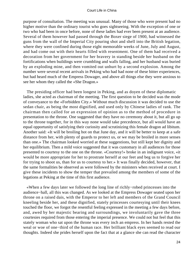purpose of consultation. The meeting was unusual. Many of those who were present had no higher motive than the ordinary tourist who goes sightseeing. With the exception of one or two who had been in once before, none of these ladies had ever been present at an audience. Several of them however had passed through the Boxer siege of 1900, had witnessed the guns from the wall of the Imperial City pouring shot and shell into the British legation, where they were confined during those eight memorable weeks of June, July and August, and had come out with their hearts filled with resentment. One of them had received a decoration from her government for her bravery in standing beside her husband on the fortifications when buildings were crumbling and walls falling, and her husband was buried by an exploding mine, and then vomited out unhurt by a second explosion. Among the number were several recent arrivals in Peking who had had none of these bitter experiences, but had heard much of the Empress Dowager, and above all things else they were anxious to see her whom they called the «She Dragon.»

 The presiding officer had been longest in Peking, and as doyen of these diplomatic ladies, she acted as chairman of the meeting. The first question to be decided was the mode of conveyance to the «Forbidden City.» Without much discussion it was decided to use the sedan chair, as being the most dignified, and used only by Chinese ladies of rank. The chairman then called for an expression of opinion as to the method of procedure in presentation to the throne. One suggested that they have no ceremony about it, but all go up to the throne together, for in this way none would take precedence, but all would have an equal opportunity of satisfying their curiosity and scrutinizing this female dragon ad libitum. Another said: «It will be broiling hot on that June day, and it will be better to keep at a safe distance from her, with plenty of guards to protect us, or we may be broiled in more senses than one.» The chairman looked worried at these suggestions, but still kept her dignity and her equilibrium. Then a mild voice suggested that it was customary in all audiences for those presented to courtesy to the one on the throne. «Courtesy!» broke in an indignant voice, «it would be more appropriate for her to prostrate herself at our feet and beg us to forgive her for trying to shoot us, than for us to courtesy to her.» It was finally decided, however, that the same formalities be observed as were followed by the ministers when received at court. I give these incidents to show the temper that prevailed among the members of some of the legations at Peking at the time of this first audience.

 «When a few days later we followed the long line of richly−robed princesses into the audience−hall, all this was changed. As we looked at the Empress Dowager seated upon her throne on a raised dais, with the Emperor to her left and members of the Grand Council kneeling beside her, and these dignified, stately princesses courtesying until their knees touched the floor, we forgot the resentful feeling expressed in the meeting a few days before, and, awed by her majestic bearing and surroundings, we involuntarily gave the three courtesies required from those entering the imperial presence. We could not but feel that this stately woman who sat upon the throne was every inch an empress. In her hands rested the weal or woe of one−third of the human race. Her brilliant black eyes seemed to read our thoughts. Indeed she prides herself upon the fact that at a glance she can read the character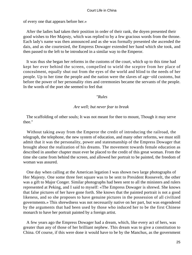of every one that appears before her.»

 After the ladies had taken their position in order of their rank, the doyen presented their good wishes to Her Majesty, which was replied to by a few gracious words from the throne. Each lady's name was then announced and as she was formally presented she ascended the dais, and as she courtesied, the Empress Dowager extended her hand which she took, and then passed to the left to be introduced in a similar way to the Emperor.

 It was thus she began her reforms in the customs of the court, which up to this time had kept her ever behind the screen, compelled to wield the sceptre from her place of concealment, equally shut out from the eyes of the world and blind to the needs of her people. Up to her time the people and the nation were the slaves of age−old customs, but before the power of her personality rites and ceremonies became the servants of the people. In the words of the poet she seemed to feel that

#### *"Rules*

# *Are well; but never fear to break*

 The scaffolding of other souls; It was not meant for thee to mount, Though it may serve thee."

 Without taking away from the Emperor the credit of introducing the railroad, the telegraph, the telephone, the new system of education, and many other reforms, we must still admit that it was the personality, power and statesmanship of the Empress Dowager that brought about the realization of his dreams. The movement towards female education as described in another chapter must ever be placed to the credit of this great woman. From the time she came from behind the screen, and allowed her portrait to be painted, the freedom of woman was assured.

 One day when calling at the American legation I was shown two large photographs of Her Majesty. One some three feet square was to be sent to President Roosevelt, the other was a gift to Major Conger. Similar photographs had been sent to all the ministers and rulers represented at Peking, and I said to myself: «The Empress Dowager is shrewd. She knows that false pictures of her have gone forth. She knows that the painted portrait is not a good likeness, and so she proposes to have genuine pictures in the possession of all civilized governments.» This shrewdness was not necessarily native on her part, but was engendered by the arguments that had been used by those who induced her to be the first Chinese monarch to have her portrait painted by a foreign artist.

 A few years ago the Empress Dowager had a dream, which, like every act of hers, was greater than any of those of her brilliant nephew. This dream was to give a constitution to China. Of course, if this were done it would have to be by the Manchus, as the government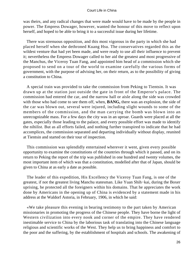was theirs, and any radical changes that were made would have to be made by the people in power. The Empress Dowager, however, wanted the honour of this move to reflect upon herself, and hoped to be able to bring it to a successful issue during her lifetime.

 There was strenuous opposition, and this most vigorous in the party in which she had placed herself when she dethroned Kuang Hsu. The conservatives regarded this as the wildest venture that had yet been made, and were ready to use all their influence to prevent it; nevertheless the Empress Dowager called to her aid the greatest and most progressive of the Manchus, the Viceroy Tuan Fang, and appointed him head of a commission which she proposed to send on a tour of the world to examine carefully the various forms of government, with the purpose of advising her, on their return, as to the possibility of giving a constitution to China.

 A special train was provided to take the commission from Peking to Tientsin. It was drawn up at the station just outside the gate in front of the Emperor's palace. The commission had entered the car, and the narrow hall or aisle along the side was crowded with those who had come to see them off, when, **BANG,** there was an explosion, the side of the car was blown out, several were injured, including slight wounds to some of the members of the commission, and the man carrying the bomb was blown into an unrecognizable mass. For a few days the city was in an uproar. Guards were placed at all the gates, especially those leading to the palace, and every possible effort was made to identify the nihilist. But as all efforts failed, and nothing further transpired to indicate that he had accomplices, the commission separated and departing individually without display, reunited at Tientsin and started on their tour of inspection.

 This commission was splendidly entertained wherever it went, given every possible opportunity to examine the constitutions of the countries through which it passed, and on its return to Peking the report of the trip was published in one hundred and twenty volumes, the most important item of which was that a constitution, modelled after that of Japan, should be given to China at as early a date as possible.

 The leader of this expedition, His Excellency the Viceroy Tuan Fang, is one of the greatest, if not the greatest living Manchu statesman. Like Yuan Shih−kai, during the Boxer uprising, he protected all the foreigners within his domains. That he appreciates the work done by Americans in the opening up of China is evidenced by a statement made in his address at the Waldorf Astoria, in February, 1906, in which he said:

 «We take pleasure this evening in bearing testimony to the part taken by American missionaries in promoting the progress of the Chinese people. They have borne the light of Western civilization into every nook and corner of the empire. They have rendered inestimable service to China by the laborious task of translating into the Chinese language religious and scientific works of the West. They help us to bring happiness and comfort to the poor and the suffering, by the establishment of hospitals and schools. The awakening of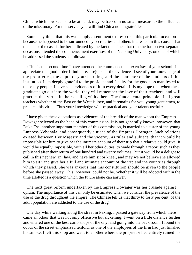China, which now seems to be at hand, may be traced in no small measure to the influence of the missionary. For this service you will find China not ungrateful.»

 Some may think that this was simply a sentiment expressed on this particular occasion because he happened to be surrounded by secretaries and others interested in this cause. That this is not the case is further indicated by the fact that since that time he has on two separate occasions attended the commencement exercises of the Nanking University, on one of which he addressed the students as follows:

 «This is the second time I have attended the commencement exercises of your school. I appreciate the good order I find here. I rejoice at the evidences I see of your knowledge of the proprieties, the depth of your learning, and the character of the students of this institution. I am deeply grateful to the president and faculty for the goodness manifested to these my people. I have seen evidences of it in every detail. It is my hope that when these graduates go out into the world, they will remember the love of their teachers, and will practice that virtue in their dealing with others. The fundamental principle of all great teachers whether of the East or the West is love, and it remains for you, young gentlemen, to practice this virtue. Thus your knowledge will be practical and your talents useful.»

 I have given these quotations as evidences of the breadth of the man whom the Empress Dowager selected as the head of this commission. It is not generally known, however, that Duke Tse, another important member of this commission, is married to a sister of the young Empress Yehonala, and consequently a niece of the Empress Dowager. Such relations existed between Her Majesty and the viceroy, as ruler and subject, that it would be impossible for him to give her the intimate account of their trip that a relative could give. It would be equally impossible, with all her other duties, to wade through a report such as they published after their return of one hundred and twenty volumes. But it would be a delight to call in this nephew−in−law, and have him sit or kneel, and may we not believe she allowed him to sit? and give her a full and intimate account of the trip and the countries through which they passed. She was anxious that this constitution should be given to the people before she passed away. This, however, could not be. Whether it will be adopted within the time allotted is a question which the future alone can answer.

 The next great reform undertaken by the Empress Dowager was her crusade against opium. The importance of this can only be estimated when we consider the prevalence of the use of the drug throughout the empire. The Chinese tell us that thirty to forty per cent. of the adult population are addicted to the use of the drug.

 One day while walking along the street in Peking, I passed a gateway from which there came an odour that was not only offensive but sickening. I went on a little distance further and entered one of the best curio shops of the city, and going into the back room, I found the odour of the street emphasized tenfold, as one of the employees of the firm had just finished his smoke. I left this shop and went to another where the proprietor had entirely ruined his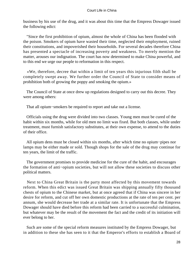business by his use of the drug, and it was about this time that the Empress Dowager issued the following edict:

 "Since the first prohibition of opium, almost the whole of China has been flooded with the poison. Smokers of opium have wasted their time, neglected their employment, ruined their constitutions, and impoverished their households. For several decades therefore China has presented a spectacle of increasing poverty and weakness. To merely mention the matter, arouses our indignation. The court has now determined to make China powerful, and to this end we urge our people to reformation in this respect.

 «We, therefore, decree that within a limit of ten years this injurious filth shall be completely swept away. We further order the Council of State to consider means of prohibition both of growing the poppy and smoking the opium.»

 The Council of State at once drew up regulations designed to carry out this decree. They were among others:

That all opium−smokers be required to report and take out a license.

 Officials using the drug were divided into two classes. Young men must be cured of the habit within six months, while for old men no limit was fixed. But both classes, while under treatment, must furnish satisfactory substitutes, at their own expense, to attend to the duties of their office.

 All opium dens must be closed within six months, after which time no opium−pipes nor lamps may be either made or sold. Though shops for the sale of the drug may continue for ten years, the limit of the traffic.

 The government promises to provide medicine for the cure of the habit, and encourages the formation of anti−opium societies, but will not allow these societies to discuss other political matters.

 Next to China Great Britain is the party most affected by this movement towards reform. When this edict was issued Great Britain was shipping annually fifty thousand chests of opium to the Chinese market, but at once agreed that if China was sincere in her desire for reform, and cut off her own domestic productions at the rate of ten per cent. per annum, she would decrease her trade at a similar rate. It is unfortunate that the Empress Dowager should have died before this reform had been carried to a successful culmination, but whatever may be the result of the movement the fact and the credit of its initiation will ever belong to her.

 Such are some of the special reform measures instituted by the Empress Dowager, but in addition to these she has seen to it that the Emperor's efforts to establish a Board of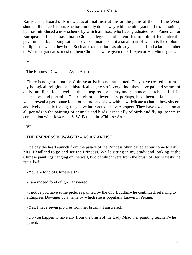Railroads, a Board of Mines, educational institutions on the plans of those of the West, should all be carried out. She has not only done away with the old system of examinations, but has introduced a new scheme by which all those who have graduated from American or European colleges may obtain Chinese degrees and be entitled to hold office under the government, by passing satisfactory examinations, not a small part of which is the diploma or diplomas which they hold. Such an examination has already been held and a large number of Western graduates, most of them Christian, were given the Chu−jen or Han−lin degrees.

VI

The Empress Dowager – As an Artist

 There is no genre that the Chinese artist has not attempted. They have treated in turn mythological, religious and historical subjects of every kind; they have painted scenes of daily familiar life, as well as those inspired by poetry and romance; sketched still life, landscapes and portraits. Their highest achievements, perhaps, have been in landscapes, which reveal a passionate love for nature, and show with how delicate a charm, how sincere and lively a poetic feeling, they have interpreted its every aspect. They have excelled too at all periods in the painting of animals and birds, especially of birds and flying insects in conjunction with flowers. – S. W. Bushell in «Chinese Art.»

VI

# THE **EMPRESS DOWAGER** – **AS AN ARTIST**

 One day the head eunuch from the palace of the Princess Shun called at our home to ask Mrs. Headland to go and see the Princess. While sitting in my study and looking at the Chinese paintings hanging on the wall, two of which were from the brush of Her Majesty, he remarked:

«You are fond of Chinese art?»

«I am indeed fond of it,» I answered.

 «I notice you have some pictures painted by the Old Buddha,» he continued, referring to the Empress Dowager by a name by which she is popularly known in Peking.

«Yes, I have seven pictures from her brush,» I answered.

 «Do you happen to have any from the brush of the Lady Miao, her painting teacher?» he inquired.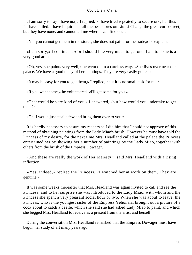«I am sorry to say I have not,» I replied. «I have tried repeatedly to secure one, but thus far have failed. I have inquired at all the best stores on Liu Li Chang, the great curio street, but they have none, and cannot tell me where I can find one.»

«No, you cannot get them in the stores; she does not paint for the trade,» he explained.

 «I am sorry,» I continued, «for I should like very much to get one. I am told she is a very good artist.»

 «Oh, yes, she paints very well,» he went on in a careless way. «She lives over near our palace. We have a good many of her paintings. They are very easily gotten.»

«It may be easy for you to get them,» I replied, «but it is no small task for me.»

«If you want some,» he volunteered, «I'll get some for you.»

 «That would be very kind of you,» I answered, «but how would you undertake to get them?»

«Oh, I would just steal a few and bring them over to you.»

 It is hardly necessary to assure my readers as I did him that I could not approve of this method of obtaining paintings from the Lady Miao's brush. However he must have told the Princess of my desire, for the next time Mrs. Headland called at the palace the Princess entertained her by showing her a number of paintings by the Lady Miao, together with others from the brush of the Empress Dowager.

 «And these are really the work of Her Majesty?» said Mrs. Headland with a rising inflection.

 «Yes, indeed,» replied the Princess. «I watched her at work on them. They are genuine.»

 It was some weeks thereafter that Mrs. Headland was again invited to call and see the Princess, and to her surprise she was introduced to the Lady Miao, with whom and the Princess she spent a very pleasant social hour or two. When she was about to leave, the Princess, who is the youngest sister of the Empress Yehonala, brought out a picture of a cock about to catch a beetle, which she said she had asked Lady Miao to paint, and which she begged Mrs. Headland to receive as a present from the artist and herself.

 During the conversation Mrs. Headland remarked that the Empress Dowager must have begun her study of art many years ago.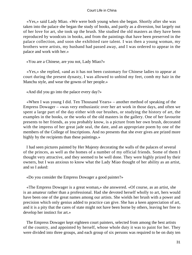«Yes,» said Lady Miao. «We were both young when she began. Shortly after she was taken into the palace she began the study of books, and partly as a diversion, but largely out of her love for art, she took up the brush. She studied the old masters as they have been reproduced by woodcuts in books, and from the paintings that have been preserved in the palace collection, and soon she exhibited rare talent. I was then a young woman, my brothers were artists, my husband had passed away, and I was ordered to appear in the palace and work with her.»

«You are a Chinese, are you not, Lady Miao?»

 «Yes,» she replied, «and as it has not been customary for Chinese ladies to appear at court during the present dynasty, I was allowed to unbind my feet, comb my hair in the Manchu style, and wear the gowns of her people.»

«And did you go into the palace every day?»

 «When I was young I did. Ten Thousand Years» – another method of speaking of the Empress Dowager – «was very enthusiastic over her art work in those days, and often we spent a large part of the day either with our brushes, or studying the history of art, the examples in the books, or the works of the old masters in the gallery. One of her favourite presents to her friends, as you probably know, is a picture from her own brush, decorated with the impress of her great jade seal, the date, and an appropriate poem by one of the members of the College of Inscriptions. And no presents that she ever gives are prized more highly by the recipients than these paintings.»

 I had seen pictures painted by Her Majesty decorating the walls of the palaces of several of the princes, as well as the homes of a number of my official friends. Some of them I thought very attractive, and they seemed to be well done. They were highly prized by their owners, but I was anxious to know what the Lady Miao thought of her ability as an artist, and so I asked:

«Do you consider the Empress Dowager a good painter?»

 «The Empress Dowager is a great woman,» she answered. «Of course, as an artist, she is an amateur rather than a professional. Had she devoted herself wholly to art, hers would have been one of the great names among our artists. She wields her brush with a power and precision which only genius added to practice can give. She has a keen appreciation of art, and it is a pity that the cares of state might not have been borne by others, leaving her free to develop her instinct for art.»

 The Empress Dowager kept eighteen court painters, selected from among the best artists of the country, and appointed by herself, whose whole duty it was to paint for her. They were divided into three groups, and each group of six persons was required to be on duty ten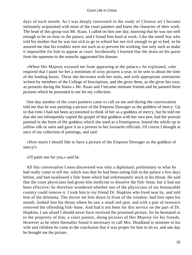days of each month. As I was deeply interested in the study of Chinese art I became intimately acquainted with most of the court painters and knew the character of their work. The head of this group was Mr. Kuan. I called on him one day, knowing that he was not well enough to be on duty in the palace, and I found him hard at work. Like the small boy who told his mother that he was too sick to go to school but not sick enough to go to bed, so he assured me that his troubles were not such as to prevent his working, but only such as make it impossible for him to appear at court. Incidentally I learned that the drain on his purse from the squeezes to the eunuchs aggravated his disease.

 «When Her Majesty excused me from appearing at the palace,» he explained, «she required that I paint for her a minimum of sixty pictures a year, to be sent in about the time of the leading feasts. These she decorates with her seals, and with appropriate sentiments written by members of the College of Inscriptions, and she gives them, as she gives her own, as presents during the feasts.» Mr. Kuan and I became intimate friends and he painted three pictures which he presented to me for my collection.

 One day another of the court painters came to call on me and during the conversation told me that he was painting a picture of the Empress Dowager as the goddess of mercy. Up to that time I had not been accustomed to think of her as a goddess of mercy, but he told me that she not infrequently copied the gospel of that goddess with her own pen, had her portrait painted in the form of the goddess which she used as a frontispiece, bound the whole up in yellow silk or satin and gave it as a present to her favourite officials. Of course I thought at once of my collection of paintings, and said:

 «How much I should like to have a picture of the Empress Dowager as the goddess of mercy!»

«I'll paint one for you,» said he.

 All this conversation I soon discovered was only a diplomatic preliminary to what he had really come to tell me, which was that he had been eating fish in the palace a few days before, and had swallowed a fish−bone which had unfortunately stuck in his throat. He said that the court physicians had given him medicine to dissolve the fish−bone, but it had not been effective; he therefore wondered whether one of the physicians of my honourable country could remove it. I took him to my friend Dr. Hopkins who lived near by, and told him of the dilemma. The doctor set him down in front of the window, had him open his mouth, looked into his throat where he saw a small red spot, and with a pair of tweezers removed the offending fish−bone. And had it not been for this service on the part of Dr. Hopkins, I am afraid I should never have received the promised picture, for he hesitated as to the propriety of him, a court painter, doing pictures of Her Majesty for his friends. However as he often thereafter found it necessary to call Mrs. Headland to minister to his wife and children he came to the conclusion that it was proper for him to do so, and one day he brought me the picture.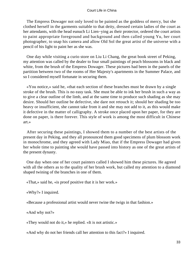The Empress Dowager not only loved to be painted as the goddess of mercy, but she clothed herself in the garments suitable to that deity, dressed certain ladies of the court as her attendants, with the head eunuch Li Lien−ying as their protector, ordered the court artists to paint appropriate foreground and background and then called young Yu, her court photographer, to snap his camera and allow Old Sol the great artist of the universe with a pencil of his light to paint her as she was.

 One day while visiting a curio store on Liu Li Chang, the great book street of Peking, my attention was called by the dealer to four small paintings of peach blossoms in black and white, from the brush of the Empress Dowager. These pictures had been in the panels of the partition between two of the rooms of Her Majesty's apartments in the Summer Palace, and so I considered myself fortunate in securing them.

 «You notice,» said he, «that each section of these branches must be drawn by a single stroke of the brush. This is no easy task. She must be able to ink her brush in such a way as to give a clear outline of the limb, and at the same time to produce such shading as she may desire. Should her outline be defective, she dare not retouch it; should her shading be too heavy or insufficient, she cannot take from it and she may not add to it, as this would make it defective in the matter of calligraphy. A stroke once placed upon her paper, for they are done on paper, is there forever. This style of work is among the most difficult in Chinese art.»

 After securing these paintings, I showed them to a number of the best artists of the present day in Peking, and they all pronounced them good specimens of plum blossom work in monochrome, and they agreed with Lady Miao, that if the Empress Dowager had given her whole time to painting she would have passed into history as one of the great artists of the present dynasty.

 One day when one of her court painters called I showed him these pictures. He agreed with all the others as to the quality of her brush work, but called my attention to a diamond shaped twining of the branches in one of them.

«That,» said he, «is proof positive that it is her work.»

«Why?» I inquired.

«Because a professional artist would never twine the twigs in that fashion.»

«And why not?»

«They would not do it,» he replied. «It is not artistic.»

«And why do not her friends call her attention to this fact?» I inquired.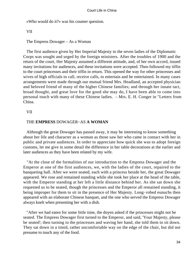«Who would do it?» was his counter question.

VII

The Empress Dowager – As a Woman

 The first audience given by Her Imperial Majesty to the seven ladies of the Diplomatic Corps was sought and urged by the foreign ministers. After the troubles of 1900 and the return of the court, Her Majesty assumed a different attitude, and, of her own accord, issued many invitations for audiences, and these invitations were accepted. Then followed my tiffin to the court princesses and their tiffin in return. This opened the way for other princesses and wives of high officials to call, receive calls, to entertain and be entertained. In many cases arrangements were made through our mutual friend Mrs. Headland, an accepted physician and beloved friend of many of the higher Chinese families; and through her innate tact, broad thought, and great love for the good she may do, I have been able to come into personal touch with many of these Chinese ladies. – Mrs. E. H. Conger in "Letters from China.

# VII

# THE **EMPRESS** DOWAGER−AS **A WOMAN**

 Although the great Dowager has passed away, it may be interesting to know something about her life and character as a woman as those saw her who came in contact with her in public and private audiences. In order to appreciate how quick she was to adopt foreign customs, let me give in some detail the difference in her table decorations at the earlier and later audiences as they have been related by my wife.

 "At the close of the formalities of our introduction to the Empress Dowager and the Emperor at one of the first audiences, we, with the ladies of the court, repaired to the banqueting hall. After we were seated, each with a princess beside her, the great Dowager appeared. We rose and remained standing while she took her place at the head of the table, with the Emperor standing at her left a little distance behind her. As she sat down she requested us to be seated, though the princesses and the Emperor all remained standing, it being improper for them to sit in the presence of Her Majesty. Long−robed eunuchs then appeared with an elaborate Chinese banquet, and the one who served the Empress Dowager always knelt when presenting her with a dish.

 "After we had eaten for some little time, the doyen asked if the princesses might not be seated. The Empress Dowager first turned to the Emperor, and said, 'Your Majesty, please be seated'; then turning to the princesses and waving her hand, she told them to sit down. They sat down in a timid, rather uncomfortable way on the edge of the chair, but did not presume to touch any of the food.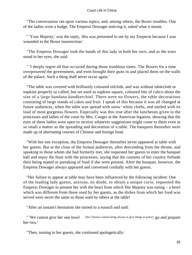"The conversation ran upon various topics, and, among others, the Boxer troubles. One of the ladies wore a badge. The Empress Dowager noticing it, asked what it meant.

 " 'Your Majesty,' was the reply, 'this was presented to me by my Emperor because I was wounded in the Boxer insurrection.'

 "The Empress Dowager took the hands of this lady in both her own, and as the tears stood in her eyes, she said:

 " 'I deeply regret all that occurred during those troublous times. The Boxers for a time overpowered the government, and even brought their guns in and placed them on the walls of the palace. Such a thing shall never occur again.'

 "The table was covered with brilliantly coloured oilcloth, and was without tablecloth or napkins properly so called, but we used as napkins square, coloured bits of calico about the size of a large bandana handkerchief. There were no flowers, the table decorations consisting of large stands of cakes and fruit. I speak of this because it was all changed at future audiences, when the table was spread with snow−white cloths, and smiled with its load of most gorgeous flowers. Especially was this true after the luncheons given to the princesses and ladies of the court by Mrs. Conger at the American legation, showing that the eyes of these ladies were open to receive whatever suggestions might come to them even in so small a matter as the spreading and decoration of a table. The banquets thereafter were made up of alternating courses of Chinese and foreign food.

 "With but one exception, the Empress Dowager thereafter never appeared at table with her guests. But at the close of the formal audiences, after descending from the throne, and speaking to those whom she had formerly met, she requested her guests to enter the banquet hall and enjoy the feast with the princesses, saying that the customs of her country forbade their being seated or partaking of food if she were present. After the banquet, however, the Empress Dowager always appeared and conversed cordially with her guests.

 "Her failure to appear at table may have been influenced by the following incident: One of the leading lady guests, anxious, no doubt, to obtain a unique curio, requested the Empress Dowager to present her with the bowl from which Her Majesty was eating – a bowl which was different from those used by her guests, as the dishes from which her food was served were never the same as those used by others at the table!

"After an instant's hesitation she turned to a eunuch and said:

" 'We cannot give her one bowl [the Chinese custom being always to give things in pairs]; go and prepare her two.'

"Then, turning to her guests, she continued apologetically: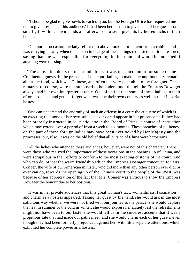" 'I should be glad to give bowls to each of you, but the Foreign Office has requested me not to give presents at this audience.' It had been her custom to give each of her guests some small gift with her own hands and afterwards to send presents by her eunuchs to their homes.

 "On another occasion the lady referred to above took an ornament from a cabinet and was carrying it away when the person in charge of these things requested that it be restored, saying that she was responsible for everything in the room and would be punished if anything were missing.

 "The above incidents do not stand alone. It was not uncommon for some of the Continental guests, in the presence of the court ladies, to make uncomplimentary remarks about the food, which was Chinese, and often not very palatable to the foreigner. These remarks, of course, were not supposed to be understood, though the Empress Dowager always had her own interpreter at table. One often felt that some of these ladies, in their efforts to see all and get all, forgot what was due their own country as well as their imperial hostess.

 "One can understand the enormity of such an offense in a court the etiquette of which is so exacting that none of her own subjects ever dared appear in her presence until they had been properly instructed in court etiquette in the 'Board of Rites,' a course of instruction which may extend over a period of from a week to six months. These breaches of politeness on the part of these foreign ladies may have been overlooked by Her Majesty and the princesses, but, if so, it was on the old belief that all outside of China were barbarians.

 "All the ladies who attended these audiences, however, were not of this character. There were those who realized the importance of those occasions in the opening up of China, and were scrupulous in their efforts to conform to the most exacting customs of the court. And who can doubt that the warm friendship which the Empress Dowager conceived for Mrs. Conger, the wife of our American minister, who did more than any other person ever did, or ever can do, towards the opening up of the Chinese court to the people of the West, was because of her appreciation of the fact that Mrs. Conger was anxious to show the Empress Dowager the honour due to her position.

 "It was in her private audiences that this great woman's tact, womanliness, fascination and charm as a hostess appeared. Taking her guest by the hand, she would ask in the most solicitous way whether we were not tired with our journey to the palace; she would deplore the heat in summer or the cold in winter; she would express her anxiety lest the refreshments might not have been to our taste; she would tell us in the sincerest accents that it was a propitious fate that had made our paths meet; and she would charm each of her guests, even though they had been formerly prejudiced against her, with little separate attentions, which exhibited her complete power as a hostess.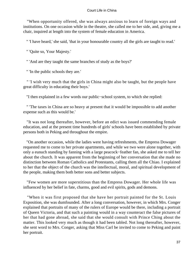"When opportunity offered, she was always anxious to learn of foreign ways and institutions. On one occasion while in the theatre, she called me to her side, and, giving me a chair, inquired at length into the system of female education in America.

" 'I have heard,' she said, 'that in your honourable country all the girls are taught to read.'

" 'Quite so, Your Majesty.'

" 'And are they taught the same branches of study as the boys?'

" 'In the public schools they are.'

 " 'I wish very much that the girls in China might also be taught, but the people have great difficulty in educating their boys.'

"I then explained in a few words our public−school system, to which she replied:

 " 'The taxes in China are so heavy at present that it would be impossible to add another expense such as this would be.'

 "It was not long thereafter, however, before an edict was issued commending female education, and at the present time hundreds of girls' schools have been established by private persons both in Peking and throughout the empire.

 "On another occasion, while the ladies were having refreshments, the Empress Dowager requested me to come to her private apartments, and while we two were alone together, with only a eunuch standing by fanning with a large peacock−feather fan, she asked me to tell her about the church. It was apparent from the beginning of her conversation that she made no distinction between Roman Catholics and Protestants, calling them all the Chiao. I explained to her that the object of the church was the intellectual, moral, and spiritual development of the people, making them both better sons and better subjects.

 "Few women are more superstitious than the Empress Dowager. Her whole life was influenced by her belief in fate, charms, good and evil spirits, gods and demons.

 "When it was first proposed that she have her portrait painted for the St. Louis Exposition, she was dumfounded. After a long conversation, however, in which Mrs. Conger explained that portraits of many of the rulers of Europe would be there, including a portrait of Queen Victoria, and that such a painting would in a way counteract the false pictures of her that had gone abroad, she said that she would consult with Prince Ching about the matter. This looked very much as though it had been tabled. Not long thereafter, however, she sent word to Mrs. Conger, asking that Miss Carl be invited to come to Peking and paint her portrait.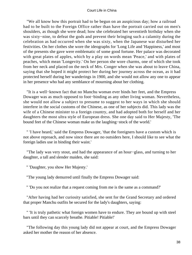"We all know how this portrait had to be begun on an auspicious day; how a railroad had to be built to the Foreign Office rather than have the portrait carried out on men's shoulders, as though she were dead; how she celebrated her seventieth birthday when she was sixty−nine, to defeat the gods and prevent their bringing such a calamity during the celebration as had occurred when she was sixty, when the Japanese war disturbed her festivities. On her clothes she wore the ideographs for 'Long Life and 'Happiness,' and most of the presents she gave were emblematic of some good fortune. Her palace was decorated with great plates of apples, which by a play on words mean 'Peace,' and with plates of peaches, which mean 'Longevity.' On her person she wore charms, one of which she took from her neck and placed on the neck of Mrs. Conger when she was about to leave China, saying that she hoped it might protect her during her journey across the ocean, as it had protected herself during her wanderings in 1900, and she would not allow any one to appear in her presence who had any semblance of mourning about her clothing.

 "It is a well−known fact that no Manchu woman ever binds her feet, and the Empress Dowager was as much opposed to foot−binding as any other living woman. Nevertheless, she would not allow a subject to presume to suggest to her ways in which she should interfere in the social customs of the Chinese, as one of her subjects did. This lady was the wife of a Chinese minister to a foreign country, and had adopted both for herself and her daughters the most ultra style of European dress. She one day said to Her Majesty, 'The bound feet of the Chinese woman make us the laughing−stock of the world.'

 " 'I have heard,' said the Empress Dowager, 'that the foreigners have a custom which is not above reproach, and now since there are no outsiders here, I should like to see what the foreign ladies use in binding their waist.'

 "The lady was very stout, and had the appearance of an hour−glass, and turning to her daughter, a tall and slender maiden, she said:

" 'Daughter, you show Her Majesty.'

"The young lady demurred until finally the Empress Dowager said:

" 'Do you not realize that a request coming from me is the same as a command?'

 "After having had her curiosity satisfied, she sent for the Grand Secretary and ordered that proper Manchu outfits be secured for the lady's daughters, saying:

 " 'It is truly pathetic what foreign women have to endure. They are bound up with steel bars until they can scarcely breathe. Pitiable! Pitiable!'

 "The following day this young lady did not appear at court, and the Empress Dowager asked her mother the reason of her absence.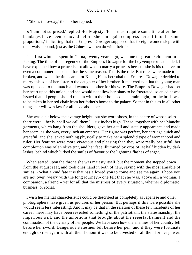" 'She is ill to−day,' the mother replied.

 « 'I am not surprised,' replied Her Majesty, 'for it must require some time after the bandages have been removed before she can again compress herself into the same proportions,' indicating that the Empress Dowager supposed that foreign women slept with their waists bound, just as the Chinese women do with their feet.»

 The first winter I spent in China, twenty years ago, was one of great excitement in Peking. The time of the regency of the Empress Dowager for the boy−emperor had ended. I have explained how a prince is not allowed to marry a princess because she is his relative, or even a commoner his cousin for the same reason. That is the rule. But rules were made to be broken, and when the time came for Kuang Hsu's betrothal the Empress Dowager decided to marry this son of her sister to the daughter of her brother. It mattered not that the young man was opposed to the match and wanted another for his wife. The Empress Dowager had set her heart upon this union, and she would not allow her plans to be frustrated, so an edict was issued that all people should remain within their homes on a certain night, for the bride was to be taken in her red chair from her father's home to the palace. So that in this as in all other things her will was law for all those about her.

 She was a bit below the average height, but she wore shoes, in the centre of whose soles there were – heels, shall we call them? – six inches high. These, together with her Manchu garments, which hang from the shoulders, gave her a tall and stately appearance and made her seem, as she was, every inch an empress. Her figure was perfect, her carriage quick and graceful, and she lacked nothing physically to make her a splendid type of womanhood and ruler. Her features were more vivacious and pleasing than they were really beautiful; her complexion was of an olive tint, and her face illumined by orbs of jet half hidden by dark lashes, behind which lurked the smiles of favour or the lightning flashes of anger.

 When seated upon the throne she was majesty itself, but the moment she stepped down from the august seat, and took ones hand in both of hers, saying with the most amiable of smiles: «What a kind fate it is that has allowed you to come and see me again. I hope you are not over−weary with the long journey,» one felt that she was, above all, a woman, a companion, a friend – yet for all that the mistress of every situation, whether diplomatic, business, or social.

 I wish her mental characteristics could be described as completely as Japanese and other photographers have given us pictures of her person. But perhaps if this were possible she would seem less interesting. And it may be that in the relation of these few incidents of her career there may have been revealed something of the patriotism, the statesmanship, the imperious will, and the ambitions that brought about the reeestablishment and the continuation of the dynasty of her people. We have seen how the enemies of her country fell before her sword. Dangerous statesmen fell before her pen, and if they were fortunate enough to rise again with all their honour it was to be divested of all their former power.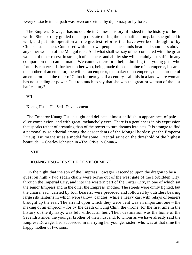Every obstacle in her path was overcome either by diplomacy or by force.

 The Empress Dowager has no double in Chinese history, if indeed in the history of the world. She not only guided the ship of state during the last half century, but she guided it well, and put into operation all the greatest reforms that have ever been thought of by Chinese statesmen. Compared with her own people, she stands head and shoulders above any other woman of the Mongol race. And what shall we say of her compared with the great women of other races? In strength of character and ability she will certainly not suffer in any comparison that can be made. We cannot, therefore, help admiring that young girl, who formerly ran errands for her mother who, being made the concubine of an emperor, became the mother of an emperor, the wife of an emperor, the maker of an emperor, the dethroner of an emperor, and the ruler of China for nearly half a century – all this in a land where woman has no standing or power. Is it too much to say that she was the greatest woman of the last half century?

VII

## Kuang Hsu – His Self−Development

 The Emperor Kuang Hsu is slight and delicate, almost childish in appearance, of pale olive complexion, and with great, melancholy eyes. There is a gentleness in his expression that speaks rather of dreaming than of the power to turn dreams into acts. It is strange to find a personality so etherial among the descendants of the Mongol hordes; yet the Emperor Kuaug Hsu might sit as a model for some Oriental saint on the threshold of the highest beatitude. – Charles Johnston in «The Crisis in China.»

## **VIII**

## **KUANG HSU** – HIS SELF−DEVELOPMENT

 On the night that the son of the Empress Dowager «ascended upon the dragon to be a guest on high,» two sedan chairs were borne out of the west gate of the Forbidden City, through the Imperial City, and into the western part of the Tartar City, in one of which sat the senior Empress and in the other the Empress−mother. The streets were dimly lighted, but the chairs, each carried by four bearers, were preceded and followed by outriders bearing large silk lanterns in which were tallow−candles, while a heavy cart with relays of bearers brought up the rear. The errand upon which they were bent was an important one – the making of an emperor – for by the death of Tung Chih, the throne, for the first time in the history of the dynasty, was left without an heir. Their destination was the home of the Seventh Prince, the younger brother of their husband, to whom as we have already said the Empress Dowager had succeeded in marrying her younger sister, who was at that time the happy mother of two sons.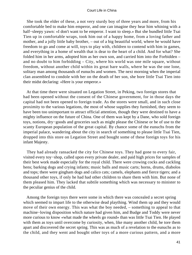She took the elder of these, a not very sturdy boy of three years and more, from his comfortable bed to make him emperor, and one can imagine they hear him whining with a half−sleepy yawn: «I don't want to be emperor. I want to sleep.» But she bundled little Tsai Tien up in comfortable wraps, took him out of a happy home, from a loving father and mother, and a jolly little baby brother, – out of a big beautiful world, where he would have freedom to go and come at will, toys to play with, children to contend with him in games, and everything in a home of wealth that is dear to the heart of a child. And for what? She folded him in her arms, adopted him as her own son, and carried him into the Forbidden – and no doubt to him forbidding – City, where his world was one mile square, without freedom, without another child within its great bare walls, where he was the one lone, solitary man among thousands of eunuchs and women. The next morning when the imperial clan assembled to condole with her on the death of her son, she bore little Tsai Tien into their midst declaring: «Here is your emperor.»

 At that time there were situated on Legation Street, in Peking, two foreign stores that had been opened without the consent of the Chinese government, for in those days the capital had not been opened to foreign trade. As the stores were small, and in such close proximity to the various legations, the most of whose supplies they furnished, they seem to have been too unimportant to attract official attention, though they were destined to have a mighty influence on the future of China. One of them was kept by a Dane, who sold foreign toys, notions, dry−goods and groceries such as might please the Chinese or be of use to the scanty European population of the great capital. By chance some of the eunuchs from the imperial palace, wandering about the city in search of something to please little Tsai Tien, dropped into this store on Legation Street and bought some of these foreign toys for his infant Majesty.

 They had already ransacked the city for Chinese toys. They had gone to every fair, visited every toy−shop, called upon every private dealer, and paid high prices for samples of their best work made especially for the royal child. There were crowing cocks and cackling hens; barking dogs and crying infants; music balls and music carts; horns, drums, diabolos and tops; there were gingham dogs and calico cats; camels, elephants and fierce tigers; and a thousand other toys, if only he had had other children to share them with him. But none of them pleased him. They lacked that subtile something which was necessary to minister to the peculiar genius of the child.

 Among the foreign toys there were some in which there was concealed a secret spring which seemed to impart life to the otherwise dead plaything. Wind them up and they would move of their own energy. This was what the boy needed, – something to appeal to that machine−loving disposition which nature had given him, and Budge and Toddy were never more curious to know «what made the wheels go round» than was little Tsai Tien. He played with them as toys until overcome by curiosity, when, like many another child, he tore them apart and discovered the secret spring. This was as much of a revelation to the eunuchs as to the child, and they went and bought other toys of a more curious pattern, and a more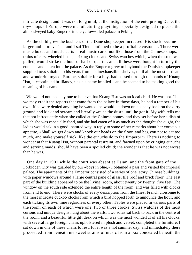intricate design, and it was not long until, at the instigation of the enterprising Dane, the toy−shops of Europe were manufacturing playthings specially designed to please the almond−eyed baby Emperor in the yellow−tiled palace in Peking.

 As the child grew the business of the Dane shopkeeper increased. His stock became larger and more varied, and Tsai Tien continued to be a profitable customer. There were music boxes and music carts – real music carts, not like those from the Chinese shops, – trains of cars, wheeled boats, striking clocks and Swiss watches which, when the stem was pulled, would strike the hour or half or quarter, and all these were bought in turn by the eunuchs and taken into the palace. As the Emperor grew to boyhood the Danish shopkeeper supplied toys suitable to his years from his inexhaustible shelves, until all the most intricate and wonderful toys of Europe, suitable for a boy, had passed through the hands of Kuang Hsu, – «continued brilliancy,» as his name implied – and he seemed to be making good the meaning of his name.

 We would not lead any one to believe that Kuang Hsu was an ideal child. He was not. If we may credit the reports that came from the palace in those days, he had a temper of his own. If he were denied anything he wanted, he would lie down on his baby back on the dirty ground and kick and scream and literally «raise the dust» until he got it. My wife tells me that not infrequently when she called at the Chinese homes, and they set before her a dish of which she was especially fond, and she had eaten of it as much as she thought she ought, the ladies would ask in a good−natured way in reply to some of her remarks about her voracious appetite, «Shall we get down and knock our heads on the floor, and beg you not to eat too much, and make yourself sick, like the eunuchs do to the Emperor?» There is nothing to wonder at that Kuang Hsu, without parental restraint, and fawned upon by cringing eunuchs and serving maids, should have been a spoiled child; the wonder is that he was not worse than he was.

 One day in 1901 while the court was absent at Hsian, and the front gate of the Forbidden City was guarded by our «boys in blue,» I obtained a pass and visited the imperial palace. The apartments of the Emperor consisted of a series of one−story Chinese buildings, with paper windows around a large central pane of glass, tile roof and brick floor. The east part of the building appeared to be the living−room, about twenty by twenty−five feet. The window on the south side extended the entire length of the room, and was filled with clocks from end to end. There were clocks of every description from the finest French cloisonne to the most intricate cuckoo clocks from which a bird hopped forth to announce the hour, and each ticking its own time regardless of every other. Tables were placed in various parts of the room, on each of which were one, two or three clocks. Swiss watches of the most curious and unique designs hung about the walls. Two sofas sat back to back in the centre of the room, and a beautiful little gilt desk on which was the most wonderful of all his clocks, with several large foreign chairs upholstered in plush and velvet, completed the furniture. I sat down in one of these chairs to rest, for it was a hot summer day, and immediately there proceeded from beneath me sweet strains of music from a box concealed beneath the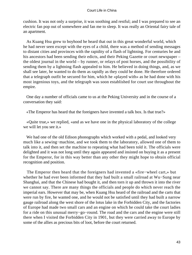cushion. It was not only a surprise, it was soothing and restful; and I was prepared to see an electric fan pop out of somewhere and fan me to sleep. It was really an Oriental fairy tale of an apartment.

 As Kuang Hsu grew to boyhood he heard that out in this great wonderful world, which he had never seen except with the eyes of a child, there was a method of sending messages to distant cities and provinces with the rapidity of a flash of lightning. For centuries he and his ancestors had been sending their edicts, and their Peking Gazette or court newspaper – the oldest journal in the world – by runner, or relays of post horses, and the possibility of sending them by a lightning flash appealed to him. He believed in doing things, and, as we shall see later, he wanted to do them as rapidly as they could be done. He therefore ordered that a telegraph outfit be secured for him, which he «played with» as he had done with his most ingenious toys, and the telegraph was soon established for court use throughout the empire.

 One day a number of officials came to us at the Peking University and in the course of a conversation they said:

«The Emperor has heard that the foreigners have invented a talk box. Is that true?»

 «Quite true,» we replied, «and as we have one in the physical laboratory of the college we will let you see it.»

 We had one of the old Edison phonographs which worked with a pedal, and looked very much like a sewing−machine, and we took them to the laboratory, allowed one of them to talk into it, and then set the machine to repeating what had been told it. The officials were delighted and it was not long until they again appeared and insisted on buying it as a present for the Emperor, for in this way better than any other they might hope to obtain official recognition and position.

 The Emperor then heard that the foreigners had invented a «fire−wheel cart,» but whether he had ever been informed that they had built a small railroad at Wu−Sung near Shanghai, and that the Chinese had bought it, and then torn it up and thrown it into the river we cannot say. There are many things the officials and people do which never reach the imperial ears. However that may be, when Kuang Hsu heard of the railroad and the carts that were run by fire, he wanted one, and he would not be satisfied until they had built a narrow gauge railroad along the west shore of the lotus lake in the Forbidden City, and the factories of Europe had made two small cars and an engine on which he could take the court ladies for a ride on this unusual merry−go−round. The road and the cars and the engine were still there when I visited the Forbidden City in 1901, but they were carried away to Europe by some of the allies as precious bits of loot, before the court returned.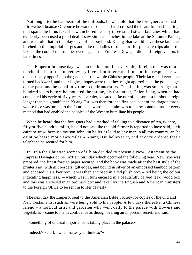Not long after he had heard of the railroads, he was told that the foreigners also had «fire−wheel boats.» Of course he wanted some, and as I crossed the beautiful marble bridge that spans the lotus lake, I saw anchored near by three small steam launches which had evidently been used a good deal. I saw similar launches in the lake at the Summer Palace, and was told that in the play days of his boyhood, Kuang Hsu would have these launches hitched to the imperial barges and take the ladies of the court for pleasure trips about the lake in the cool of the summer evenings, as the Empress Dowager did her foreign visitors in later times.

 The Emperor in those days was on the lookout for everything foreign that was of a mechanical nature. Indeed every invention interested him. In this respect he was diametrically opposite to the genius of the whole Chinese people. Their faces had ever been turned backward, and their highest hopes were that they might approximate the golden ages of the past, and be equal in virtue to their ancestors. This feeling was so strong that a hundred years before he mounted the throne, his forefather, Chien Lung, when he had completed his cycle of sixty years as a ruler, vacated in favour of his son lest he should reign longer than his grandfather. Kuang Hsu was therefore the first occupant of the dragon throne whose face was turned to the future, and whose chief aim was to possess and to master every method that had enabled the peoples of the West to humiliate his people.

 When he heard that the foreigners had a method of talking to a distance of ten, twenty, fifty or five hundred miles, he did not say like the old farmer is reported to have said, – «It caint be trew, because my son John kin holler as loud as any man in all this country, an' he caint be heerd mor'n two miles.» Kuang Hsu believed it, and at once ordered that a telephone be secured for him.

 In 1894 the Christian women of China decided to present a New Testament to the Empress Dowager on her sixtieth birthday which occurred the following year. New type was prepared, the finest foreign paper secured, and the book was made after the best style of the printer's art, with gilt borders, gilt edges, and bound in silver of an embossed bamboo pattern and encased in a silver box. It was then enclosed in a red plush box, – red being the colour indicating happiness, – which was in turn encased in a beautifully carved teak−wood box, and this was enclosed in an ordinary box and taken by the English and American ministers to the Foreign Office to be sent in to Her Majesty

 The next day the Emperor sent to the American Bible Society for copies of the Old and New Testaments, such as were being sold to his people. A few days thereafter a Chinese friend – a horticulturist and gardener who went daily to the palace with flowers and vegetables – came to me in confidence as though bearing an important secret, and said:

«Something of unusual importance is taking place in the palace.»

«Indeed?» said I; «what makes you think so?»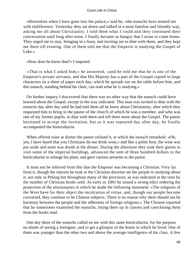«Heretofore when I have gone into the palace,» said he, «the eunuchs have treated me with indifference. Yesterday they sat down and talked in a most familiar and friendly way, asking me all about Christianity. I told them what I could and they continued their conversation until long after noon. I finally became so hungry that I arose to come home. They urged me to stay, bringing in a feast, and inviting me to dine with them, and they kept me there till evening. One of them told me that the Emperor is studying the Gospel of Luke.»

«How does he know that?» I inquired.

 «That is what I asked him,» he answered, «and he told me that he is one of the Emperor's private servants, and that His Majesty has a part of the Gospel copied in large characters on a sheet of paper each day, which he spreads out on the table before him, and this eunuch, standing behind his chair, can read what he is studying.»

 On further inquiry I discovered that there was no other way that the eunuch could have learned about the Gospel, except in the way indicated. This man was invited to dine with the eunuchs day after day until he had told them all he knew about Christianity, after which they requested him to bring in the pastor of the church of which he was a member, and who was one of my former pupils, to dine with them and tell them more about the Gospel. The pastor hesitated to accept the invitation, but as it was repeated day after day, he finally accompanied the horticulturist.

 When offered wine at dinner the pastor refused it, at which the eunuch remarked: «Oh, yes, I have heard that you Christians do not drink wine,» and like a polite host, the wine was put aside and none was drunk at the dinner. During the afternoon they took their guests to visit some of the imperial buildings, advanced the sum of three hundred dollars to the horticulturist to enlarge his plant, and gave various presents to the pastor.

 It must not be inferred from this that the Emperor was becoming a Christian. Very far from it, though the interest he took in the Christian doctrine set the people to studying about it, not only in Peking but throughout many of the provinces, as was indicated at the time by the number of Christian books sold. As early as 1891 he issued a strong edict ordering the protection of the missionaries in which he made the following statement: «The religions of the West have for their object the inculcation of virtue, and, though our people become converted, they continue to be Chinese subjects. There is no reason why there should not be harmony between the people and the adherents of foreign religions.» The Chinese reported that he sometimes examined the eunuchs, lining them up in classes and catechising them from the books read.

 One day three of the eunuchs called on me with this same horticulturist, for the purpose no doubt of seeing a foreigner, and to get a glimpse of the home in which he lived. One of them was younger than the other two and above the average intelligence of his class. A few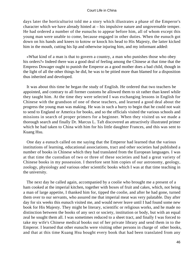days later the horticulturist told me a story which illustrates a phase of the Emperor's character which we have already hinted at – his impulsive nature and ungovernable temper. He had ordered a number of the eunuchs to appear before him, all of whom except this young man were unable to come, because engaged in other duties. When the eunuch got down on his hands and knees to kotow or knock his head to His Majesty, the latter kicked him in the mouth, cutting his lip and otherwise injuring him, and my informant added:

 «What kind of a man is that to govern a country, a man who punishes those who obey his orders?» Indeed there was a good deal of feeling among the Chinese at that time that the Empress Dowager ought to punish the Emperor as a good mother does a bad child, though in the light of all the other things he did, he was to be pitied more than blamed for a disposition thus inherited and developed.

 It was about this time he began the study of English. He ordered that two teachers be appointed, and contrary to all former customs he allowed them to sit rather than kneel while they taught him. At the time they were selected I was exchanging lessons in English for Chinese with the grandson of one of these teachers, and learned a good deal about the progress the young man was making. He was in such a hurry to begin that he could not wait to send to England or America for books, and so the officials visited the various schools and missions in search of proper primers for a beginner. When they visited us we made a thorough search and finally Dr. Marcus L. Taft discovered an attractively illustrated primer which he had taken to China with him for his little daughter Frances, and this was sent to Kuang Hsu.

 One day a eunuch called on me saying that the Emperor had learned that the various institutions of learning, educational associations, tract and other societies had published a number of books in Chinese which they had translated from the European languages. I was at that time the custodian of two or three of these societies and had a great variety of Chinese books in my possession. I therefore sent him copies of our astronomy, geology, zoology, physiology and various other scientific books which I was at that time teaching in the university.

 The next day he called again, accompanied by a coolie who brought me a present of a ham cooked at the imperial kitchen, together with boxes of fruit and cakes, which, not being a man of large appetite, I thanked him for, tipped the coolie, and after he had gone, turned them over to our servants, who assured me that imperial meat was very palatable. Day after day for six weeks this eunuch visited me, and would never leave until I had found some new book for His Majesty. They might be literary, scientific or religious works, and he made no distinction between the books of any sect or society, institution or body, but with an equal zeal he sought them all. I was sometimes reduced to a sheet tract, and finally I was forced to take my wife's Chinese medical books out of her private library and send them in to the Emperor. I learned that other eunuchs were visiting other persons in charge of other books, and that at this time Kuang Hsu bought every book that had been translated from any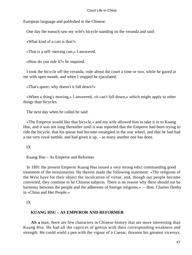European language and published in the Chinese.

One day the eunuch saw my wife's bicycle standing on the veranda and said:

«What kind of a cart is that?»

«That is a self−moving cart,» I answered.

«How do you ride it?» he inquired.

 I took the bicycle off the veranda, rode about the court a time or two, while he gazed at me with open mouth, and when I stopped he ejaculated:

«That's queer; why doesn't it fall down?»

 «When a thing's moving,» I answered, «it can't fall down,» which might apply to other things than bicycles.

The next day when he called he said:

 «The Emperor would like that bicycle,» and my wife allowed him to take it in to Kuang Hsu, and it was not long thereafter until it was reported that the Emperor had been trying to ride the bicycle, that his queue had become entangled in the rear wheel, and that he had had a not very royal tumble, and had given it up, – as many another one has done.

IX

Kuang Hsu – As Emperor and Reformer

 In 1891 the present Emperor Kuang Hsu issued a very strong edict commanding good treatment of the missionaries. He therein made the following statement: «The religions of the West have for their object the inculcation of virtue, and, though our people become converted, they continue to be Chinese subjects. There is no reason why there should not be harmony between the people and the adherents of foreign religions.» – Hon. Charles Denby in «China and Her People.»

IX

# **KUANG HSU** – **AS EMPEROR AND REFORMER**

**AS a** man, there are few characters in Chinese history that are more interesting than Kuang Hsu. He had all the caprices of genius with their corresponding weakness and strength. He could wield a pen with the vigour of a Caesar, threaten his greatest viceroys,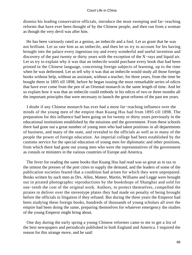dismiss his leading conservative officials, introduce the most sweeping and far−reaching reforms that have ever been thought of by the Chinese people, and then run from a woman as though the very devil was after him.

 He has been variously rated as a genius, an imbecile and a fool. Let us grant that he was not brilliant. Let us rate him as an imbecile, and then let us try to account for his having brought into the palace every ingenious toy and every wonderful and useful invention and discovery of the past twenty or thirty years with the exception of the X−rays and liquid air. Let us try to explain why it was that an imbecile would purchase every book that had been printed in the Chinese language, concerning foreign subjects of learning, up to the time when he was dethroned. Let us tell why it was that an imbecile would study all those foreign books without help, without an assistant, without a teacher, for three years, from the time he bought them in 1895 till 1898, before he began issuing the most remarkable series of edicts that have ever come from the pen of an Oriental monarch in the same length of time. And let us explain how it was that an imbecile could embody in his edicts of two or three months all the important principles that were necessary to launch the great reforms of the past ten years.

 I doubt if any Chinese monarch has ever had a more far−reaching influence over the minds of the young men of the empire than Kuang Hsu had from 1895 till 1898. The preparation for this influence had been going on for twenty or thirty years previously in the educational institutions established by the missions and the government. From these schools there had gone out a great number of young men who had taken positions in all departments of business, and many of the state, and revealed to the officials as well as to many of the people the power of foreign education. An imperial college had been established by the customs service for the special education of young men for diplomatic and other positions, from which there had gone out young men who were the representatives of the government as consuls or ministers in the various countries of Europe and America.

 The fever for reading the same books that Kuang Hsu had read was so great as to tax to the utmost the presses of the port cities to supply the demand, and the leaders of some of the publication societies feared that a condition had arisen for which they were unprepared. Books written by such men as Drs. Allen, Mateer, Martin, Williams and Legge were brought out in pirated photographic reproductions by the bookshops of Shanghai and sold for one−tenth the cost of the original work. Authors, to protect themselves, compelled the pirates to deliver over the stereotype plates they had made on penalty of being brought before the officials in litigation if they refused. But during the three years the Emperor had been studying these foreign books, hundreds of thousands of young scholars all over the empire had been doing the same, preparing themselves for whatever emergency the studies of the young Emperor might bring about.

 One day during the early spring a young Chinese reformer came to me to get a list of the best newspapers and periodicals published in both England and America. I inquired the reason for this strange move, and he said: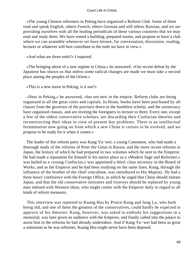«The young Chinese reformers in Peking have organized a Reform Club. Some of them read and speak English, others French, others German and still others Russian, and we are providing ourselves with all the leading periodicals of these various countries that we may read and study them. We have rented a building, prepared rooms, and propose to have a club where we can assemble whenever we have leisure, for conversation, discussion, reading, lectures or whatever will best contribute to the ends we have in view.»

«And what are those ends?» I inquired.

 «The bringing about of a new regime in China,» he answered. «Our recent defeat by the Japanese has shown us that unless some radical changes are made we must take a second place among the peoples of the Orient.»

«This is a new move in Peking, is it not?»

 «New in Peking,» he answered, «but not new in the empire. Reform clubs are being organized in all the great cities and capitals. In Hsian, books have been purchased by all classes from the governor of the province down to the humblest scholar, and the aristocracy have organized classes, and are inviting the foreigners to lecture to them. Every one, except a few of the oldest conservative scholars, are discarding their Confucian theories and reconstructing their ideas in view of present day problems. There is an intellectual fermentation now going on from which a new China is certain to be evolved, and we propose to be ready for it when it comes.»

 The leader of this reform party was Kang Yu−wei, a young Cantonese, who had made a thorough study of the reforms of Peter the Great in Russia, and the more recent reforms in Japan, the history of which he had prepared in two volumes which he sent to the Emperor. He had made a reputation for himself in his native place as a «Modern Sage and Reformer,» was hailed as a «young Confucius,» was appointed a third−class secretary in the Board of Works, and as the Emperor and he had been studying on the same lines, Kang, through the influence of the brother of the chief concubine, was introduced to His Majesty. He had a three hours' conference with the Foreign Office, in which he urged that China should imitate Japan, and that the old conservative ministers and viceroys should be replaced by young men imbued with Western ideas, who might confer with the Emperor daily in regard to all kinds of reform measures.

 This interview was reported to Kuang Hsu by Prince Kung and Jung Lu, who both being old, and one of them the greatest of the conservatives, could hardly be expected to approve of his theories. Kang, however, was asked to embody his suggestions in a memorial, was later given an audience with the Emperor, and finally called into the palace to assist him in the reforms he had already undertaken. And if Kang Yu−wei had been as great a statesman as he was reformer, Kuang Hsu might never have been deposed.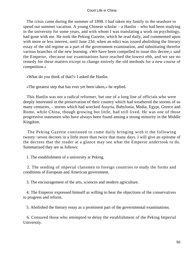The crisis came during the summer of 1898. I had taken my family to the seashore to spend our summer vacation. A young Chinese scholar – a Hanlin – who had been studying in the university for some years, and with whom I was translating a work on psychology, had gone with me. He took the Peking Gazette, which he read daily, and commented upon with more or less interest, until June 23d, when an edict was issued abolishing the literary essay of the old regime as a part of the government examination, and substituting therefor various branches of the new learning. «We have been compelled to issue this decree,» said the Emperor, «because our examinations have reached the lowest ebb, and we see no remedy for these matters except to change entirely the old methods for a new course of competition.»

«What do you think of that?» I asked the Hanlin.

«The greatest step that has ever yet been taken,» he replied.

 This Hanlin was not a radical reformer, but one of a long line of officials who were deeply interested in the preservation of their country which had weathered the storms of so many centuries, – storms which had wrecked Assyria, Babylonia, Media, Egypt, Greece and Rome, while China, though growing but little, had still lived. He was one of those progressive statesmen who have always been found among a strong minority in the Middle Kingdom.

 The Peking Gazette continued to come daily bringing with it the following twenty−seven decrees in a little more than twice that many days. I will give an epitome of the decrees that the reader at a glance may see what the Emperor undertook to do. Summarized they are as follows:

1. The establishment of a university at Peking.

 2. The sending of imperial clansmen to foreign countries to study the forms and conditions of European and American government.

3. The encouragement of the arts, sciences and modern agriculture.

 4. The Emperor expressed himself as willing to hear the objections of the conservatives to progress and reform.

5. Abolished the literary essay as a prominent part of the governmental examinations.

 6. Censured those who attempted to delay the establishment of the Peking Imperial University.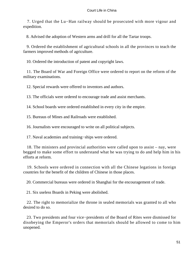7. Urged that the Lu−Han railway should be prosecuted with more vigour and expedition.

8. Advised the adoption of Western arms and drill for all the Tartar troops.

 9. Ordered the establishment of agricultural schools in all the provinces to teach the farmers improved methods of agriculture.

10. Ordered the introduction of patent and copyright laws.

 11. The Board of War and Foreign Office were ordered to report on the reform of the military examinations.

12. Special rewards were offered to inventors and authors.

13. The officials were ordered to encourage trade and assist merchants.

14. School boards were ordered established in every city in the empire.

15. Bureaus of Mines and Railroads were established.

16. Journalists were encouraged to write on all political subjects.

17. Naval academies and training−ships were ordered.

 18. The ministers and provincial authorities were called upon to assist – nay, were begged to make some effort to understand what he was trying to do and help him in his efforts at reform.

 19. Schools were ordered in connection with all the Chinese legations in foreign countries for the benefit of the children of Chinese in those places.

20. Commercial bureaus were ordered in Shanghai for the encouragement of trade.

21. Six useless Boards in Peking were abolished.

 22. The right to memorialize the throne in sealed memorials was granted to all who desired to do so.

23. Two presidents and four vice–presidents of the Board of Rites were dismissed for disobeying the Emperor's orders that memorials should be allowed to come to him unopened.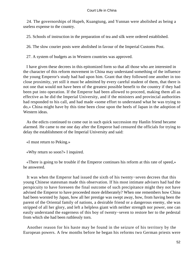24. The governorships of Hupeh, Kuangtung, and Yunnan were abolished as being a useless expense to the country.

25. Schools of instruction in the preparation of tea and silk were ordered established.

26. The slow courier posts were abolished in favour of the Imperial Customs Post.

27. A system of budgets as in Western countries was approved.

 I have given these decrees in this epitomized form so that all those who are interested in the character of this reform movement in China may understand something of the influence the young Emperor's study had had upon him. Grant that they followed one another in too close proximity, yet still it must be admitted by every careful student of them, that there is not one that would not have been of the greatest possible benefit to the country if they had been put into operation. If the Emperor had been allowed to proceed, making them all as effective as he did the Imperial University, and if the ministers and provincial authorities had responded to his call, and had made «some effort to understand what he was trying to do,» China might have by this time been close upon the heels of Japan in the adoption of Western ideas.

 As the edicts continued to come out in such quick succession my Hanlin friend became alarmed. He came to me one day after the Emperor had censured the officials for trying to delay the establishment of the Imperial University and said:

«I must return to Peking.»

«Why return so soon?» I inquired.

 «There is going to be trouble if the Emperor continues his reform at this rate of speed,» he answered.

 It was when the Emperor had issued the sixth of his twenty−seven decrees that this young Chinese statesman made this observation. If his most intimate advisers had had the perspicuity to have foreseen the final outcome of such precipitance might they not have advised the Emperor to have proceeded more deliberately? When one remembers how China had been worsted by Japan, how all her prestige was swept away, how, from having been the parent of the Oriental family of nations, a desirable friend or a dangerous enemy, she was stripped of all her glory, and left a helpless giant with neither strength nor power, one can easily understand the eagerness of this boy of twenty−seven to restore her to the pedestal from which she had been ruthlessly torn.

 Another reason for his haste may be found in the seizure of his territory by the European powers. A few months before he began his reforms two German priests were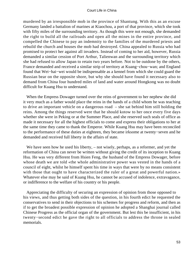murdered by an irresponsible mob in the province of Shantung. With this as an excuse Germany landed a battalion of marines at Kiaochou, a port of that province, which she took with fifty miles of the surrounding territory. As though this were not enough, she demanded the right to build all the railroads and open all the mines in the entire province, and compelled the Chinese to pay an indemnity to the families of the murdered priests and rebuild the church and houses the mob had destroyed. China appealed to Russia who had promised to protect her against all invaders. Instead of coming to her aid, however, Russia demanded a similar cession of Port Arthur, Talienwan and the surrounding territory which she had refused to allow Japan to retain two years before. Not to be outdone by the others, France demanded and received a similar strip of territory at Kuang−chou−wan; and England found that Wei−hai−wei would be indispensable as a kennel from which she could guard the Russian bear on the opposite shore, but why she should have found it necessary also to demand from China four hundred miles of land and water around Hongkong was no doubt difficult for Kuang Hsu to understand.

 When the Empress Dowager turned over the reins of government to her nephew she did it very much as a father would place the reins in the hands of a child whom he was teaching to drive an important vehicle on a dangerous road – she sat behind him still holding the reins. Among the things reserved were that he should kotow to her once every five days whether she were in Peking or at the Summer Place, and she reserved such seals of office as made it necessary for all the highest officials to come and express their obligations to her at the same time they came to thank the Emperor. While Kuang Hsu may have been reconciled to the performance of these duties at eighteen, they became irksome at twenty−seven and he demanded and received full liberty in the affairs of state.

We have seen how he used his liberty, – not wisely, perhaps, as a reformer, and yet the reformation of China can never be written without giving the credit of its inception to Kuang Hsu. He was very different from Hsien Feng, the husband of the Empress Dowager, before whose death we are told «the whole administrative power was vested in the hands of a council of eight, whilst he himself spent his time in ways that were by no means consistent with those that ought to have characterized the ruler of a great and powerful nation.» Whatever else may be said of Kuang Hsu, he cannot be accused of indolence, extravagance, or indifference to the welfare of his country or his people.

 Appreciating the difficulty of securing an expression of opinion from those opposed to his views, and thus getting both sides of the question, in his fourth edict he requested the conservatives to send in their objections to his schemes for progress and reform, and then as if to get the broadest possible expression of opinion he adopted a Shanghai journal called Chinese Progress as the official organ of the government. But lest this be insufficient, in his twenty−second edict he gave the right to all officials to address the throne in sealed memorials.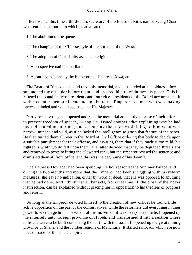There was at this time a third−class secretary of the Board of Rites named Wang Chao who sent in a memorial in which he advocated:

1. The abolition of the queue.

2. The changing of the Chinese style of dress to that of the West.

- 3. The adoption of Christianity as a state religion.
- 4. A prospective national parliament.
- 5. A journey to Japan by the Emperor and Empress Dowager.

 The Board of Rites opened and read this memorial, and, astounded at its boldness, they summoned the offender before them, and ordered him to withdraw his paper. This he refused to do and the two presidents and four vice−presidents of the Board accompanied it with a counter memorial denouncing him to the Emperor as a man who was making narrow−minded and wild suggestions to His Majesty.

 Partly because they had opened and read the memorial and partly because of their effort to prevent freedom of speech, Kuang Hsu issued another edict explaining why he had invited sealed memorials, and censuring them for explaining to him what was narrow−minded and wild, as if he lacked the intelligence to grasp that feature of the paper. He then turned them all over to the Board of Civil Office ordering that body to decide upon a suitable punishment for their offense, and assuring them that if they made it too mild, his righteous wrath would fall upon them. The latter decided that they be degraded three steps and removed to posts befitting their lowered rank, but the Emperor revised the sentence and dismissed them all from office, and this was the beginning of his downfall.

 The Empress Dowager had been spending the hot season at the Summer Palace, and during the two months and more that the Emperor had been struggling with his reform measures, she gave no indication, either by word or deed, that she was opposed to anything that he had done. And I think that all her acts, from that time till the close of the Boxer insurrection, can be explained without placing her in opposition to his theories of progress and reform.

 So long as the Emperor devoted himself to the creation of new offices he found little active opposition on the part of the conservatives, while the reformers did everything in their power to encourage him. The extent of the movement it is not easy to estimate. It opened up the intensely anti−foreign province of Hupeh, and transformed it into a section where railroads were to be built connecting the north with the south. It opened up the great mining province of Shansi and the lumber regions of Manchuria. It started railroads which are now lines of trade for the whole empire.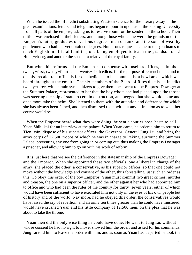When he issued the fifth edict substituting Western science for the literary essay in the great examinations, letters and telegrams began to pour in upon us at the Peking University from all parts of the empire, asking us to reserve room for the senders in the school. Their tuition was enclosed in their letters, and among those who came were the grandson of the Emperor's tutor, graduates of various degrees, men of rank, and the sons of wealthy gentlemen who had not yet obtained degrees. Numerous requests came to our graduates to teach English in official families, one being employed to teach the grandson of Li Hung−chang, and another the sons of a relative of the royal family.

 But when his reforms led the Emperor to dispense with useless offices, as in his twenty−first, twenty−fourth and twenty−sixth edicts, for the purpose of retrenchment, and to dismiss recalcitrant officials for disobedience to his commands, a howl arose which was heard throughout the empire. The six members of the Board of Rites dismissed in edict twenty−three, with certain sympathizers to give them face, went to the Empress Dowager at the Summer Palace, represented to her that the boy whom she had placed upon the throne was steering the ship of state to certain destruction, and begged that she would come and once more take the helm. She listened to them with the attention and deference for which she has always been famed, and then dismissed them without any intimation as to what her course would be.

 When the Emperor heard what they were doing, he sent a courier post−haste to call Yuan Shih−kai for an interview at the palace. When Yuan came, he ordered him to return to Tien−tsin, dispose of his superior officer, the Governor−General Jung Lu, and bring the army corps of 12,500 troops of which he was in charge to Peking, surround the Summer Palace, preventing any one from going in or coming out, thus making the Empress Dowager a prisoner, and allowing him to go on with his work of reform.

 It is just here that we see the difference in the statesmanship of the Empress Dowager and the Emperor. When she appointed these two officials, one a liberal in charge of the army, she placed the other, a conservative, as his superior officer, so that one could not move without the knowledge and consent of the other, thus forestalling just such an order as this. To obey this order of the boy Emperor, Yuan must commit two great crimes, murder and treason, the one on a superior officer, and the other against her who had appointed him to office and who had been the ruler of the country for thirty−seven years, either of which would have been sufficient to have execrated him not only in the eyes of his own people but of history and of the world. Nay more, had he obeyed this order, the conservatives would have raised the cry of rebellion, and an army ten times greater than he could have mustered, would have crushed Yuan and his little company of 12,500 men, on the plea that he was about to take the throne.

 Yuan then did the only wise thing he could have done. He went to Jung Lu, without whose consent he had no right to move, showed him the order, and asked for his commands. Jung Lu told him to leave the order with him, and as soon as Yuan had departed he took the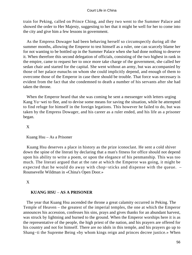train for Peking, called on Prince Ching, and they two went to the Summer Palace and showed the order to Her Majesty, suggesting to her that it might be well for her to come into the city and give him a few lessons in government.

 As the Empress Dowager had been behaving herself so circumspectly during all the summer months, allowing the Emperor to test himself as a ruler, one can scarcely blame her for not wanting to be bottled up in the Summer Palace when she had done nothing to deserve it. When therefore this second delegation of officials, consisting of the two highest in rank in the empire, came to request her to once more take charge of the government, she called her sedan chair and started for the capital. She went without an army, but was accompanied by those of her palace eunuchs on whom she could implicitly depend, and enough of them to overcome those of the Emperor in case there should be trouble. That force was necessary is evident from the fact that she condemned to death a number of his servants after she had taken the throne.

 When the Emperor heard that she was coming he sent a messenger with letters urging Kang Yu−wei to flee, and to devise some means for saving the situation, while he attempted to find refuge for himself in the foreign legations. This however he failed to do, but was taken by the Empress Dowager, and his career as a ruler ended, and his life as a prisoner began.

## X

## Kuang Hsu – As a Prisoner

 Kuang Hsu deserves a place in history as the prize iconoclast. He sent a cold shiver down the spine of the literati by declaring that a man's fitness for office should not depend upon his ability to write a poem, or upon the elegance of his penmanship. This was too much. The literati argued that at the rate at which the Emperor was going, it might be expected that he would do away with chop−sticks and dispense with the queue. – Rounsevelle Wildman in «China's Open Door.»

## X

## **KUANG HSU** – **AS A PRISONER**

 The year that Kuang Hsu ascended the throne a great calamity occurred in Peking. The Temple of Heaven – the greatest of the imperial temples, the one at which the Emperor announces his accession, confesses his sins, prays and gives thanks for an abundant harvest, was struck by lightning and burned to the ground. When the Emperor worships here it is as the representative of the people, the high priest of the nation, and his prayers are offered for his country and not for himself. There are no idols in this temple, and his prayers go up to Shang−ti the Supreme Being «by whom kings reign and princes decree justice.» When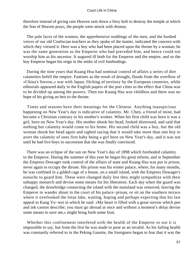therefore instead of giving rain Heaven sent down a fiery bolt to destroy the temple at which the Son of Heaven prays, the people were struck with dismay.

 The pale faces of the women, the apprehensive noddings of the men, and the hushed voices of our old Confucian teachers as they spoke of the matter, indicated the concern with which they viewed it. Here was a boy who had been placed upon the throne by a woman; he was the same generation as the Emperor who had preceded him, and hence could not worship him as his ancestor. It augured ill both for the Emperor and the empire, and so the boy Emperor began his reign in the midst of evil forebodings.

 During the nine years that Kuang Hsu had nominal control of affairs a series of dire calamities befell the empire. Famines as the result of drought, floods from the overflow of «China's Sorrow,» war with Japan, filching of territory by the European countries, while editorials appeared daily in the English papers of the port cities to the effect that China was to be divided up among the powers. Then too Kuang Hsu was childless and there was no hope of his giving an heir to the throne.

 Times and seasons have their meanings for the Chinese. Anything inauspicious happening on New Year's day is indicative of calamity. Mr. Chen, a friend of mine, had become a Christian contrary to his mother's wishes. When his first child was born it was a girl, born on New Year's day. His mother shook her head, looked distressed, and said that nothing but calamity would come to his home. His second child was a boy, but the old woman shook her head again and sighed saying that it would take more than one boy to avert the calamity of ones first baby being a girl born on New Year's day, and it was not until he had five boys in succession that she was finally convinced.

 There was an eclipse of the sun on New Year's day of 1898 which foreboded calamity to the Emperor. During the summer of this year he began his great reform, and in September the Empress Dowager took control of the affairs of state and Kuang Hsu was put in prison, never again to occupy the throne. His prison was his winter palace, where, for many months, he was confined in a gilded cage of a house, on a small island, with the Empress Dowager's eunuchs to guard him. These were changed daily lest they might sympathize with their unhappy monarch and devise some means for his liberation. Each day when the guard was changed, the drawbridge connecting the island with the mainland was removed, leaving the Emperor to wander about in the court of his palace−prison, or sit on the southern terrace where it overlooked the lotus lake, waiting, hoping and perhaps expecting that his last appeal to Kang Yu−wei in which he said: «My heart is filled with a great sorrow which pen and ink cannot describe; you must go abroad at once and without a moment's delay devise some means to save me,» might bring forth some fruit.

 Whether this confinement interfered with the health of the Emperor or not it is impossible to say, but from the first he was made to pose as an invalid. As his failing health was constantly referred to in the Peking Gazette, the foreigners began to fear that it was the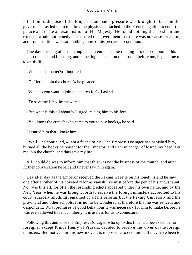intention to dispose of the Emperor, and such pressure was brought to bear on the government as led them to allow the physician attached to the French legation to enter the palace and make an examination of His Majesty. He found nothing that fresh air and exercise would not remedy and assured the government that there was no cause for alarm, and from that time we heard nothing more of his precarious condition.

 One day not long after the coup d'etat a eunuch came rushing into our compound, his face scratched and bleeding, and knocking his head on the ground before me, begged me to save his life.

«What is the matter?» I inquired.

«Oh! let me join the church!» he pleaded.

«What do you want to join the church for?» I asked.

«To save my life,» he answered.

«But what is this all about?» I urged, raising him to his feet.

«You know the eunuch who came to you to buy books,» he said.

I assured him that I knew him.

 «Well,» he continued, «I am a friend of his. The Empress Dowager has banished him, burned all the books he bought for the Emperor, and I am in danger of losing my head. Let me join the church, and thus save my life.»

 All I could do was to inform him that this was not the business of the church, and after further conversation he left and I never saw him again.

 Day after day as the Emperor received the Peking Gazette on his lonely island he saw one after another of his coveted reforms vanish like mist before the pen of his august aunt. Nor was this all, for often the rescinding edicts appeared under his own name, and by the New Year, when he was brought forth to receive the foreign ministers accredited to his court, scarcely anything remained of all his reforms but the Peking University and the provincial and other schools. It is not to be wondered at therefore that he was reticent and despondent. What promises of good behaviour it was necessary for him to make before he was even allowed this much liberty, it is useless for us to conjecture.

 Following this audience the Empress Dowager, who up to this time had been seen by no foreigner except Prince Henry of Prussia, decided to receive the wives of the foreign ministers. Her motives for this new move it is impossible to determine. It may have been to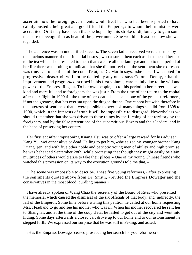ascertain how the foreign governments would treat her who had been reported to have calmly ousted «their great and good friend the Emperor,» to whom their ministers were accredited. Or it may have been that she hoped by this stroke of diplomacy to gain some measure of recognition as head of the government. She would at least see how she was regarded.

 The audience was an unqualified success. The seven ladies received were charmed by the gracious manner of their imperial hostess, who assured them each as she touched her lips to the tea which she presented to them that «we are all one family,» and up to that period of her life there was nothing to indicate that she did not feel that the sentiment she expressed was true. Up to the time of the coup d'etat, as Dr. Martin says, «she herself was noted for progressive ideas.» «It will not be denied by any one,» says Colonel Denby, «that the improvement and progress» described in his first volume, «are mainly due to the will and power of the Empress Regent. To her own people, up to this period in her career, she was kind and merciful, and to foreigners she was just.» From the time of her return to the capital after their flight in 1900 till the time of her death she became one of the greatest reformers, if not the greatest, that has ever sat upon the dragon throne. One cannot but wish therefore in the interests of sentiment that it were possible to overlook many things she did from 1898 to 1900, which in the interests of truth it will be impossible to disregard. Nevertheless we should remember that she was driven to these things by the filching of her territory by the foreigners, and by the false pretentions of the superstitious Boxers and their leaders, and in the hope of preserving her country.

 Her first act after imprisoning Kuang Hsu was to offer a large reward for his adviser Kang Yu−wei either alive or dead. Failing to get him, «she seized his younger brother Kang Kuang−jen, and with five other noble and patriotic young men of ability and high promise, he was beheaded September 28th, while protesting that though they might easily be slain, multitudes of others would arise to take their places.» One of my young Chinese friends who watched this procession on its way to the execution grounds told me that, –

 «The scene was impossible to describe. These five young reformers,» after expressing the sentiments quoted above from Dr. Smith, «reviled the Empress Dowager and the conservatives in the most blood−curdling manner.»

 I have already spoken of Wang Chao the secretary of the Board of Rites who presented the memorial which caused the dismissal of the six officials of that body, and, indirectly, the fall of the Emperor. Some time before writing this petition he called at our home requesting Mrs. Headland to go and see his mother who was ill. When his mother recovered he sent her to Shanghai, and at the time of the coup d'etat he failed to get out of the city and went into hiding. Some days afterwards a closed cart drove up to our home and to our astonishment he stepped forth. We expressed our surprise that he was still in Peking, and asked:

«Has the Empress Dowager ceased prosecuting her search for you reformers?»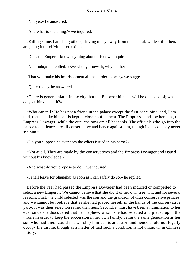«Not yet,» he answered.

«And what is she doing?» we inquired.

 «Killing some, banishing others, driving many away from the capital, while still others are going into self−imposed exile.»

«Does the Emperor know anything about this?» we inquired.

«No doubt,» he replied. «Everybody knows it, why not he?»

«That will make his imprisonment all the harder to bear,» we suggested.

«Quite right,» he answered.

 «There is general alarm in the city that the Emperor himself will be disposed of; what do you think about it?»

 «Who can tell? He has not a friend in the palace except the first concubine, and, I am told, that she like himself is kept in close confinement. The Empress stands by her aunt, the Empress Dowager, while the eunuchs now are all her tools. The officials who go into the palace to audiences are all conservative and hence against him, though I suppose they never see him.»

«Do you suppose he ever sees the edicts issued in his name?»

 «Not at all. They are made by the conservatives and the Empress Dowager and issued without his knowledge.»

«And what do you propose to do?» we inquired.

«I shall leave for Shanghai as soon as I can safely do so,» he replied.

 Before the year had passed the Empress Dowager had been induced or compelled to select a new Emperor. We cannot believe that she did it of her own free will, and for several reasons. First, the child selected was the son and the grandson of ultra conservative princes, and we cannot but believe that as she had placed herself in the hands of the conservative party, it was their selection rather than hers. Second, it must have been a humiliation to her ever since she discovered that her nephew, whom she had selected and placed upon the throne in order to keep the succession in her own family, being the same generation as her son who had died, could not worship him as his ancestor, and hence could not legally occupy the throne, though as a matter of fact such a condition is not unknown in Chinese history.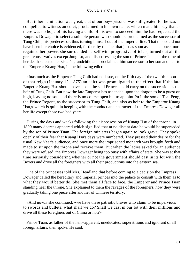But if her humiliation was great, that of our boy−prisoner was still greater, for he was compelled to witness an edict, proclaimed in his own name, which made him say that as there was no hope of his having a child of his own to succeed him, he had requested the Empress Dowager to select a suitable person who should be proclaimed as the successor of Tung Chih, his predecessor, thus turning himself out of the imperial line. That this could not have been her choice is evidenced, further, by the fact that just as soon as she had once more regained her power, she surrounded herself with progressive officials, turned out all the great conservatives except Jung Lu, and dispossessing the son of Prince Tuan, at the time of her death selected her sister's grandchild and proclaimed him successor to her son and heir to the Emperor Kuang Hsu, in the following edict:

 «Inasmuch as the Emperor Tung Chih had no issue, on the fifth day of the twelfth moon of that reign (January 12, 1875) an edict was promulgated to the effect that if the late Emperor Kuang Hsu should have a son, the said Prince should carry on the succession as the heir of Tung Chih. But now the late Emperor has ascended upon the dragon to be a guest on high, leaving no son, and there is no course open but to appoint Pu I, the son of Tsai Feng, the Prince Regent, as the successor to Tung Chih, and also as heir to the Emperor Kuang Hsu,» which is quite in keeping with the conduct and character of the Empress Dowager all her life except those two bad years.

 During the days and weeks following the dispossession of Kuang Hsu of the throne, in 1899 many decrees appeared which signified that at no distant date he would be superseded by the son of Prince Tuan. The foreign ministers began again to look grave. They spoke openly of their fear that Kuang Hsu's days were numbered. They pressed their desire for the usual New Year's audience, and once more the imprisoned monarch was brought forth and made to sit upon the throne and receive them. But when the ladies asked for an audience they were refused, the Empress Dowager being too busy with affairs of state. She was at that time seriously considering whether or not the government should cast in its lot with the Boxers and drive all the foreigners with all their productions into the eastern sea.

 One of the princesses told Mrs. Headland that before coming to a decision the Empress Dowager called the hereditary and imperial princes into the palace to consult with them as to what they would better do. She met them all face to face, the Emperor and Prince Tuan standing near the throne. She explained to them the ravages of the foreigners, how they were gradually taking one piece after another of Chinese territory.

 «And now,» she continued, «we have these patriotic braves who claim to be impervious to swords and bullets; what shall we do? Shall we cast in our lot with their millions and drive all these foreigners out of China or not?»

 Prince Tuan, as father of the heir−apparent, uneducated, superstitious and ignorant of all foreign affairs, then spoke. He said: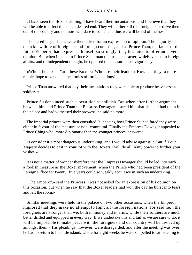«I have seen the Boxers drilling, I have heard their incantations, and I believe that they will be able to effect this much desired end. They will either kill the foreigners or drive them out of the country and no more will dare to come, and thus we will be rid of them.»

 The hereditary princes were then asked for an expression of opinion. The majority of them knew little of foreigners and foreign countries, and as Prince Tuan, the father of the future Emperor, had expressed himself so strongly, they hesitated to offer an adverse opinion. But when it came to Prince Su, a man of strong character, widely versed in foreign affairs, and of independent thought, he opposed the measure most vigorously.

 «Who,» he asked, "are these Boxers? Who are their leaders? How can they, a mere rabble, hope to vanquish the armies of foreign nations?'

 Prince Tuan answered that «by their incantations they were able to produce heaven−sent soldiers.»

 Prince Su denounced such superstition as childish. But when after further argument between him and Prince Tuan the Empress Dowager assured him that she had had them in the palace and had witnessed their prowess, he said no more.

 The imperial princes were then consulted, but seeing how Prince Su had fared they were either in favour of the measure or non−committal. Finally the Empress Dowager appealed to Prince Ching who, more diplomatic than the younger princes, answered:

 «I consider it a most dangerous undertaking, and I would advise against it. But if Your Majesty decides to cast in your lot with the Boxers I will do all in my power to further your wishes.»

 It is not a matter of wonder therefore that the Empress Dowager should be led into such a foolish measure as the Boxer movement, when the Prince who had been president of the Foreign Office for twenty−five years could so weakly acquiesce in such an undertaking.

 «The Emperor,» said the Princess, «was not asked for an expression of his opinion on this occasion, but when he saw that the Boxer leaders had won the day he burst into tears and left the room.»

 Similar meetings were held in the palace on two other occasions, when the Emperor implored that they make no attempt to fight all the foreign nations, for said he, «the foreigners are stronger than we, both in money and in arms, while their soldiers are much better drilled and equipped in every way. If we undertake this and fail as we are sure to do, it will be impossible to make peace with the foreigners and our country will be divided up amongst them.» His pleadings, however, were disregarded, and after the meeting was over, he had to return to his little island, where for eight weeks he was compelled to sit listening to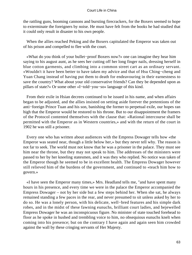the rattling guns, booming cannons and bursting firecrackers, for the Boxers seemed to hope to exterminate the foreigners by noise. He must have felt from the books he had studied that it could only result in disaster to his own people.

 When the allies reached Peking and the Boxers capitulated the Emperor was taken out of his prison and compelled to flee with the court.

 «What do you think of your bullet−proof Boxers now?» one can imagine they hear him saying to his august aunt, as he sees her cutting off her long finger nails, dressing herself in blue cotton garments, and climbing into a common street cart as an ordinary servant. «Wouldn't it have been better to have taken my advice and that of Hsu Ching−cheng and Yuan Chang instead of having put them to death for endeavouring in their earnestness to save the country? What about your old conservative friends? Can they be depended upon as pillars of state?» Or some other «I−told−you−so» language of this kind.

 From their exile in Hsian decrees continued to be issued in his name, and when affairs began to be adjusted, and the allies insisted on setting aside forever the pretentions of the anti−foreign Prince Tuan and his son, banishing the former to perpetual exile, our hopes ran high that the Emperor would be restored to his throne. But to our disappointment the framers of the Protocol contented themselves with the clause that: «Rational intercourse shall be permitted with the Emperor as in Western countries,» and with the return of the court in 1902 he was still a prisoner.

 Every one who has written about audiences with the Empress Dowager tells how «the Emperor was seated near, though a little below her,» but they never tell why. The reason is not far to seek. The world must not know that he was a prisoner in the palace. They must see him near the throne, but they may not speak to him. The addresses of the ministers were passed to her by her kneeling statesmen, and it was they who replied. No notice was taken of the Emperor though he seemed to be in excellent health. The Empress Dowager however still relieved him of the burdens of the government, and continued to «teach him how to govern.»

 «I have seen the Emperor many times,» Mrs. Headland tells me, "and have spent many hours in his presence, and every time we were in the palace the Emperor accompanied the Empress Dowager – not by her side but a few steps behind her. When she sat, he always remained standing a few paces in the rear, and never presumed to sit unless asked by her to do so. He was a lonely person, with his delicate, well−bred features and his simple dark robes, and in the midst of these fawning eunuchs, brilliant court ladies, and bejewelled Empress Dowager he was an inconspicuous figure. No minister of state touched forehead to floor as he spoke in hushed and trembling voice to him, no obsequious eunuchs knelt when coming into his presence; but on the contrary I have again and again seen him crowded against the wall by these cringing servants of Her Majesty.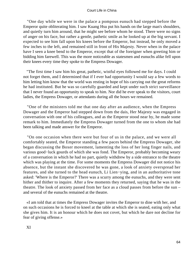"One day while we were in the palace a pompous eunuch had stepped before the Emperor quite obliterating him. I saw Kuang Hsu put his hands on the large man's shoulders, and quietly turn him around, that he might see before whom he stood. There were no signs of anger on his face, but rather a gentle, pathetic smile as he looked up at the big servant. I expected to see him fall upon his knees before the Emperor, but instead, he only moved a few inches to the left, and remained still in front of His Majesty. Never when in the palace have I seen a knee bend to the Emperor, except that of the foreigner when greeting him or bidding him farewell. This was the more noticeable as statesmen and eunuchs alike fell upon their knees every time they spoke to the Empress Dowager.

 "The first time I saw him his great, pathetic, wistful eyes followed me for days. I could not forget them, and I determined that if I ever had opportunity I would say a few words to him letting him know that the world was resting in hope of his carrying out the great reforms he had instituted. But he was so carefully guarded and kept under such strict surveillance that I never found an opportunity to speak to him. Nor did he ever speak to the visitors, court ladies, the Empress Dowager, or attendants during all the hours we remained.

 "One of the ministers told me that one day after an audience, when the Empress Dowager and the Emperor had stepped down from the dais, Her Majesty was engaged in conversation with one of his colleagues, and as the Emperor stood near by, he made some remark to him. Immediately the Empress Dowager turned from the one to whom she had been talking and made answer for the Emperor.

 "On one occasion when there were but four of us in the palace, and we were all comfortably seated, the Emperor standing a few paces behind the Empress Dowager, she began discussing the Boxer movement, lamenting the loss of her long finger nails, and various good−luck gourds of which she was fond. The Emperor, probably becoming weary of a conversation in which he had no part, quietly withdrew by a side entrance to the theatre which was playing at the time. For some moments the Empress Dowager did not notice his absence, but the instant she discovered he was gone, a look of anxiety overspread her features, and she turned to the head eunuch, Li Lien−ying, and in an authoritative tone asked: 'Where is the Emperor?' There was a scurry among the eunuchs, and they were sent hither and thither to inquire. After a few moments they returned, saying that he was in the theatre. The look of anxiety passed from her face as a cloud passes from before the sun – and several of the eunuchs remained at the theatre.

 «I am told that at times the Empress Dowager invites the Emperor to dine with her, and on such occasions he is forced to kneel at the table at which she is seated, eating only what she gives him. It is an honour which he does not covet, but which he dare not decline for fear of giving offense.»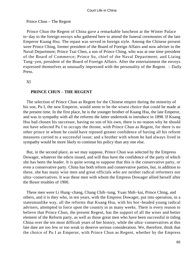# Prince Chun – The Regent

 Prince Chun the Regent of China gave a remarkable luncheon at the Winter Palace to−day to the foreign envoys who gathered here to attend the funeral ceremonies of the late Emperor Kuang Hsu. The repast was served in foreign style. Among the Chinese present were Prince Ching, former president of the Board of Foreign Affairs and now adviser to the Naval Department; Prince Tsai Chen, a son of Prince Ching, who was at one time president of the Board of Commerce; Prince Su, chief of the Naval Department; and Liaing Tung−yen, president of the Board of Foreign Affairs. After the entertainment the envoys expressed themselves as unusually impressed with the personality of the Regent. – Daily Press.

XI

# **PRINCE CHUN** – **THE REGENT**

 The selection of Prince Chun as Regent for the Chinese empire during the minority of his son, Pu I, the new Emperor, would seem to be the wisest choice that could be made at the present time. In the first place, he is the younger brother of Kuang Hsu, the late Emperor, and was in sympathy with all the reforms the latter undertook to introduce in 1898. If Kuang Hsu had chosen his successor, having no son of his own, there is no reason why he should not have selected Pu I to occupy the throne, with Prince Chun as Regent, for there is no other prince in whom he could have reposed greater confidence of having all his reform measures carried to a successful issue; and a brother with whom he had always lived in sympathy would be more likely to continue his policy than any one else.

 But, in the second place, as we may suppose, Prince Chun was selected by the Empress Dowager, whatever the edicts issued, and will thus have the confidence of the party of which she has been the leader. It is quite wrong to suppose that this is the conservative party, or even a conservative party. China has both reform and conservative parties, but, in addition to these, she has many wise men and great officials who are neither radical reformers nor ultra−conservatives. It was these men with whom the Empress Dowager allied herself after the Boxer troubles of 1900.

 These men were Li Hung−chang, Chang Chih−tung, Yuan Shih−kai, Prince Ching, and others, and it is they who, in ten years, with the Empress Dowager, put into operation, in a statesmanlike way, all the reforms that Kuang Hsu, with his hot−headed young radical advisers, attempted to force upon the country in as many weeks. There is every reason to believe that Prince Chun, the present Regent, has the support of all the wiser and better element of the Reform party, as well as those great men who have been successful in tiding China over the ten most difficult years of her history, while the ultra−conservatives at this late date are too few or too weak to deserve serious consideration. We, therefore, think that the choice of Pu I as Emperor, with Prince Chun as Regent, whether by the Empress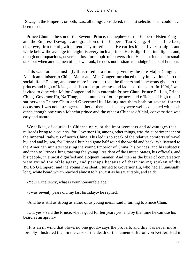Dowager, the Emperor, or both, was, all things considered, the best selection that could have been made.

 Prince Chun is the son of the Seventh Prince, the nephew of the Emperor Hsien Feng and the Empress Dowager, and grandson of the Emperor Tao Kuang. He has a fine face, clear eye, firm mouth, with a tendency to reticence. He carries himself very straight, and while below the average in height, is every inch a prince. He is dignified, intelligent, and, though not loquacious, never at a loss for a topic of conversation. He is not inclined to small talk, but when among men of his own rank, he does not hesitate to indulge in bits of humour.

 This was rather amusingly illustrated at a dinner given by the late Major Conger, American minister to China. Major and Mrs. Conger introduced many innovations into the social life of Peking, and none more important than the dinners and luncheons given to the princes and high officials, and also to the princesses and ladies of the court. In 1904, I was invited to dine with Major Conger and help entertain Prince Chun, Prince Pu Lun, Prince Ching, Governor Hu, Na T'ung, and a number of other princes and officials of high rank. I sat between Prince Chun and Governor Hu. Having met them both on several former occasions, I was not a stranger to either of them, and as they were well acquainted with each other, though one was a Manchu prince and the other a Chinese official, conversation was easy and natural.

 We talked, of course, in Chinese only, of the improvements and advantages that railroads bring to a country, for Governor Hu, among other things, was the superintendent of the Imperial Railways of north China. This led us to speak of the relative comforts of travel by land and by sea, for Prince Chun had gone half round the world and back. We listened to the American minister toasting the young Emperor of China, his princes, and his subjects; and then to Prince Ching toasting the young President of the United States, his officials, and his people, in a most dignified and eloquent manner. And then as the buzz of conversation went round the table again, and perhaps because of their having spoken of the **YOUNG** Emperor and the young President, I turned to Governor Hu, who had an unusually long, white beard which reached almost to his waist as he sat at table, and said:

«Your Excellency, what is your honourable age?»

«I was seventy years old my last birthday,» he replied.

«And he is still as strong as either of us young men,» said I, turning to Prince Chun.

 «Oh, yes,» said the Prince; «he is good for ten years yet, and by that time he can use his beard as an apron.»

 «It is an ill wind that blows no one good,» says the proverb, and this was never more forcibly illustrated than in the case of the death of the lamented Baron von Kettler. Had it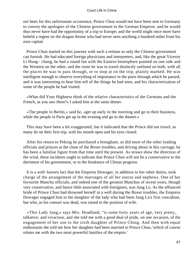not been for this unfortunate occurrence, Prince Chun would not have been sent to Germany to convey the apologies of the Chinese government to the German Emperor, and he would thus never have had the opportunity of a trip to Europe; and the world might once more have beheld a regent on the dragon throne who had never seen anything a hundred miles from his own capital.

 Prince Chun started on this journey with such a retinue as only the Chinese government can furnish. He had educated foreign physicians and interpreters, and, like the great Viceroy Li Hung− chang, he had a round fan with the Eastern hemisphere painted on one side and the Western on the other, and the route he was to travel distinctly outlined on both, with all the places he was to pass through, or to stop at on the trip, plainly marked. He was intelligent enough to observe everything of importance in the ports through which he passed, and it was interesting to hear him tell of the things he had seen, and his characterization of some of the people he had visited.

 «What did Your Highness think of the relative characteristics of the Germans and the French, as you saw them?» I asked him at the same dinner.

 «The people in Berlin,» said he, «get up early in the morning and go to their business, while the people in Paris get up in the evening and go to the theatre.»

 This may have been a bit exaggerated, but it indicated that the Prince did not travel, as many do on their first trip, with his mouth open and his eyes closed.

 After his return to Peking he purchased a brougham, as did most of the other leading officials and princes at the close of the Boxer troubles, and driving about in this carriage, he has been a familiar figure from that time until the present. As straws show the direction of the wind, these incidents ought to indicate that Prince Chun will not be a conservative to the detriment of his government, or to the hindrance of Chinas progress.

 It is a well−known fact that the Empress Dowager, in addition to her other duties, took charge of the arrangement of the marriages of all her nieces and nephews. One of her favourite Manchu officials, and indeed one of the greatest Manchus of recent years, though very conservative, and hence little associated with foreigners, was Jung Lu. As the affianced bride of Prince Chun had drowned herself in a well during the Boxer troubles, the Empress Dowager engaged him to the daughter of the lady who had been Jung Lu's first concubine, but who, as his consort was dead, was raised to the position of wife.

 «This Lady Jung,» says Mrs. Headland, "is some forty years of age, very pretty, talkative, and vivacious, and she told me with a good deal of pride, on one occasion, of the engagement of her son to the sixth daughter of Prince Ching. And then with equal enthusiasm she told me how her daughter had been married to Prince Chun, 'which of course relates me with the two most powerful families of the empire.'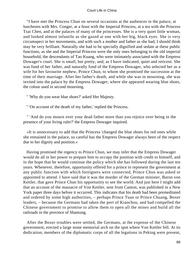"I have met the Princess Chun on several occasions at the audiences in the palace, at luncheons with Mrs. Conger, at a feast with the Imperial Princess, at a tea with the Princess Tsai Chen, and at the palaces of many of the princesses. She is a very quiet little woman, and looked almost infantile as she gazed at one with her big, black eyes. She is very circumspect in her movements, and with such a mother and father as she had, I should think may be very brilliant. Naturally she had to be specially dignified and sedate at these public functions, as she and the Imperial Princess were the only ones belonging to the old imperial household, the descendants of Tao Kuang, who were intimately associated with the Empress Dowager's court. She is small, but pretty, and, as I have indicated, quiet and reticent. She was fond of her father, and naturally fond of the Empress Dowager, who selected her as a wife for her favourite nephew, Prince Chun, to whom she promised the succession at the time of their marriage. After her father's death, and while she was in mourning, she was invited into the palace by the Empress Dowager, where she appeared wearing blue shoes, the colour used in second mourning.

" 'Why do you wear blue shoes?' asked Her Majesty.

" 'On account of the death of my father,' replied the Princess.

 " 'And do you mourn over your dead father more than you rejoice over being in the presence of your living ruler?' the Empress Dowager inquired.

 «It is unnecessary to add that the Princess 'changed the blue shoes for red ones while she remained in the palace, so careful has the Empress Dowager always been of the respect due to her dignity and position.»

 Having promised the regency to Prince Chun, we may infer that the Empress Dowager would do all in her power to prepare him to occupy the position with credit to himself, and in the hope that he would continue the policy which she has followed during the last ten years. Whenever, therefore, opportunity offered for a prince to represent the government at any public function with which foreigners were connected, Prince Chun was asked or appointed to attend. I have said that it was the murder of the German minister, Baron von Kettler, that gave Prince Chun his opportunity to see the world. And just here I might add that an account of the massacre of Von Kettler, sent from Canton, was published in a New York paper three days before it occurred. This indicates that his death had been premeditated and ordered by some high authorities, – perhaps Prince Tuan or Prince Chuang, Boxer leaders, – because the Germans had taken the port of Kiaochou, and had compelled the Chinese government to promise to allow them to open all the mines and build all the railroads in the province of Shantung.

 After the Boxer troubles were settled, the Germans, at the expense of the Chinese government, erected a large stone memorial arch on the spot where Von Kettler fell. At its dedication, members of the diplomatic corps of all the legations in Peking were present,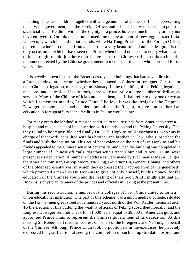including ladies and children, together with a large number of Chinese officials representing the city, the government, and the Foreign Office, and Prince Chun was selected to pour the sacrificial wine. He did it with all the dignity of a prince, however much he may or may not have enjoyed it. On this occasion he used one of the ancient, three−legged, sacrificial wine−cups, which he held in both hands, while Na Tung, President of the Foreign Office, poured the wine into the cup from a tankard of a very beautiful and unique design. It is the only occasion on which I have seen the Prince when he did not seem to enjoy what he was doing. I ought to add just here that I have heard the Chinese refer to this arch as the monument erected by the Chinese government in memory of the man who murdered Baron von Kettler!

 It is a well−known fact that the Boxers destroyed all buildings that had any indication of a foreign style of architecture, whether they belonged to Chinese or foreigner, Christian or non−Christian, legation, merchant, or missionary. In the rebuilding of the Peking legations, missions, and educational institutions, there were naturally a large number of dedicatory services. Many of the Chinese officials attended them, but I shall refer to only one or two at which I remember meeting Prince Chun. I believe it was the design of the Empress Dowager, as soon as she had decided upon him as the Regent, to give him as liberal an education in foreign affairs as the facilities in Peking would allow.

 For many years the Methodist mission had tried to secure funds from America to erect a hospital and medical school in connection with the mission and the Peking University. This they found to be impossible, and finally Dr. N. S. Hopkins of Massachusetts, who was in charge of that work, consulted with his brother and brother−in−law, who subscribed the funds and built the institution. This act of benevolence on the part of Dr. Hopkins and his friends appealed to the Chinese sense of generosity, and when the building was completed, a large number of Chinese officials, together with Prince Chun and Prince Pu Lun, were present at its dedication. A number of addresses were made by such men as Major Conger, the American minister, Bishop Moore, Na Tung, Governor Hu, General Chiang, and others of the older representatives, in which they expressed their appreciation of the generosity which prompted a man like Dr. Hopkins to give not only himself, but his money, for the education of the Chinese youth and the healing of their poor. And I might add that Dr. Hopkins is physician to many of the princes and officials in Peking at the present time.

 During this reconstruction, a number of the colleges of north China united to form a union educational institution. One part of this scheme was a union medical college, situated on the Ha− ta−men great street not a hundred yards north of the Von Kettler memorial arch. To the erection of this building the wealthy officials of Peking subscribed liberally, and the Empress Dowager sent her check for 11,000 taels, equal to \$9,000 in American gold, and appointed Prince Chun to represent the Chinese government at its dedication. At this meeting Sir Robert Hart made an address on behalf of the foreigners, and Na Tung on behalf of the Chinese. Although Prince Chun took no public part in the exercises, he privately expressed his gratification at seeing the completion of such an up−to−date hospital and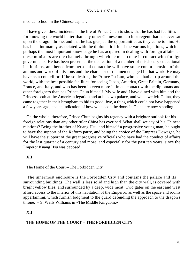medical school in the Chinese capital.

 I have given these incidents in the life of Prince Chun to show that he has had facilities for knowing the world better than any other Chinese monarch or regent that has ever sat upon the dragon throne, and that he has grasped the opportunities as they came to him. He has been intimately associated with the diplomatic life of the various legations, which is perhaps the most important knowledge he has acquired in dealing with foreign affairs, as these ministers are the channels through which he must come in contact with foreign governments. He has been present at the dedication of a number of missionary educational institutions, and hence from personal contact he will have some comprehension of the animus and work of missions and the character of the men engaged in that work. He may have as a councillor, if he so desires, the Prince Pu Lun, who has had a trip around the world, with the best possible facilities for seeing Japan, America, Great Britain, Germany, France, and Italy, and who has been in even more intimate contact with the diplomats and other foreigners than has Prince Chun himself. My wife and I have dined with him and the Princess both at the American legation and at his own palace, and when we left China, they came together in their brougham to bid us good−bye, a thing which could not have happened a few years ago, and an indication of how wide open the doors in China are now standing.

 On the whole, therefore, Prince Chun begins his regency with a brighter outlook for his foreign relations than any other ruler China has ever had. What shall we say of his Chinese relations? Being the brother of Kuang Hsu, and himself a progressive young man, he ought to have the support of the Reform party, and being the choice of the Empress Dowager, he will have the support of the great progressive officials who have had the conduct of affairs for the last quarter of a century and more, and especially for the past ten years, since the Emperor Kuang Hsu was deposed.

XII

The Home of the Court – The Forbidden City

 The innermost enclosure is the Forbidden City and contains the palace and its surrounding buildings. The wall is less solid and high than the city wall, is covered with bright yellow tiles, and surrounded by a deep, wide moat. Two gates on the east and west afford access to the interior of this habitation of the Emperor, as well as the space and rooms appertaining, which furnish lodgment to the guard defending the approach to the dragon's throne. – S. Wells Williams in «The Middle Kingdom.»

XII

## THE **HOME OF THE COURT** – **THE FORBIDDEN CITY**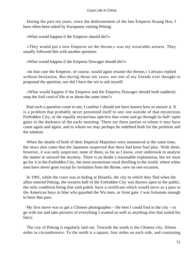During the past ten years, since the dethronement of the late Emperor Kuang Hsu, I have often been asked by Europeans visiting Peking:

«What would happen if the Emperor should die?»

 «They would put a new Emperor on the throne,» was my invariable answer. They usually followed this with another question:

«What would happen if the Empress Dowager should die?»

 «In that case the Emperor, of course, would again resume the throne,» I always replied without hesitation. But during those ten years, not one of my friends ever thought to propound the question, nor did I have the wit to ask myself:

 «What would happen if the Emperor and the Empress Dowager should both suddenly snap the frail cord of life at or about the same time?»

 Had such a question come to me, I confess I should not have known how to answer it. It is a problem that probably never presented itself to any one outside of that mysterious Forbidden City, or the equally mysterious spectres that come and go through its half−open gates in the darkness of the early morning. There are three parties to whom it may have come again and again, and to whom we may perhaps be indebted both for the problem and the solution.

 When the deaths of both of their Imperial Majesties were announced at the same time, the news also came that the Japanese suspected that there had been foul play. With them, however, it was only suspicion; none of them, so far as I know, ever undertook to analyze the matter or unravel the mystery. There is no doubt a reasonable explanation, but we must go for it to the Forbidden City, the most mysterious royal dwelling in the world, where white men have never gone except by invitation from the throne, save on one occasion.

 In 1901, while the court was in hiding at Hsianfu, the city to which they fled when the allies entered Peking, the western half of the Forbidden City was thrown open to the public, the only condition being that said public have a certificate which would serve as a pass to the American boys in blue who guarded the Wu men, or front gate. I was fortunate enough to have that pass.

My first move was to get a Chinese photographer – the best I could find in the city – to go with me and take pictures of everything I wanted as well as anything else that suited his fancy.

 The city of Peking is regularly laid out. Towards the south is the Chinese city, fifteen miles in circumference. To the north is a square, four miles on each side, and containing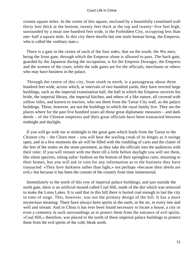sixteen square miles. In the centre of this square, enclosed by a beautifully crenelated wall thirty feet thick at the bottom, twenty feet thick at the top and twenty−five feet high, surrounded by a moat one hundred feet wide, is the Forbidden City, occupying less than one−half a square mile. In this city there dwells but one male human being, the Emperor, who is called the «solitary man.»

 There is a gate in the centre of each of the four sides, that on the south, the Wu men, being the front gate, through which the Emperor alone is allowed to pass. The back gate, guarded by the Japanese during the occupation, is for the Empress Dowager, the Empress and the women of the court, while the side gates are for the officials, merchants or others who may have business in the palace.

 Through the centre of this city, from south to north, is a passageway about three hundred feet wide, across which, at intervals of two hundred yards, they have erected large buildings, such as the imperial examination hall, the hall in which the Emperor receives his bride, the imperial library, the imperial kitchen, and others of a like nature, all covered with yellow titles, and known to tourists, who see them from the Tartar City wall, as the palace buildings. These, however, are not the buildings in which the royal family live. They are the places where for the past five hundred years all those great diplomatic measures – and dark deeds – of the Chinese emperors and their great officials have been transacted between midnight and daylight.

 If you will go with me at midnight to the great gate which leads from the Tartar to the Chinese city – the Chien men – you will hear the wailing creak of its hinges as it swings open, and in a few moments the air will be filled with the rumbling of carts and the clatter of the feet of the mules on the stone pavement, as they take the officials into the audiences with their ruler. If you will remain with me there till a little before daylight you will see them, like silent spectres, sitting tailor−fashion on the bottom of their springless carts, returning to their homes, but you will ask in vain for any information as to the business they have transacted. «They love darkness rather than light,» not perhaps «because their deeds are evil,» but because it has been the custom of the country from time immemorial.

 Immediately to the north of this row of imperial palace buildings, and just outside the north gate, there is an artificial mound called Coal Hill, made of the dirt which was removed to make the Lotus Lakes. It is said that in this hill there is buried coal enough to last the city in time of siege. This, however, was not the primary design of the hill. It has a more mysterious meaning. There have always been spirits in the earth, in the air, in every tree and well and stream. And in China it has ever been found necessary to locate a house, a city or even a cemetery in such surroundings as to protect them from the entrance of evil spirits. «Coal Hill,» therefore, was placed to the north of these imperial palace buildings to protect them from the evil spirits of the cold, bleak north.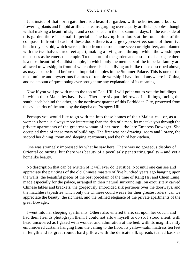Just inside of that north gate there is a beautiful garden, with rockeries and arbours, flowering plants and limpid artificial streams gurgling over equally artificial pebbles, though withal making a beautiful sight and a cool shade in the hot summer days. In the east side of this garden there is a small imperial shrine having four doors at the four points of the compass. In front of each of these doors there is a large cypress−tree, some of them five hundred years old, which were split up from the root some seven or eight feet, and planted with the two halves three feet apart, making a living arch through which the worshipper must pass as he enters the temple. To the north of the garden and east of the back gate there is a most beautiful Buddhist temple, in which only the members of the imperial family are allowed to worship, in front of which there is also a living arch like those described above, as may also be found before the imperial temples in the Summer Palace. This is one of the most unique and mysterious features of temple worship I have found anywhere in China, and no amount of questioning ever brought me any explanation of its meaning.

 Now if you will go with me to the top of Coal Hill I will point out to you the buildings in which their Majesties have lived. There are six parallel rows of buildings, facing the south, each behind the other, in the northwest quarter of this Forbidden City, protected from the evil spirits of the north by the dagoba on Prospect Hill.

 Perhaps you would like to go with me into these homes of their Majesties – or, as a woman's home is always more interesting than the den of a man, let me take you through the private apartments of the greatest woman of her race – the late Empress Dowager. She occupied three of these rows of buildings. The first was her drawing−room and library, the second her dining−room and sleeping apartments, and the third her kitchen.

 One was strangely impressed by what he saw here. There was no gorgeous display of Oriental colouring, but there was beauty of a peculiarly penetrating quality – and yet a homelike beauty.

 No description that can be written of it will ever do it justice. Not until one can see and appreciate the paintings of the old Chinese masters of five hundred years ago hanging upon the walls, the beautiful pieces of the best porcelain of the time of Kang Hsi and Chien Lung, made especially for the palace, arranged in their natural surroundings, on exquisitely carved Chinese tables and brackets, the gorgeously embroided silk portieres over the doorways, and the matchless tapestries which only the Chinese could weave for their greatest rulers, can we appreciate the beauty, the richness, and the refined elegance of the private apartments of the great Dowager.

 I went into her sleeping apartments. Others also entered there, sat upon her couch, and had their friends photograph them. I could not allow myself to do so. I stood silent, with head uncovered as I gazed with wonder and admiration at the bed, with its magnificently embroidered curtains hanging from the ceiling to the floor, its yellow−satin mattress ten feet in length and its great round, hard pillow, with the delicate silk spreads turned back as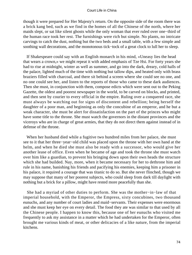though it were prepared for Her Majesty's return. On the opposite side of the room there was a brick kang bed, such as we find in the homes of all the Chinese of the north, where her maids slept, or sat like silent ghosts while the only woman that ever ruled over one−third of the human race took her rest. The furnishings were rich but simple. No plants, no intricate carvings to catch the dust, nothing but the two beds and a small table, with a few simple and soothing wall decorations, and the monotonous tick−tock of a great clock to lull her to sleep.

 If Shakespeare could say with an English monarch in his mind, «Uneasy lies the head that wears a crown,» we might repeat it with added emphasis of Tze Hsi. For forty years she had to rise at midnight, winter as well as summer, and go into the dark, dreary, cold halls of the palace, lighted much of the time with nothing but tallow dips, and heated only with brass braziers filled with charcoal, and there sit behind a screen where she could see no one, and no one could see her, and listen to the reports of those who came to these dark audiences. Then she must, in conjunction with them, compose edicts which were sent out to the Peking Gazette, the oldest and poorest newspaper in the world, to be carved on blocks, and printed, and then sent by courier to every official in the empire. Ruling over a conquered race, she must always be watching out for signs of discontent and rebellion; being herself the daughter of a poor man, and beginning as only the concubine of an emperor, and he but a weak character, she must be alert for dissatisfaction on the part of the princes who might have some title to the throne. She must watch the governors in the distant provinces and the viceroys who are in charge of great armies, that they do not direct them against instead of in defense of the throne.

 When her husband died while a fugitive two hundred miles from her palace, she must see to it that her three−year−old child was placed upon the throne with her own hand at the helm, and when he died she must also be ready with a successor, who would give her another lease of office. Even when he became of age and took the throne she must watch over him like a guardian, to prevent his bringing down upon their own heads the structure which she had builded. Nay, more, when it became necessary for her to dethrone him and rule in his name, banishing his friends and pacifying his enemies, keeping him a prisoner in his palace, it required a courage that was titanic to do so. But she never flinched, though we may suppose that many of her poorest subjects, who could sleep from dark till daylight with nothing but a brick for a pillow, might have rested more peacefully than she.

 She had a myriad of other duties to perform. She was the mother−in−law of that imperial household, with the Emperor, the Empress, sixty concubines, two thousand eunuchs, and any number of court ladies and maid−servants. Their expenses were enormous and she must keep her eye on every detail. The food they ate was similar to that used by all the Chinese people. I happen to know this, because one of her eunuchs who visited me frequently to ask my assistance in a matter which he had undertaken for the Emperor, often brought me various kinds of meat, or other delicacies of a like nature, from the imperial kitchens.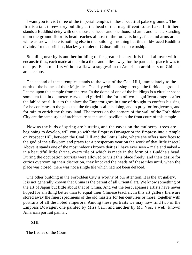I want you to visit three of the imperial temples in these beautiful palace grounds. The first is a tall, three−story building at the head of that magnificent Lotus Lake. In it there stands a Buddhist deity with one thousand heads and one thousand arms and hands. Standing upon the ground floor its head reaches almost to the roof. Its body, face and arms are as white as snow. There is nothing else in the building – nothing but this mild−faced Buddhist divinity for that brilliant, black−eyed ruler of Chinas millions to worship.

 Standing near by is another building of far greater beauty. It is faced all over with encaustic tiles, each made at the kiln a thousand miles away, for the particular place it was to occupy. Each one fits without a flaw, a suggestion to American architects on Chinese architecture.

 The second of these temples stands to the west of the Coal Hill, immediately to the north of the homes of their Majesties. One day while passing through the forbidden grounds I came upon this temple from the rear. In the dome of one of the buildings is a circular space some ten feet in diameter, carved and gilded in the form of two magnificent dragons after the fabled pearl. It is to this place the Emperor goes in time of drought to confess his sins, for he confesses to the gods that the drought is all his doing, and to pray for forgiveness, and for rain to enrich the thirsty land. The towers on the corners of the wall of the Forbidden City are the same style of architecture as the small pavilion in the front court of this temple.

 Now as the buds of spring are bursting and the eaves on the mulberry−trees are beginning to develop, will you go with the Empress Dowager or the Empress into a temple on Prospect Hill, between the Coal Hill and the Lotus Lake, where she offers sacrifices to the god of the silkworm and prays for a prosperous year on the work of that little insect? Above it stands one of the most hideous bronze deities I have ever seen – male and naked – in a beautiful little shrine, every tile of which is made in the form of a Buddha's head. During the occupation tourists were allowed to visit this place freely, and their desire for curios overcoming their discretion, they knocked the heads off these tiles until, when the place was closed, there was not a single tile which had not been defaced.

 One other building in the Forbidden City is worthy of our attention. It is the art gallery. It is not generally known that China is the parent of all Oriental art. We know something of the art of Japan but little about that of China. And yet the best Japanese artists have never hoped for anything better than to equal their Chinese teacher. In this art gallery there are stored away the finest specimens of the old masters for ten centuries or more, together with portraits of all the noted emperors. Among these portraits we may now find two of the Empress Dowager, one painted by Miss Carl, and another by Mr. Vos, a well−known American portrait painter.

# **XIII**

The Ladies of the Court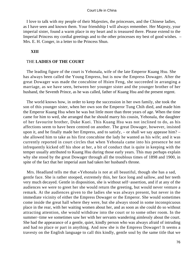I love to talk with my people of their Majesties, the princesses, and the Chinese ladies, as I have seen and known them. Your friendship I will always remember. Her Majesty, your imperial sister, found a warm place in my heart and is treasured there. Please extend to the Imperial Princess my cordial greetings and to the other princesses my best of good wishes. – Mrs. E. H. Conger, in a letter to the Princess Shun.

## **XIII**

#### THE **LADIES OF THE COURT**

 The leading figure of the court is Yehonala, wife of the late Emperor Kuang Hsu. She has always been called the Young Empress, but is now the Empress Dowager. After the great Dowager was made the concubine of Hsien Feng, she succeeded in arranging a marriage, as we have seen, between her younger sister and the younger brother of her husband, the Seventh Prince, as he was called, father of Kuang Hsu and the present regent.

 The world knows how, in order to keep the succession in her own family, she took the son of this younger sister, when her own son the Emperor Tung Chih died, and made him the Emperor Kuang Hsu when he was but little more than three years of age. When the time came for him to wed, she arranged that he should marry his cousin, Yehonala, the daughter of her favourite brother, Duke Kuei. This Kuang Hsu was not inclined to do, as his affections seem to have been centred on another. The great Dowager, however, insisted upon it, and he finally made her Empress, and to satisfy, – or shall we say appease him? – she allowed him to take as his first concubine the lady he wanted as his wife; and it was currently reported in court circles that when Yehonala came into his presence he not infrequently kicked off his shoe at her, a bit of conduct that is quite in keeping with the temper usually attributed to Kuang Hsu during those early years. This may perhaps explain why she stood by the great Dowager through all the troublous times of 1898 and 1900, in spite of the fact that her imperial aunt had taken her husband's throne.

 Mrs. Headland tells me that «Yehonala is not at all beautiful, though she has a sad, gentle face. She is rather stooped, extremely thin, her face long and sallow, and her teeth very much decayed. Gentle in disposition, she is without self−assertion, and if at any of the audiences we were to greet her she would return the greeting, but would never venture a remark. At the audiences given to the ladies she was always present, but never in the immediate vicinity of either the Empress Dowager or the Emperor. She would sometimes come inside the great hall where they were, but she always stood in some inconspicuous place in the rear, with her waiting women about her, and as soon as she could do so without attracting attention, she would withdraw into the court or to some other room. In the summer−time we sometimes saw her with her servants wandering aimlessly about the court. She had the appearance of a gentle, quiet, kindly person who was always afraid of intruding and had no place or part in anything. And now she is the Empress Dowager! It seems a travesty on the English language to call this kindly, gentle soul by the same title that we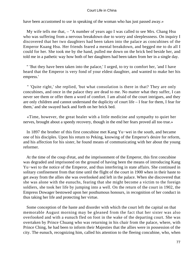have been accustomed to use in speaking of the woman who has just passed away.»

 My wife tells me that, – "A number of years ago I was called to see Mrs. Chang Hsu who was suffering from a nervous breakdown due to worry and sleeplessness. On inquiry I discovered that her two daughters had been taken into the palace as concubines of the Emperor Kuang Hsu. Her friends feared a mental breakdown, and begged me to do all I could for her. She took me by the hand, pulled me down on the brick bed beside her, and told me in a pathetic way how both of her daughters had been taken from her in a single day.

 " 'But they have been taken into the palace,' I urged, to try to comfort her, 'and I have heard that the Emperor is very fond of your eldest daughter, and wanted to make her his empress.'

 " 'Quite right,' she replied, 'but what consolation is there in that? They are only concubines, and once in the palace they are dead to me. No matter what they suffer, I can never see them or offer them a word of comfort. I am afraid of the court intrigues, and they are only children and cannot understand the duplicity of court life – I fear for them, I fear for them,' and she swayed back and forth on her brick bed.

 «Time, however, the great healer with a little medicine and sympathy to quiet her nerves, brought about a speedy recovery, though in the end her fears proved all too true.»

 In 1897 the brother of this first concubine met Kang Yu−wei in the south, and became one of his disciples. Upon his return to Peking, knowing of the Emperor's desire for reform, and his affection for his sister, he found means of communicating with her about the young reformer.

 At the time of the coup d'etat, and the imprisonment of the Emperor, this first concubine was degraded and imprisoned on the ground of having been the means of introducing Kang Yu−wei to the notice of the Emperor, and thus interfering in state affairs. She continued in solitary confinement from that time until the flight of the court in 1900 when in their haste to get away from the allies she was overlooked and left in the palace. When she discovered that she was alone with the eunuchs, fearing that she might become a victim to the foreign soldiers, she took her life by jumping into a well. On the return of the court in 1902, the Empress Dowager bestowed upon her posthumous honours, in recognition of her conduct in thus taking her life and protecting her virtue.

 Some conception of the haste and disorder with which the court left the capital on that memorable August morning may be gleaned from the fact that her sister was also overlooked and with a eunuch fled on foot in the wake of the departing court. She was overtaken by Prince Chuang who was returning in his chair from the palace, where, with Prince Ching, he had been to inform their Majesties that the allies were in possession of the city. The eunuch, recognizing him, called his attention to the fleeing concubine, who, when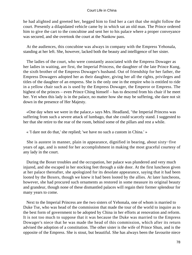he had alighted and greeted her, begged him to find her a cart that she might follow the court. Presently a dilapidated vehicle came by in which sat an old man. The Prince ordered him to give the cart to the concubine and sent her to his palace where a proper conveyance was secured, and she overtook the court at the Nankow pass.

 At the audiences, this concubine was always in company with the Empress Yehonala, standing at her left. She, however, lacked both the beauty and intelligence of her sister.

 The ladies of the court, who were constantly associated with the Empress Dowager as her ladies in waiting, are first, the Imperial Princess, the daughter of the late Prince Kung, the sixth brother of the Empress Dowager's husband. Out of friendship for her father, the Empress Dowagers adopted her as their daughter, giving her all the rights, privileges and titles of the daughter of an empress. She is the only one in the empire who is entitled to ride in a yellow chair such as is used by the Empress Dowager, the Emperor or Empress. The highest of the princes – even Prince Ching himself – has to descend from his chair if he meet her. Yet when this lady is in the palace, no matter how she may be suffering, she dare not sit down in the presence of Her Majesty.

 «One day when we were in the palace,» says Mrs. Headland, "the Imperial Princess was suffering from such a severe attack of lumbago, that she could scarcely stand. I suggested to her that she retire to the rear of the room, behind some of the pillars and rest a while.

« 'I dare not do that,' she replied; 'we have no such a custom in China.' »

 She is austere in manner, plain in appearance, dignified in bearing, about sixty−five years of age, and is noted for her accomplishment in making the most graceful courtesy of any lady in the court.

 During the Boxer troubles and the occupation, her palace was plundered and very much injured, and she escaped in her stocking feet through a side door. At the first luncheon given at her palace thereafter, she apologized for its desolate appearance, saying that it had been looted by the Boxers, though we knew it had been looted by the allies. At later luncheons, however, she had procured such ornaments as restored in some measure its original beauty and grandeur, though none of these dismantled palaces will regain their former splendour for many years to come.

 Next to the Imperial Princess are the two sisters of Yehonala, one of whom is married to Duke Tse, who was head of the commission that made the tour of the world to inquire as to the best form of government to be adopted by China in her efforts at renovation and reform. It is not too much to suppose that it was because the Duke was married to the Empress Dowager's niece that he was made the head of this commission, which after its return advised the adoption of a constitution. The other sister is the wife of Prince Shun, and is the opposite of the Empress. She is stout, but beautiful. She has always been the favourite niece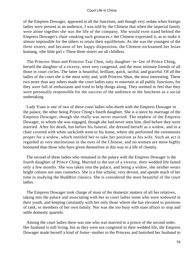of the Empress Dowager, appeared at all the functions, and though very sedate when foreign ladies were present at an audience, I was told by the Chinese that when the imperial family were alone together she was the life of the company. She would even stand behind the Empress Dowager's chair «making such grimaces,» the Chinese expressed it, as to make it almost impossible for the others to retain their equilibrium. As she was the youngest of the three sisters, and because of her happy disposition, the Chinese nicknamed her hsiao kuniang, «the little girl.» These three sisters are all childless.

 The Princess Shun and Princess Tsai Chen, only daughter−in−law of Prince Ching, herself the daughter of a viceroy, were very congenial, and the most intimate friends of all those in court circles. The latter is beautiful, brilliant, quick, tactful, and graceful. Of all the ladies of the court she is the most witty and, with Princess Shun, the most interesting. These two more than any others made the court ladies easy to entertain at all public functions, for they were full of enthusiasm and tried to help things along. They seemed to feel that they were personally responsible for the success of the audience or the luncheon as a social undertaking.

 Lady Yuan is one of two of these court ladies who dwelt with the Empress Dowager in the palace, the other being Prince Ching's fourth daughter. She is a niece by marriage of the Empress Dowager, though she really was never married. The nephew of the Empress Dowager, to whom she was engaged, though she had never seen him, died before they were married. After his death, but before his funeral, she dressed herself as a widow, and in a chair covered with white sackcloth went to his home, where she performed the ceremonies proper for a widow, which entitled her to take her position as his wife. Such an act is regarded as very meritorious in the eyes of the Chinese, and no women are more highly honoured than those who have given themselves in this way to a life of chastity.

 The second of these ladies who remained in the palace with the Empress Dowager is the fourth daughter of Prince Ching. Married to the son of a viceroy, their wedded life lasted only a few months. She was taken into the palace, and being a widow, she neither wears bright colours nor uses cosmetics. She is a fine scholar, very devout, and spends much of her time in studying the Buddhist classics. She is considered the most beautiful of the court ladies.

 The Empress Dowager took charge of most of the domestic matters of all her relatives, taking into the palace and associating with her as court ladies some who were widowed in their youth, and keeping constantly with her only those whom she has elevated to positions of rank, or members of her own family. Nor was she too busy with state affairs to stop and settle domestic quarrels.

 Among the court ladies there was one who was married to a prince of the second order. Her husband is still living, but as they were not congenial in their wedded life, the Empress Dowager made herself a kind of foster−mother to the Princess and banished her husband to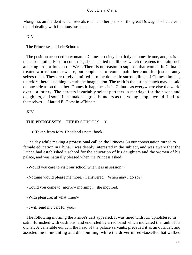Mongolia, an incident which reveals to us another phase of the great Dowager's character – that of dealing with fractious husbands.

XIV

The Princesses – Their Schools

 The position accorded to woman in Chinese society is strictly a domestic one, and, as is the case in other Eastern countries, she is denied the liberty which threatens to attain such amazing proportions in the West. There is no reason to suppose that woman in China is treated worse than elsewhere; but people can of course paint her condition just as fancy seizes them. They are rarely admitted into the domestic surroundings of Chinese homes, therefore there is nothing to curb the imagination. The truth is that just as much may be said on one side as on the other. Domestic happiness is in China – as everywhere else the world over – a lottery. The parents invariably select partners in marriage for their sons and daughters, and sometimes make as great blunders as the young people would if left to themselves. – Harold E. Gorst in «China.»

XIV

# THE **PRINCESSES** – **THEIR** SCHOOLS [1]

[1] Taken from Mrs. Headland's note−book.

 One day while making a professional call on the Princess Su our conversation turned to female education in China. I was deeply interested in the subject, and was aware that the Prince had established a school for the education of his daughters and the women of his palace, and was naturally pleased when the Princess asked:

«Would you care to visit our school when it is in session?»

«Nothing would please me more,» I answered. «When may I do so?»

«Could you come to−morrow morning?» she inquired.

«With pleasure; at what time?»

«I will send my cart for you.»

 The following morning the Prince's cart appeared. It was lined with fur, upholstered in satin, furnished with cushions, and encircled by a red band which indicated the rank of its owner. A venerable eunuch, the head of the palace servants, preceded it as an outrider, and assisted me in mounting and dismounting, while the driver in red−tasselled hat walked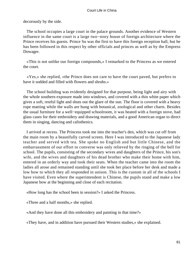decorously by the side.

 The school occupies a large court in the palace grounds. Another evidence of Western influence in the same court is a large two−story house of foreign architecture where the Prince receives his guests. Prince Su was the first to have this foreign reception hall, but he has been followed in this respect by other officials and princes as well as by the Empress Dowager.

 «This is not unlike our foreign compounds,» I remarked to the Princess as we entered the court.

 «Yes,» she replied, «the Prince does not care to have the court paved, but prefers to have it sodded and filled with flowers and shrubs.»

 The school building was evidently designed for that purpose, being light and airy with the whole southern exposure made into windows, and covered with a thin white paper which gives a soft, restful light and shuts out the glare of the sun. The floor is covered with a heavy rope matting while the walls are hung with botanical, zoological and other charts. Besides the usual furniture for a well−equipped schoolroom, it was heated with a foreign stove, had glass cases for their embroidery and drawing materials, and a good American organ to direct them in singing, dancing and calisthenics.

 I arrived at recess. The Princess took me into the teacher's den, which was cut off from the main room by a beautifully carved screen. Here I was introduced to the Japanese lady teacher and served with tea. She spoke no English and but little Chinese, and the embarrassment of our effort to converse was only relieved by the ringing of the bell for school. The pupils, consisting of the secondary wives and daughters of the Prince, his son's wife, and the wives and daughters of his dead brother who make their home with him, entered in an orderly way and took their seats. When the teacher came into the room the ladies all arose and remained standing until she took her place before her desk and made a low bow to which they all responded in unison. This is the custom in all of the schools I have visited. Even where the superintendent is Chinese, the pupils stand and make a low Japanese bow at the beginning and close of each recitation.

«How long has the school been in session?» I asked the Princess.

«Three and a half months,» she replied.

«And they have done all this embroidery and painting in that time?»

«They have, and in addition have pursued their Western studies,» she explained.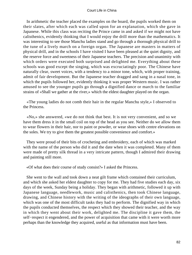In arithmetic the teacher placed the examples on the board, the pupils worked them on their slates, after which each was called upon for an explanation, which she gave in Japanese. While this class was reciting the Prince came in and asked if we might not have calisthenics, evidently thinking that I would enjoy the drill more than the mathematics. It was interesting to see those Manchu ladies stand and go through a thorough physical drill to the tune of a lively march on a foreign organ. The Japanese are masters in matters of physical drill, and in the schools I have visited I have been pleased at the quiet dignity, and the reserve force and sweetness of their Japanese teachers. The precision and unanimity with which orders were executed both surprised and delighted me. Everything about these schools was good except the singing, which was excruciatingly poor. The Chinese have naturally clear, sweet voices, with a tendency to a minor tone, which, with proper training, admit of fair development. But the Japanese teacher dragged and sang in a nasal tone, in which the pupils followed her, evidently thinking it was proper Western music. I was rather amused to see the younger pupils go through a dignified dance or march to the familiar strains of «Shall we gather at the river,» which the eldest daughter played on the organ.

 «The young ladies do not comb their hair in the regular Manchu style,» I observed to the Princess.

 «No,» she answered, «we do not think that best. It is not very convenient, and so we have them dress it in the small coil on top of the head as you see. Neither do we allow them to wear flowers in their hair, nor to paint or powder, or wear shoes with centre elevations on the soles. We try to give them the greatest possible convenience and comfort.»

 They were proud of their bits of crocheting and embroidery, each of which was marked with the name of the person who did it and the date when it was completed. Many of them were made of pretty silk thread in a very intricate pattern, though I admired their drawing and painting still more.

«Of what does their course of study consist?» I asked the Princess.

 She went to the wall and took down a neat gilt frame which contained their curriculum, and which she asked her eldest daughter to copy for me. They had five studies each day, six days of the week, Sunday being a holiday. They began with arithmetic, followed it up with Japanese language, needlework, music and calisthenics, then took Chinese language, drawing, and Chinese history with the writing of the ideographs of their own language, which was one of the most difficult tasks they had to perform. The dignified way in which the pupils conducted themselves, the respect which they showed their teacher, and the way in which they went about their work, delighted me. The discipline it gave them, the self−respect it engendered, and the power of acquisition that came with it were worth more perhaps than the knowledge they acquired, useful as that information must have been.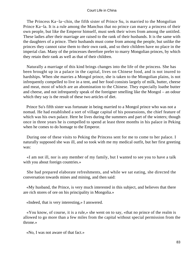The Princess Ka−la−chin, the fifth sister of Prince Su, is married to the Mongolian Prince Ka−la. It is a rule among the Manchus that no prince can marry a princess of their own people, but like the Emperor himself, must seek their wives from among the untitled. These ladies after their marriage are raised to the rank of their husbands. It is the same with the daughters of a prince. Their husbands must come from among the people, but unlike the princes they cannot raise them to their own rank, and so their children have no place in the imperial clan. Many of the princesses therefore prefer to marry Mongolian princes, by which they retain their rank as well as that of their children.

 Naturally a marriage of this kind brings changes into the life of the princess. She has been brought up in a palace in the capital, lives on Chinese food, and is not inured to hardships. When she marries a Mongol prince, she is taken to the Mongolian plains, is not infrequently compelled to live in a tent, and her food consists largely of milk, butter, cheese and meat, most of which are an abomination to the Chinese. They especially loathe butter and cheese, and not infrequently speak of the foreigner smelling like the Mongol – an odour which they say is the result of these two articles of diet.

 Prince Su's fifth sister was fortunate in being married to a Mongol prince who was not a nomad. He had established a sort of village capital of his possessions, the chief feature of which was his own palace. Here he lives during the summers and part of the winters; though once in three years he is compelled to spend at least three months in his palace in Peking when he comes to do homage to the Emperor.

 During one of these visits to Peking the Princess sent for me to come to her palace. I naturally supposed she was ill, and so took with me my medical outfit, but her first greeting was:

 «I am not ill, nor is any member of my family, but I wanted to see you to have a talk with you about foreign countries.»

 She had prepared elaborate refreshments, and while we sat eating, she directed the conversation towards mines and mining, and then said:

 «My husband, the Prince, is very much interested in this subject, and believes that there are rich stores of ore on his principality in Mongolia.»

«Indeed, that is very interesting,» I answered.

 «You know, of course, it is a rule,» she went on to say, «that no prince of the realm is allowed to go more than a few miles from the capital without special permission from the throne.»

«No, I was not aware of that fact.»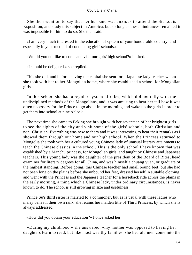She then went on to say that her husband was anxious to attend the St. Louis Exposition, and study this subject in America, but so long as these hindrances remained it was impossible for him to do so. She then said:

 «I am very much interested in the educational system of your honourable country, and especially in your method of conducting girls' schools.»

«Would you not like to come and visit our girls' high school?» I asked.

«I should be delighted,» she replied.

 This she did, and before leaving the capital she sent for a Japanese lady teacher whom she took with her to her Mongolian home, where she established a school for Mongolian girls.

 In this school she had a regular system of rules, which did not tally with the undisciplined methods of the Mongolians, and it was amusing to hear her tell how it was often necessary for the Prince to go about in the morning and wake up the girls in order to get them into school at nine o'clock.

 The next time she came to Peking she brought with her seventeen of her brightest girls to see the sights of the city and visit some of the girls' schools, both Christian and non−Christian. Everything was new to them and it was interesting to hear their remarks as I showed them through our home and our high school. When the Princess returned to Mongolia she took with her a cultured young Chinese lady of unusual literary attainments to teach the Chinese classics in the school. This is the only school I have known that was established by a Manchu princess, for Mongolian girls, and taught by Chinese and Japanese teachers. This young lady was the daughter of the president of the Board of Rites, head examiner for literary degrees for all China, and was himself a chuang yuan, or graduate of the highest standing. Before going, this Chinese teacher had small bound feet, but she had not been long on the plains before she unbound her feet, dressed herself in suitable clothing, and went with the Princess and the Japanese teacher for a horseback ride across the plains in the early morning, a thing which a Chinese lady, under ordinary circumstances, is never known to do. The school is still growing in size and usefulness.

 Prince Su's third sister is married to a commoner, but as is usual with these ladies who marry beneath their own rank, she retains her maiden title of Third Princess, by which she is always addressed.

«How did you obtain your education?» I once asked her.

 «During my childhood,» she answered, «my mother was opposed to having her daughters learn to read, but like most wealthy families, she had old men come into the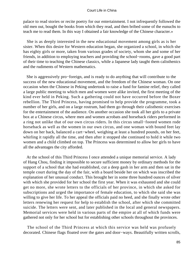palace to read stories or recite poetry for our entertainment. I not infrequently followed the old men out, bought the books from which they read, and then bribed some of the eunuchs to teach me to read them. In this way I obtained a fair knowledge of the Chinese character.»

 She is as deeply interested in the new educational movement among girls as is her sister. When this desire for Western education began, she organized a school, in which she has eighty girls or more, taken from various grades of society, whom she and some of her friends, in addition to employing teachers and providing the school−rooms, gave a good part of their time to teaching the Chinese classics, while a Japanese lady taught them calisthenics and the rudiments of Western mathematics.

 She is aggressively pro−foreign, and is ready to do anything that will contribute to the success of the new educational movement, and the freedom of the Chinese woman. On one occasion when the Chinese in Peking undertook to raise a fund for famine relief, they called a large public meeting to which men and women were alike invited, the first meeting of the kind ever held in Peking. Such a gathering could not have occurred before the Boxer rebellion. The Third Princess, having promised to help provide the programme, took a number of her girls, and on a large rostrum, had them go through their calisthenic exercises for the entertainment of the audience. On another occasion she took all her girls to a private box at a Chinese circus, where men and women acrobats and horseback riders performed in a ring not unlike that of our own circus riders. In this circus small−footed women rode horseback as well as the women in our own circus, and one woman with bound feet lay down on her back, balanced a cart−wheel, weighing at least a hundred pounds, on her feet, whirling it rapidly all the time, and then after it stopped she continued to hold it while two women and a child climbed on top. The Princess was determined to allow her girls to have all the advantages the city afforded.

 At the school of this Third Princess I once attended a unique memorial service. A lady of Hang Chou, finding it impossible to secure sufficient money by ordinary methods for the support of a school that she had established, cut a deep gash in her arm and then sat in the temple court during the day of the fair, with a board beside her on which was inscribed the explanation of her unusual conduct. This brought her in some three hundred ounces of silver with which she provided for her school the first year. When it was exhausted and she could get no more, she wrote letters to the officials of her province, in which she asked for subscriptions and urged the importance of female education, to which she said she was willing to give her life. To her appeal the officials paid no heed, and she finally wrote other letters renewing her request for help to establish the school, after which she committed suicide. The letters were sent, and later published in the local and general newspapers. Memorial services were held in various parts of the empire at all of which funds were gathered not only for her school but for establishing other schools throughout the provinces.

 The school of the Third Princess at which this service was held was profusely decorated. Chinese flags floated over the gates and door−ways. Beautifully written scrolls,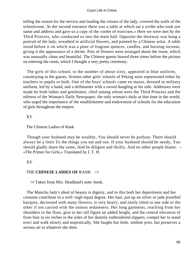telling the reason for the service and lauding the virtues of the lady, covered the walls of the schoolroom. At the second entrance there was a table at which sat a scribe who took our name and address and gave us a copy of the «order of exercises.» Here we were met by the Third Princess, who conducted us into the main hall. Opposite the doorway was hung a portrait of the lady, wreathed in artificial flowers, and painted by a Chinese artist. A table stood before it on which was a plate of fragrant quinces, candles, and burning incense, giving it the appearance of a shrine. Pots of flowers were arranged about the room, which was unusually clean and beautiful. The Chinese guests bowed three times before the picture on entering the room, which I thought a very pretty ceremony.

 The girls of this school, to the number of about sixty, appeared in blue uniform, courtesying to the guests. Sixteen other girls' schools of Peking were represented either by teachers or pupils or both. One of the boys' schools came en masse, dressed in military uniform, led by a band, and a drillmaster with a sword dangling at his side. Addresses were made by both ladies and gentlemen, chief among whom were the Third Princess and the editress of the Woman's Daily Newspaper, the only woman's daily at that time in the world, who urged the importance of the establishment and endowment of schools for the education of girls throughout the empire.

# XV

## The Chinese Ladies of Rank

 Though your husband may be wealthy, You should never be profuse; There should always be a limit To the things you eat and use. If your husband should be needy, You should gladly share the same, And be diligent and thrifty, And no other people blame. – «The Primer for Girls,» Translated by I. T. H.

# XV

# THE **CHINESE LADIES OF** RANK [2]

[2] Taken from Mrs. Headland's note−book.

 The Manchu lady's ideal of beauty is dignity, and to this both her deportment and her costume contribute in a well−nigh equal degree. Her hair, put up on silver or jade jewelled hairpins, decorated with many flowers, is very heavy, and easily tilted to one side or the other if not carried with the utmost sedateness. Her long garments, reaching from her shoulders to the floor, give to her tall figure an added height, and the central elevation of from four to six inches to the soles of her daintily embroidered slippers, compel her to stand erect and walk slowly and majestically. She laughs but little, seldom jests, but preserves a serious air in whatever she does.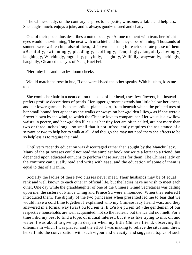The Chinese lady, on the contrary, aspires to be petite, winsome, affable and helpless. She laughs much, enjoys a joke, and is always good−natured and chatty.

 One of their poets thus describes a noted beauty: «At one moment with tears her bright eyes would be swimming, The next with mischief and fun they'd be brimming. Thousands of sonnets were written in praise of them, Li Po wrote a song for each separate phase of them. »Bashfully, swimmingly, pleadingly, scoffingly, Temptingly, languidly, lovingly, laughingly, Witchingly, roguishly, playfully, naughtily, Willfully, waywardly, meltingly, haughtily, Gleamed the eyes of Yang Kuei Fei.

"Her ruby lips and peach−bloom cheeks,

 Would match the rose in hue, If one were kissed the other speaks, With blushes, kiss me too."

 She combs her hair in a neat coil on the back of her head, uses few flowers, but instead prefers profuse decorations of pearls. Her upper garment extends but little below her knees, and her lower garment is an accordion−plaited skirt, from beneath which the pointed toes of her small bound feet appear as she walks or sways on her «golden lilies,» as if she were a flower blown by the wind, to which the Chinese love to compare her. Her waist is a «willow waist» in poetry, and her «golden lilies,» as her tiny feet are often called, are not more than two or three inches long – so small that it not infrequently requires the assistance of a servant or two to help her to walk at all. And though she may not need them she affects to be so helpless as to require their aid.

 Until very recently education was discouraged rather than sought by the Manchu lady. Many of the princesses could not read the simplest book nor write a letter to a friend, but depended upon educated eunuchs to perform these services for them. The Chinese lady on the contrary can usually read and write with ease, and the education of some of them is equal to that of a Hanlin.

 Socially the ladies of these two classes never meet. Their husbands may be of equal rank and well known to each other in official life, but the ladies have no wish to meet each other. One day while the granddaughter of one of the Chinese Grand Secretaries was calling upon me, the sisters of Prince Ching and Prince Su were announced. When they entered I introduced them. The dignity of the two princesses when presented led me to fear that we would have a cold time together. I explained who my Chinese lady friend was, and they answered in a formal way (wai t ou tou jen te, li to'u k'e pu jen te) «the gentlemen of our respective households are well acquainted, not so the ladies,» but the ice did not melt. For a time I did my best to find a topic of mutual interest, but it was like trying to mix oil and water. I was about to give up in despair when my little Chinese friend, observing the dilemma in which I was placed, and the effort I was making to relieve the situation, threw herself into the conversation with such vigour and vivacity, and suggested topics of such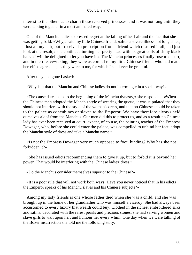interest to the others as to charm these reserved princesses, and it was not long until they were talking together in a most animated way.

 One of the Manchu ladies expressed regret at the falling of her hair and the fact that she was getting bald. «Why,» said my little Chinese friend, «after a severe illness not long since, I lost all my hair, but I received a prescription from a friend which restored it all, and just look at the result,» she continued turning her pretty head with its great coils of shiny black hair. «I will be delighted to let you have it.» The Manchu princesses finally rose to depart, and in their leave−taking, they were as cordial to my little Chinese friend, who had made herself so agreeable, as they were to me, for which I shall ever be grateful.

After they had gone I asked:

«Why is it that the Manchu and Chinese ladies do not intermingle in a social way?»

 «The cause dates back to the beginning of the Manchu dynasty,» she responded. «When the Chinese men adopted the Manchu style of wearing the queue, it was stipulated that they should not interfere with the style of the woman's dress, and that no Chinese should be taken to the palace as concubines or slaves to the Emperor. We have therefore always held ourselves aloof from the Manchus. Our men did this to protect us, and as a result no Chinese lady has ever been received at court, except, of course, the painting teacher of the Empress Dowager, who, before she could enter the palace, was compelled to unbind her feet, adopt the Manchu style of dress and take a Manchu name.»

 «Is not the Empress Dowager very much opposed to foot−binding? Why has she not forbidden it?»

 «She has issued edicts recommending them to give it up, but to forbid it is beyond her power. That would be interfering with the Chinese ladies' dress.»

«Do the Manchus consider themselves superior to the Chinese?»

 «It is a poor rule that will not work both ways. Have you never noticed that in his edicts the Emperor speaks of his Manchu slaves and his Chinese subjects?»

 Among my lady friends is one whose father died when she was a child, and she was brought up in the home of her grandfather who was himself a viceroy. She had always been accustomed to every luxury that wealth could buy. Clothed in the richest embroidered silks and satins, decorated with the rarest pearls and precious stones, she had serving women and slave girls to wait upon her, and humour her every whim. One day when we were talking of the Boxer insurrection she told me the following story: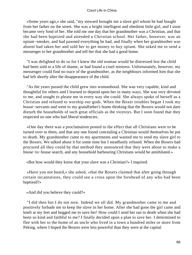«Some years ago,» she said, "my steward brought me a slave girl whom he had bought from her father on the street. She was a bright intelligent and obedient little girl, and I soon became very fond of her. She told me one day that her grandmother was a Christian, and that she had been baptized and attended a Christian school. Her father, however, was an opium−smoker, and had pawned everything he had, and finally when her grandmother was absent had taken her and sold her to get money to buy opium. She asked me to send a messenger to her grandmother and tell her that she had a good home.

 "I was delighted to do so for I knew the old woman would be distressed lest the child had been sold to a life of shame, or had found a cruel mistress. Unfortunately, however, my messenger could find no trace of the grandmother, as the neighbours informed him that she had left shortly after the disappearance of the child.

 "As the years passed the child grew into womanhood. She was very capable, kind and thoughtful for others and I learned to depend upon her in many ways. She was very devoted to me, and sought to please me in every way she could. She always spoke of herself as a Christian and refused to worship our gods. When the Boxer troubles began I took my house−servants and went to my grandfather's home thinking that the Boxers would not dare disturb the households of such great officials as the viceroys. But I soon found that they respected no one who had liberal tendencies.

 «One day there was a proclamation posted to the effect that all Christians were to be turned over to them, and that any one found concealing a Christian would themselves be put to death. My grandmother came to my apartments and wanted me to send my slave girl to the Boxers. We talked about it for some time but I steadfastly refused. When the Boxers had procured all they could by that method they announced that they were about to make a house−to−house search, and any household harbouring Christians would be annihilated.»

«But how would they know that your slave was a Christian?» I inquired.

 «Have you not heard,» she asked, «that the Boxers claimed that after going through certain incantations, they could see a cross upon the forehead of any who had been baptized?»

«And did you believe they could?»

 "I did then but I do not now. Indeed we all did. My grandmother came to me and positively forbade me to keep the slave in her home. After she had gone the girl came and knelt at my feet and begged me to save her! How could I send her out to death when she had been so kind and faithful to me? I finally decided upon a plan to save her. I determined to flee with her to the home of an uncle who lived in a town a hundred miles or more from Peking, where I hoped the Boxers were less powerful than they were at the capital.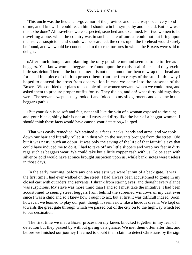"This uncle was the lieutenant−governor of the province and had always been very fond of me, and I knew if I could reach him I should win his sympathy and his aid. But how was this to be done? All travellers were suspected, searched and examined. For two women to be travelling alone, when the country was in such a state of unrest, could not but bring upon themselves suspicion, and should we be searched, the cross upon the forehead would surely be found, and we would be condemned to the cruel tortures in which the Boxers were said to delight.

 «After much thought and planning the only possible method seemed to be to flee as beggars. You know women beggars are found upon the roads at all times and they excite little suspicion. Then in the hot summer it is not uncommon for them to wrap their head and forehead in a piece of cloth to protect them from the fierce rays of the sun. In this way I hoped to conceal the cross from observation in case we came into the presence of the Boxers. We confided our plans to a couple of the women servants whom we could trust, and asked them to procure proper outfits for us. They did so, and oh! what dirty old rags they were. The servants wept as they took off and folded up my silk garments and clad me in this beggar's garb.»

 «But your skin is so soft and fair, not at all like the skin of a woman exposed to the sun; and your black, shiny hair is not at all rusty and dirty like the hair of a beggar woman. I should think these facts would have caused your detection,» I urged.

 "That was easily remedied. We stained our faces, necks, hands and arms, and we took down our hair and literally rolled it in dust which the servants brought from the street. Oh! but it was nasty! such an odour! It was only the saving of the life of that faithful slave that could have induced me to do it. I had to take off my little slippers and wrap my feet in dirty rags such as beggars wear. We could take but a little copper cash with us. To be seen with silver or gold would have at once brought suspicion upon us, while bank−notes were useless in those days.

 "In the early morning, before any one was astir we were let out of a back gate. It was the first time I had ever walked on the street. I had always been accustomed to going in my closed cart with outriders and servants. I shrank from staring eyes, and thought every glance was suspicious. My slave was more timid than I and so I must take the initiative. I had been accustomed to seeing street beggars from behind the screened windows of my cart ever since I was a child and so I knew how I ought to act, but at first it was difficult indeed. Soon, however, we learned to play our part, though it seems now like a hideous dream. We kept on towards the great gate through which we passed out of the city on to the highway which led to our destination.

 "The first time we met a Boxer procession my knees knocked together in my fear of detection but they passed by without giving us a glance. We met them often after this, and before we finished our journey I learned to doubt their claim to detect Christians by the sign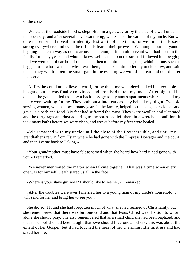of the cross.

 "We ate at the roadside booths, slept often in a gateway or by the side of a wall under the open sky, and after several days' wandering, we reached the yamen of my uncle. But we dare not enter and reveal our identity, lest we implicate them, for we found the Boxers strong everywhere, and even the officials feared their prowess. We hung about the yamen begging in such a way as not to arouse suspicion, until an old servant who had been in the family for many years, and whom I knew well, came upon the street. I followed him begging until we were out of earshot of others, and then told him in a singsong, whining tone, such as beggars use, who I was and why I was there, and asked him to let my uncle know, and said that if they would open the small gate in the evening we would be near and could enter unobserved.

 "At first he could not believe it was I, for by this time we indeed looked like veritable beggars, but he was finally convinced and promised to tell my uncle. After nightfall he opened the gate and led us in by a back passage to my aunt's apartments where she and my uncle were waiting for me. They both burst into tears as they beheld my plight. Two old serving women, who had been many years in the family, helped us to change our clothes and gave us a bath and food. My feet had suffered the most. They were swollen and ulcerated and the dirty rags and dust adhering to the sores had left them in a wretched condition. It took many baths before we were clean, and weeks before my feet were healed.

 «We remained with my uncle until the close of the Boxer trouble, and until my grandfather's return from Hsian where he had gone with the Empress Dowager and the court, and then I came back to Peking.»

 «Your grandmother must have felt ashamed when she heard how hard it had gone with you,» I remarked.

 «We never mentioned the matter when talking together. That was a time when every one was for himself. Death stared us all in the face.»

«Where is your slave girl now? I should like to see her,» I remarked.

 «After the troubles were over I married her to a young man of my uncle's household. I will send for her and bring her to see you.»

 She did so. I found she had forgotten much of what she had learned of Christianity, but she remembered that there was but one God and that Jesus Christ was His Son to whom alone she should pray. She also remembered that as a small child she had been baptized, and that in school she had been taught that «we should love one another»; this was about the extent of her Gospel, but it had touched the heart of her charming little mistress and had saved her life.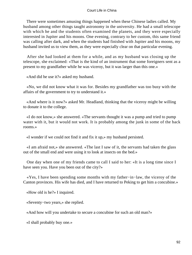There were sometimes amusing things happened when these Chinese ladies called. My husband among other things taught astronomy in the university. He had a small telescope with which he and the students often examined the planets, and they were especially interested in Jupiter and his moons. One evening, contrary to her custom, this same friend was calling after dark, and when the students had finished with Jupiter and his moons, my husband invited us to view them, as they were especially clear on that particular evening.

 After she had looked at them for a while, and as my husband was closing up the telescope, she exclaimed: «That is the kind of an instrument that some foreigners sent as a present to my grandfather while he was viceroy, but it was larger than this one.»

«And did he use it?» asked my husband.

 «No, we did not know what it was for. Besides my grandfather was too busy with the affairs of the government to try to understand it.»

 «And where is it now?» asked Mr. Headland, thinking that the viceroy might be willing to donate it to the college.

 «I do not know,» she answered. «The servants thought it was a pump and tried to pump water with it, but it would not work. It is probably among the junk in some of the back rooms.»

«I wonder if we could not find it and fix it up,» my husband persisted.

 «I am afraid not,» she answered. «The last I saw of it, the servants had taken the glass out of the small end and were using it to look at insects on the bed.»

 One day when one of my friends came to call I said to her: «It is a long time since I have seen you. Have you been out of the city?»

 «Yes, I have been spending some months with my father−in−law, the viceroy of the Canton provinces. His wife has died, and I have returned to Peking to get him a concubine.»

«How old is he?» I inquired.

«Seventy−two years,» she replied.

«And how will you undertake to secure a concubine for such an old man?»

«I shall probably buy one.»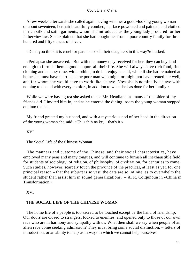A few weeks afterwards she called again having with her a good−looking young woman of about seventeen, her hair beautifully combed, her face powdered and painted, and clothed in rich silk and satin garments, whom she introduced as the young lady procured for her father−in−law. She explained that she had bought her from a poor country family for three hundred and fifty ounces of silver.

«Don't you think it is cruel for parents to sell their daughters in this way?» I asked.

 «Perhaps,» she answered. «But with the money they received for her, they can buy land enough to furnish them a good support all their life. She will always have rich food, fine clothing and an easy time, with nothing to do but enjoy herself, while if she had remained at home she must have married some poor man who might or might not have treated her well, and for whom she would have to work like a slave. Now she is nominally a slave with nothing to do and with every comfort, in addition to what she has done for her family.»

 While we were having tea she asked to see Mr. Headland, as many of the older of my friends did. I invited him in, and as he entered the dining−room the young woman stepped out into the hall.

 My friend greeted my husband, and with a mysterious nod of her head in the direction of the young woman she said: «Chiu shih na ke, – that's it.»

XVI

The Social Life of the Chinese Woman

 The manners and customs of the Chinese, and their social characteristics, have employed many pens and many tongues, and will continue to furnish all inexhaustible field for students of sociology, of religion, of philosophy, of civilization, for centuries to come. Such studies, however, scarcely touch the province of the practical, at least as yet, for one principal reason – that the subject is so vast, the data are so infinite, as to overwhelm the student rather than assist him in sound generalizations.  $- A$ . R. Colquhoun in «China in Transformation.»

# XVI

# THE **SOCIAL LIFE OF THE CHINESE WOMAN**

 The home life of a people is too sacred to be touched except by the hand of friendship. Our doors are closed to strangers, locked to enemies, and opened only to those of our own race who are in harmony and sympathy with us. What then shall we say when people of an alien race come seeking admission? They must bring some social distinction, – letters of introduction, or an ability to help us in ways in which we cannot help ourselves.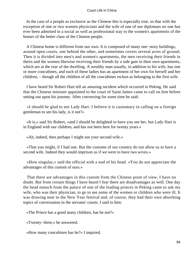In the case of a people as exclusive as the Chinese this is especially true, so that with the exception of one or two women physicians and the wife of one of our diplomats no one has ever been admitted in a social as well as professional way to the women's apartments of the homes of the better class of the Chinese people.

 A Chinese home is different from our own. It is composed of many one−story buildings, around open courts, one behind the other, and sometimes covers several acres of ground. Then it is divided into men's and women's apartments, the men receiving their friends in theirs and the women likewise receiving their friends by a side gate in their own apartments, which are at the rear of the dwelling. A wealthy man usually, in addition to his wife, has one or more concubines, and each of these ladies has an apartment of her own for herself and her children, – though all the children of all the concubines reckon as belonging to the first wife.

 I have heard Sir Robert Hart tell an amusing incident which occurred in Peking. He said that the Chinese minister appointed to the court of Saint James came to call on him before setting out upon his journey. After conversing for some time he said:

 «I should be glad to see Lady Hart. I believe it is customary in calling on a foreign gentleman to see his lady, is it not?»

 «It is,» said Sir Robert, «and I should be delighted to have you see her, but Lady Hart is in England with our children, and has not been here for twenty years.»

«Ah, indeed, then perhaps I might see your second wife.»

 «That you might, if I had one. But the customs of our country do not allow us to have a second wife. Indeed they would imprison us if we were to have two wives.»

 «How singular,» said the official with a nod of his head. «You do not appreciate the advantages of this custom of ours.»

 That there are advantages in this custom from the Chinese point of view, I have no doubt. But from certain things I have heard I fear there are disadvantages as well. One day the head eunuch from the palace of one of the leading princes in Peking came to ask my wife, who was their physician, to go to see some of the women or children who were ill. It was drawing near to the New Year festival and, of course, they had their own absorbing topics of conversation in the servants' courts. I said to him:

«The Prince has a good many children, has he not?»

«Twenty−three,» he answered.

«How many concubines has he?» I inquired.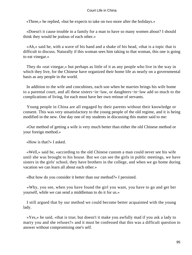«Three,» he replied, «but he expects to take on two more after the holidays.»

 «Doesn't it cause trouble in a family for a man to have so many women about? I should think they would be jealous of each other.»

 «Ah,» said he, with a wave of his hand and a shake of his head, «that is a topic that is difficult to discuss. Naturally if this woman sees him taking to that woman, this one is going to eat vinegar.»

 They do «eat vinegar,» but perhaps as little of it as any people who live in the way in which they live, for the Chinese have organized their home life as nearly on a governmental basis as any people in the world.

 In addition to the wife and concubines, each son when he marries brings his wife home to a parental court, and all these sisters−in−law, or daughters−in−law add so much to the complications of living, for each must have her own retinue of servants.

 Young people in China are all engaged by their parents without their knowledge or consent. This was very unsatisfactory to the young people of the old regime, and it is being modified in the new. One day one of my students in discussing this matter said to me:

 «Our method of getting a wife is very much better than either the old Chinese method or your foreign method.»

«How is that?» I asked.

 «Well,» said he, «according to the old Chinese custom a man could never see his wife until she was brought to his house. But we can see the girls in public meetings, we have sisters in the girls' school, they have brothers in the college, and when we go home during vacation we can learn all about each other.»

«But how do you consider it better than our method?» I persisted.

 «Why, you see, when you have found the girl you want, you have to go and get her yourself, while we can send a middleman to do it for us.»

 I still argued that by our method we could become better acquainted with the young lady.

 «Yes,» he said, «that is true; but doesn't it make you awfully mad if you ask a lady to marry you and she refuses?» and it must be confessed that this was a difficult question to answer without compromising one's self.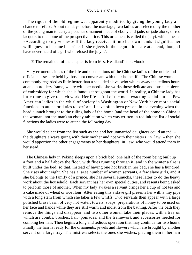The rigour of the old regime was apparently modified by giving the young lady a chance to refuse. About ten days before the marriage, two ladies are selected by the mother of the young man to carry a peculiar ornament made of ebony and jade, or jade alone, or red lacquer, to the home of the prospective bride. This ornament is called the ju yi, which means «According to my wishes.» If the lady receives it into her own hands it signifies her willingness to become his bride; if she rejects it, the negotiations are at an end, though I have never heard of a girl who refused the ju yi.[3]

[3] The remainder of the chapter is from Mrs. Headland's note−book.

 Very erroneous ideas of the life and occupations of the Chinese ladies of the noble and official classes are held by those not conversant with their home life. The Chinese woman is commonly regarded as little better than a secluded slave, who whiles away the tedious hours at an embroidery frame, where with her needle she works those delicate and intricate pieces of embroidery for which she is famous throughout the world. In reality, a Chinese lady has little time to give to such work. Her life is full of the most exacting social duties. Few American ladies in the whirl of society in Washington or New York have more social functions to attend or duties to perform. I have often been present in the evening when the head eunuch brought to the ruling lady of the home (and the head of the home in China is the woman, not the man) an ebony tablet on which was written in red ink the list of social functions the ladies were to attend the following day.

 She would select from the list such as she and her unmarried daughters could attend, – the daughters always going with their mother and not with their sisters−in−law, – then she would apportion the other engagements to her daughters−in−law, who would attend them in her stead.

 The Chinese lady in Peking sleeps upon a brick bed, one half of the room being built up a foot and a half above the floor, with flues running through it; and in the winter a fire is built under the bed, so that, instead of having one hot brick in her bed, she has a hundred. She rises about eight. She has a large number of women servants, a few slave girls, and if she belongs to the family of a prince, she has several eunuchs, these latter to do the heavy work about the household. Each servant has her own special duties, and resents being asked to perform those of another. When my lady awakes a servant brings her a cup of hot tea and a cake made of wheat or rice flour. After eating this a slave girl presents her with a tiny pipe with a long stem from which she takes a few whiffs. Two servants then appear with a large polished brass basin of very hot water, towels, soaps, preparations of honey to be used on her face and hands while they are still warm and moist from the bathing. After the bath they remove the things and disappear, and two other women take their places, with a tray on which are combs, brushes, hair−pomades, and the framework and accessories needed for combing her hair. Then begins a long and tedious operation that may continue for two hours. Finally the hair is ready for the ornaments, jewels and flowers which are brought by another servant on a large tray. The mistress selects the ones she wishes, placing them in her hair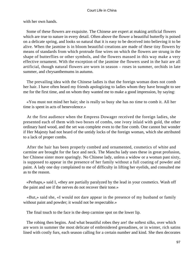with her own hands.

 Some of these flowers are exquisite. The Chinese are expert at making artificial flowers which are true to nature in every detail. Often above the flower a beautiful butterfly is poised on a delicate spring, and looks so natural that it is easy to be deceived into believing it to be alive. When the jasmine is in bloom beautiful creations are made of these tiny flowers by means of standards from which protrude fine wires on which the flowers are strung in the shape of butterflies or other symbols, and the flowers massed in this way make a very effective ornament. With the exception of the jasmine the flowers used in the hair are all artificial, though natural flowers are worn in season – roses in summer, orchids in late summer, and chrysanthemums in autumn.

 The prevailing idea with the Chinese ladies is that the foreign woman does not comb her hair. I have often heard my friends apologizing to ladies whom they have brought to see me for the first time, and on whom they wanted me to make a good impression, by saying:

 «You must not mind her hair; she is really so busy she has no time to comb it. All her time is spent in acts of benevolence.»

 At the first audience when the Empress Dowager received the foreign ladies, she presented each of them with two boxes of combs, one ivory inlaid with gold, the other ordinary hard wood, and the set was complete even to the fine comb. One cannot but wonder if Her Majesty had not heard of the untidy locks of the foreign woman, which she attributed to a lack of proper combs.

 After the hair has been properly combed and ornamented, cosmetics of white and carmine are brought for the face and neck. The Manchu lady uses these in great profusion, her Chinese sister more sparingly. No Chinese lady, unless a widow or a woman past sixty, is supposed to appear in the presence of her family without a full coating of powder and paint. A lady one day complained to me of difficulty in lifting her eyelids, and consulted me as to the reason.

 «Perhaps,» said I, «they are partially paralyzed by the lead in your cosmetics. Wash off the paint and see if the nerves do not recover their tone.»

 «But,» said she, «I would not dare appear in the presence of my husband or family without paint and powder; it would not be respectable.»

The final touch to the face is the deep carmine spot on the lower lip.

 The robing then begins. And what beautiful robes they are! the softest silks, over which are worn in summer the most delicate of embroidered grenadines, or in winter, rich satins lined with costly furs, each season calling for a certain number and kind. She then decorates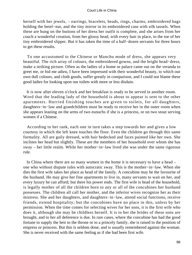herself with her jewels, – earrings, bracelets, beads, rings, charms, embroidered bags holding the betel−nut, and the tiny mirror in its embroidered case with silk tassels. When these are hung on the buttons of her dress her outfit is complete, and she arises from her couch a wonderful creation, from her glossy head, with every hair in place, to the toe of her tiny embroidered slipper. But it has taken the time of a half−dozen servants for three hours to get these results.

 To one accustomed to the Chinese or Manchu mode of dress, she appears very beautiful. The rich array of colours, the embroidered gowns, and the bright head−dress, make a striking picture. Often as the ladies of a home or palace came out on the veranda to greet me, or bid me adieu, I have been impressed with their wonderful beauty, to which our own dull colours, and cloth goods, suffer greatly in comparison, and I could not blame these good ladies for looking upon our toilets with more or less disdain.

 It is now after eleven o'clock and her breakfast is ready to be served in another room. Word that the leading lady of the household is about to appear is sent to the other apartments. Hurried finishing touches are given to toilets, for all daughters, daughters−in−law and grandchildren must be ready to receive her in the outer room when she appears leaning on the arms of two eunuchs if she is a princess, or on two stout serving women if a Chinese.

 According to her rank, each one in turn takes a step towards her and gives a low courtesy in which the left knee touches the floor. Even the children go through this same formality. All are gaily dressed, with hair bedecked and faces painted like her own. She inclines her head but slightly. These are the members of her household over whom she has sway – her little realm. While her mother−in−law lived she was under the same rigorous rule.

 In China where there are so many women in the home it is necessary to have a head – one who without dispute rules with autocratic sway. This is the mother−in−law. When she dies the first wife takes her place as head of the family. A concubine may be the favourite of the husband. He may give her fine apartments to live in, many servants to wait on her, and every luxury he can afford; but there his power ends. The first wife is head of the household, is legally mother of all the children born to any or all of the concubines her husband possesses. The children all call her mother, and the inferior wives recognize her as their mistress. She and her daughters, and daughters−in−law, attend social functions, receive friends, extend hospitality; but the concubines have no place in this, unless by her permission. When the time comes for selecting wives for her sons, it is the first wife who does it, although she may be childless herself. It is to her the brides of these sons are brought, and to her all deference is due. In rare cases, where the concubine has had the good fortune to supply the heir to the throne or to a princely family, she is raised to the position of empress or princess. But this is seldom done, and is usually remembered against the woman. She is never received with the same feeling as if she had been first wife.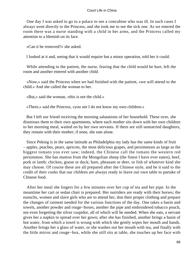One day I was asked to go to a palace to see a concubine who was ill. In such cases I always went directly to the Princess, and she took me to see the sick one. As we entered the room there was a nurse standing with a child in her arms, and the Princess called my attention to a blemish on its face.

«Can it be removed?» she asked.

I looked at it and, seeing that it would require but a minor operation, told her it could.

 While attending to the patient, the nurse, fearing that the child would be hurt, left the room and another entered with another child.

 «Now,» said the Princess when we had finished with the patient, «we will attend to the child.» And she called the woman to her.

«But,» said the woman, «this is not the child.»

«There,» said the Princess, «you see I do not know my own children.»

 But I left our friend receiving the morning salutations of her household. These over, she dismisses them to their own apartments, where each mother sits down with her own children to her morning meal, waited on by her own servants. If there are still unmarried daughters, they remain with their mother; if none, she eats alone.

 Since Peking is in the same latitude as Philadelphia my lady has the same kinds of fruit – apples, peaches, pears, apricots, the most delicious grapes, and persimmons as large as the biggest tomato you ever saw; indeed, the Chinese call the tomato the western red persimmon. She has mutton from the Mongolian sheep (the finest I have ever eaten), beef, pork or lamb; chicken, goose or duck; hare, pheasant or deer, or fish of whatever kind she may choose. Of course these are all prepared after the Chinese style, and be it said to the credit of their cooks that our children are always ready to leave our own table to partake of Chinese food.

 After her meal she lingers for a few minutes over her cup of tea and her pipe. In the meantime her cart or sedan chair is prepared. Her outriders are ready with their horses; the eunuchs, women and slave girls who are to attend her, don their proper clothing and prepare the changes of raiment needed for the various functions of the day. One takes a basin and towels, another powder and rouge−boxes, another the pipe and embroidered tobacco pouch, not even forgetting the silver cuspidor, all of which will be needed. When she eats, a servant gives her a napkin to spread over her gown; after she has finished, another brings a basin of hot water, from which a towel is wrung with which she gently wipes her mouth and hands. Another brings her a glass of water, or she washes out her mouth with tea, and finally with the little mirror and rouge−box, while she still sits at table, she touches up her face with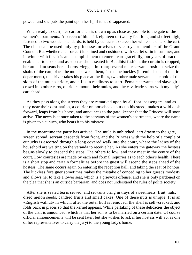powder and she puts the paint upon her lip if it has disappeared.

 When ready to start, her cart or chair is drawn up as close as possible to the gate of the women's apartments. A screen of blue silk eighteen or twenty feet long and six feet high, fastened to two wooden standards, is held by eunuchs to screen her while she enters the cart. The chair can be used only by princesses or wives of viceroys or members of the Grand Council. But whether chair or cart it is lined and cushioned with scarlet satin in summer, and in winter with fur. It is an accomplishment to enter a cart gracefully, but years of practice enable her to do so, and as soon as she is seated in Buddhist fashion, the curtain is dropped; her attendant seats herself cross−legged in front; several male servants rush up, seize the shafts of the cart, place the mule between them, fasten the buckles (it reminds one of the fire department), the driver takes his place at the lines, two other male servants take hold of the sides of the mule's bridle, and all is in readiness to start. Female servants and slave girls crowd into other carts, outriders mount their mules, and the cavalcade starts with my lady's cart ahead.

 As they pass along the streets they are remarked upon by all foot−passengers, and as they near their destination, a courier on horseback spurs up his steed, makes a wild dash forward, leaps from his horse, and announces to the gate−keeper that the Princess will soon arrive. The news is at once taken to the servants of the women's apartments, where the name is given to a eunuch, who bears it to his mistress.

 In the meantime the party has arrived. The mule is unhitched, cart drawn to the gate, screen spread, servant descends from front, and the Princess with the help of a couple of eunuchs is escorted through a long covered walk into the court, where the ladies of the household are waiting on the veranda to receive her. As she enters the gateway the hostess begins slowly to descend the steps. The others follow, and they meet in the centre of the court. Low courtesies are made by each and formal inquiries as to each other's health. There is a short stop and certain formalities before the guest will ascend the steps ahead of the hostess. The same occurs again on entering the reception hall, and taking the seat of honour. The luckless foreigner sometimes makes the mistake of conceding to her guest's modesty and allows her to take a lower seat, which is a grievous offense, and she is only pardoned on the plea that she is an outside barbarian, and does not understand the rules of polite society.

 After she is seated tea is served, and servants bring in trays of sweetmeats, fruit, nuts, dried melon seeds, candied fruits and small cakes. One of these nuts is unique. It is an «English walnut» in which, after the outer hull is removed, the shell is self−cracked, and folds back in places so that the kernel appears. While partaking of these delicacies the object of the visit is announced, which is that her son is to be married on a certain date. Of course official announcements will be sent later, but she wishes to ask if her hostess will act as one of her representatives to carry the ju yi to the young lady's home.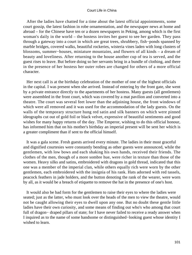After the ladies have chatted for a time about the latest official appointments, some court gossip, the latest fashion in robe ornamentation, and the newspaper news at home and abroad – for the Chinese have ten or a dozen newspapers in Peking, among which is the first woman's daily in the world – the hostess invites her guest to see her garden. They pass through a gateway into a court in which are great trees, shrubbery, fish−ponds spanned by marble bridges, covered walks, beautiful rockeries, wisteria vines laden with long clusters of blossoms, summer−houses, miniature mountains, and flowers of all kinds – a dream of beauty and loveliness. After returning to the house another cup of tea is served, and the guest rises to leave. But before doing so her servants bring in a bundle of clothing, and there in the presence of her hostess her outer robes are changed for others of a more official character.

 Her next call is at the birthday celebration of the mother of one of the highest officials in the capital. I was present when she arrived. Instead of entering by the front gate, she went by a private entrance directly to the apartments of her hostess. Many guests (all gentlemen) were assembled in the front court, which was covered by a mat pavilion and converted into a theatre. The court was several feet lower than the adjoining house, the front windows of which were all removed and it was used for the accommodation of the lady guests. On the walls of the temporary structure hung red satin and silk banners on which were pinned ideographs cut out of gold foil or black velvet, expressive of beautiful sentiments and good wishes for many happy returns of the day. The Emperor, wishing to do this official honour, has informed him that on his mother's birthday an imperial present will be sent her which is a greater compliment than if sent to the official himself.

 It was a gala scene. Fresh guests arrived every minute. The ladies in their most graceful and dignified courtesies were constantly bending as other guests were announced, while the gentlemen, with low bows and each shaking his own hands, received their friends. The clothes of the men, though of a more sombre hue, were richer in texture than those of the women. Heavy silks and satins, embroidered with dragons in gold thread, indicated that this one was a member of the imperial clan, while others equally rich were worn by the other gentlemen, each embroidered with the insignia of his rank. Hats adorned with red tassels, peacock feathers in jade holders, and the button denoting the rank of the wearer, were worn by all, as it would be a breach of etiquette to remove the hat in the presence of one's host.

 It would also be bad form for the gentlemen to raise their eyes to where the ladies were seated; just as the latter, who must look over the heads of the men to view the theatre, would not be caught allowing their eyes to dwell upon any one. But no doubt these gentle little ladies have their own curiosity, and some means of finding out who's who among that court full of dragon– draped pillars of state; for I have never failed to receive a ready answer when I inquired as to the name of some handsome or distinguished−looking guest whose identity I wished to learn.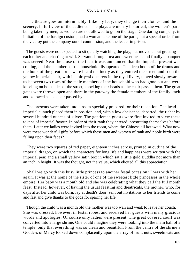The theatre goes on interminably. Like my lady, they change their clothes, and the scenery, in full view of the audience. The plays are mostly historical, the women's parts being taken by men, as women are not allowed to go on the stage. One daring company, in imitation of the foreign custom, had a woman take one of the parts; but a special order from the viceroy put the company out of commission, and the leader in prison.

 The guests were not expected to sit quietly watching the play, but moved about greeting each other and chatting at will. Servants brought tea and sweetmeats and finally a banquet was served. Near the close of the feast it was announced that the imperial present was coming, and the members of the household disappeared. The deep boom of the drums and the honk of the great horns were heard distinctly as they entered the street, and soon the yellow imperial chair, with its thirty−six bearers in the royal livery, moved slowly towards us between two rows of the male members of the household who had gone out and were kneeling on both sides of the street, knocking their heads as the chair passed them. The great gates were thrown open and there in the gateway the female members of the family knelt and kotowed as the chair passed by.

 The presents were taken into a room specially prepared for their reception. The head imperial eunuch placed them in position, and, with a low obeisance, departed, the richer by several hundred ounces of silver. The gentlemen guests were first invited to view these tokens of imperial favour. In order of their rank they entered, prostrating themselves before them. Later we ladies were invited into the room, where the Chinese all kotowed. What now were these wonderful gifts before which these men and women of rank and noble birth were falling upon their faces?

 They were two squares of red paper, eighteen inches across, printed in outline of the imperial dragon, on which the characters for long life and happiness were written with the imperial pen; and a small yellow satin box in which sat a little gold Buddha not more than an inch in height! It was the thought, not the value, which elicited all this appreciation.

 Shall we go with this busy little princess to another festal occasion? I was with her again. It was at the home of the sister of one of the sweetest little princesses in the whole empire. Her baby was a month old and she was celebrating what they call the full month feast. Instead, however, of having the usual feasting and theatricals, the mother, who, for days after her child was born, lay at death's door, sent out invitations to her friends to come and fast and give thanks to the gods for sparing her life.

 Though the child was a month old the mother was too wan and weak to leave her couch. She was dressed, however, in festal robes, and received her guests with many gracious words and apologies. Of course only ladies were present. The great covered court was converted into a large shrine. One could imagine they were looking into the main hall of a temple, only that everything was so clean and beautiful. From the centre of the shrine a Goddess of Mercy looked down complacently upon the array of fruit, nuts, sweetmeats and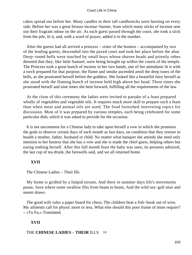cakes spread out before her. Many candles in their tall candlesticks were burning on every side. Before her was a great bronze incense−burner, from which many sticks of incense sent out their fragrant odour on the air. As each guest passed through the court, she took a stick from the pile, lit it, and, with a word of prayer, added it to the number.

 After the guests had all arrived a princess – sister of the hostess – accompanied by two of the leading guests, descended into the paved court and took her place before the altar. Deep−toned bells were touched by small boys whose shaven heads and priestly robes denoted that they, like little Samuel, were being brought up within the courts of the temple. The Princess took a great bunch of incense in her two hands, one of her attendants lit it with a torch prepared for that purpose, the flame and smoke ascended amid the deep tones of the bells, as she prostrated herself before the goddess. She looked like a beautiful fairy herself as she stood with the flaming bunch of incense held high above her head. Three times she prostrated herself and nine times she bent forward, fulfilling all the requirements of the law.

 At the close of this ceremony the ladies were invited to partake of a feast prepared wholly of vegetables and vegetable oils. It requires much more skill to prepare such a feast than when meat and animal oils are used. The food furnished interesting topics for discussion. Most of it was prepared by various temples, each being celebrated for some particular dish, which it was asked to provide for the occasion.

 It is not uncommon for a Chinese lady to take upon herself a vow in which she promises the gods to observe certain days of each month as fast days, on condition that they restore to health a mother, father, husband or child. No matter what banquet she attends she need only mention to her hostess that she has a vow and she is made the chief guest, helping others but eating nothing herself. After this full month feast the baby was seen, its presents admired, the last cup of tea drunk, the farewells said, and we all returned home.

# **XVII**

The Chinese Ladies – Their Ills

 My home is girdled by a limpid stream, And there in summer days life's movements pause, Save where some swallow flits from beam to beam, And the wild sea−gull near and nearer draws.

 The good wife rules a paper board for chess; The children beat a fish−hook out of wire; My ailments call for physic more or less, What else should this poor frame of mine require? – «Tu Fu,» Translated.

# **XVII**

# THE **CHINESE LADIES** – **THEIR** ILLS [4]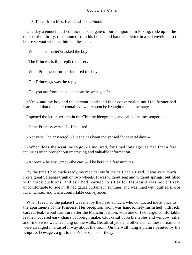[4] Taken from Mrs. Headland's note−book.

 One day a eunuch dashed into the back gate of our compound in Peking, rode up to the door of the library, dismounted from his horse, and handed a letter in a red envelope to the house servant who met him on the steps.

«What is the matter?» asked the boy.

«The Princess is ill,» replied the servant.

«What Princess?» further inquired the boy.

«Our Princess,» was the reply.

«Oh, you are from the palace near the west gate?»

 «Yes,» and the boy and the servant continued their conversation until the former had learned all that the letter contained, whereupon he brought me the message.

I opened the letter, written in the Chinese ideographs, and called the messenger in.

«Is the Princess very ill?» I inquired.

«Not very,» he answered, «but she has been indisposed for several days.»

 «When does she want me to go?» I inquired, for I had long ago learned that a few inquiries often brought out interesting and valuable information.

«At once,» he answered; «the cart will be here in a few minutes.»

 By the time I had made ready my medical outfit the cart had arrived. It was very much like a great Saratoga trunk on two wheels. It was without seat and without springs, but filled with thick cushions, and as I had learned to sit tailor fashion it was not entirely uncomfortable to ride in. It had gauze curtains in summer, and was lined with quilted silk or fur in winter, and was a comfortable conveyance.

When I reached the palace I was met by the head eunuch, who conducted me at once to the apartments of the Princess. Her reception room was handsomely furnished with rich, carved, teak−wood furniture after the Manchu fashion, with one or two large, comfortable, leather−covered easy chairs of foreign make. Clocks sat upon the tables and window−sills, and fine Swiss watches hung on the walls. Beautiful jade and other rich Chinese ornaments were arranged in a tasteful way about the room. On the wall hung a picture painted by the Empress Dowager, a gift to the Prince on his birthday.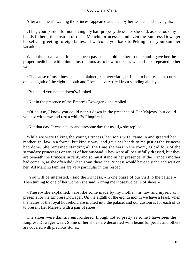After a moment's waiting the Princess appeared attended by her women and slave girls.

 «I beg your pardon for not having my hair properly dressed,» she said, as she took my hands in hers, the custom of these Manchu princesses and even the Empress Dowager herself, in greeting foreign ladies. «I welcome you back to Peking after your summer vacation.»

 When the usual salutations had been passed she told me her trouble and I gave her the proper medicine, with minute instructions as to how to take it, which I also repeated to her women.

 «The cause of my illness,» she explained, «is over−fatigue. I had to be present at court on the eighth of the eighth month and I became very tired from standing all day.»

«But could you not sit down?» I asked.

«Not in the presence of the Empress Dowager,» she replied.

 «Of course, I know you could not sit down in the presence of Her Majesty, but could you not withdraw and rest a while?» I inquired.

«Not that day. It was a busy and tiresome day for us all,» she replied.

 While we were talking the young Princess, her son's wife, came in and greeted her mother−in−law in a formal but kindly way, and gave her hands to me just as the Princess had done. She remained standing all the time she was in the room, as did four of the secondary princesses or wives of her husband. They were all beautifully dressed, but they are beneath the Princess in rank, and so must stand in her presence. If the Prince's mother had come in, as she often did when I was there, the Princess would have to stand and wait on her. All Manchu families are very particular in this respect.

 «You will be interested,» said the Princess, «in one phase of our visit to the palace.» Then turning to one of her women she said: «Bring me those two pairs of shoes.»

 «These,» she explained, «are like some made by my mother−in−law and myself as presents for the Empress Dowager. On the eighth of the eighth month we have a feast, when the ladies of the royal household are invited into the palace, and our custom is for each of us to present Her Majesty with a pair of shoes.»

 The shoes were daintily embroidered, though not so pretty as some I have seen the Empress Dowager wear. Some of her shoes are decorated with beautiful pearls and others are covered with precious stones.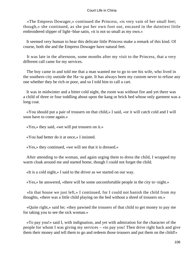«The Empress Dowager,» continued the Princess, «is very vain of her small feet; though,» she continued, as she put her own foot out, encased in the daintiest little embroidered slipper of light−blue satin, «it is not so small as my own.»

 It seemed very human to hear this delicate little Princess make a remark of this kind. Of course, both she and the Empress Dowager have natural feet.

 It was late in the afternoon, some months after my visit to the Princess, that a very different call came for my services.

 The boy came in and told me that a man wanted me to go to see his wife, who lived in the southern city outside the Ha−ta gate. It has always been my custom never to refuse any one whether they be rich or poor, and so I told him to call a cart.

 It was in midwinter and a bitter cold night, the room was without fire and yet there was a child of three or four toddling about upon the kang or brick bed whose only garment was a long coat.

 «You should put a pair of trousers on that child,» I said, «or it will catch cold and I will soon have to come again.»

«Yes,» they said, «we will put trousers on it.»

«You had better do it at once,» I insisted.

«Yes,» they continued, «we will see that it is dressed.»

 After attending to the woman, and again urging them to dress the child, I wrapped my warm cloak around me and started home, though I could not forget the child.

«It is a cold night,» I said to the driver as we started on our way.

«Yes,» he answered, «there will be some uncomfortable people in the city to−night.»

 «In that house we just left,» I continued, for I could not banish the child from my thoughts, «there was a little child playing on the bed without a shred of trousers on.»

 «Quite right,» said he; «they pawned the trousers of that child to get money to pay me for taking you to see the sick woman.»

 «To pay you!» said I, with indignation, and yet with admiration for the character of the people for whom I was giving my services – «to pay you! Then drive right back and give them their money and tell them to go and redeem those trousers and put them on the child!»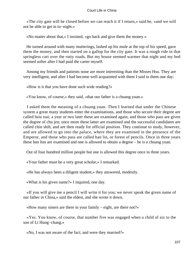«The city gate will be closed before we can reach it if I return,» said he, «and we will not be able to get in to−night.»

«No matter about that,» I insisted, «go back and give them the money.»

 He turned around with many mutterings, lashed up his mule at the top of his speed, gave them the money, and then started on a gallop for the city gate. It was a rough ride in that springless cart over the rutty roads. But my house seemed warmer that night and my bed seemed softer after I had paid the carter myself.

 Among my friends and patients none are more interesting than the Misses Hsu. They are very intelligent, and after I had become well acquainted with them I said to them one day:

«How is it that you have done such wide reading?»

«You know, of course,» they said, «that our father is a chuang yuan.»

 I asked them the meaning of a chuang yuan. Then I learned that under the Chinese system a great many students enter the examinations, and those who secure their degree are called hsiu tsai; a year or two later these are examined again, and those who pass are given the degree of chu jen; once more these latter are examined and the successful candidates are called chin shih, and are then ready for official position. They continue to study, however, and are allowed to go into the palace, where they are examined in the presence of the Emperor, and those who pass are called han lin, or forest of pencils. Once in three years these han lins are examined and one is allowed to obtain a degree – he is a chuang yuan.

Out of four hundred million people but one is allowed this degree once in three years.

«Your father must be a very great scholar,» I remarked.

«He has always been a diligent student,» they answered, modestly.

«What is his given name?» I inquired, one day.

 «If you will give me a pencil I will write it for you; we never speak the given name of our father in China,» said the eldest, and she wrote it down.

«How many sisters are there in your family – eight, are there not?»

 «Yes. You know, of course, that number five was engaged when a child of six to the son of Li Hung−chang.»

«No, I was not aware of the fact; and were they married?»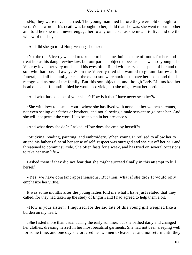«No, they were never married. The young man died before they were old enough to wed. When word of his death was brought to her, child that she was, she went to our mother and told her she must never engage her to any one else, as she meant to live and die the widow of this boy.»

«And did she go to Li Hung−chang's home?»

 «No, the old Viceroy wanted to take her to his home, build a suite of rooms for her, and treat her as his daughter−in−law, but our parents objected because she was so young. The Viceroy loved her very much, and his eyes often filled with tears as he spoke of her and the son who had passed away. When the Viceroy died she wanted to go and kotow at his funeral, and all his family except the eldest son were anxious to have her do so, and thus be recognized as one of the family. But this son objected, and though Lady Li knocked her head on the coffin until it bled he would not yield, lest she might want her portion.»

«And what has become of your sister? How is it that I have never seen her?»

 «She withdrew to a small court, where she has lived with none but her women servants, not even seeing our father or brothers, and not allowing a male servant to go near her. And she will not permit the word Li to be spoken in her presence.»

«And what does she do?» I asked. «How does she employ herself?»

 «Studying, reading, painting, and embroidery. When young Li refused to allow her to attend his father's funeral her sense of self−respect was outraged and she cut off her hair and threatened to commit suicide. She often fasts for a week, and has tried on several occasions to take her own life.»

 I asked them if they did not fear that she might succeed finally in this attempt to kill herself.

 «Yes, we have constant apprehensions. But then, what if she did? It would only emphasize her virtue.»

 It was some months after the young ladies told me what I have just related that they called, for they had taken up the study of English and I had agreed to help them a bit.

 «How is your sister?» I inquired, for the sad fate of this young girl weighed like a burden on my heart.

 «She fasted more than usual during the early summer, but she bathed daily and changed her clothes, dressing herself in her most beautiful garments. She had not been sleeping well for some time, and one day she ordered her women to leave her and not return until they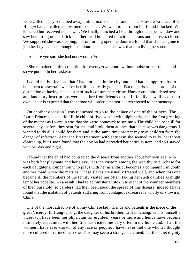were called. They remained away until a married sister and a sister−in−law−a niece of Li Hung−chang – called and wanted to see her. We went to her room but found it locked. We knocked but received no answer. We finally punched a hole through the paper window and saw her sitting on her brick bed, her head bolstered up with cushions and her eyes closed. We supposed she was sleeping, but on forcing open the door we found that she had gone to join her boy husband, though her colour and appearance was that of a living person.»

«And are you sure she had not swooned?»

 «She remained in this condition for twenty−two hours without pulse or heart beat, and so we put her in her casket.»

 I could not but feel sad that I had not been in the city, and had had an opportunity to help them to ascertain whether her life had really gone out. But the girls seemed proud of the distinction of having had a sister of such consummate virtue. Numerous embroidered scrolls and laudatory inscriptions were sent her from friends of the Li family as well as of their own, and it is expected that the throne will order a memorial arch erected to her memory.

 On another occasion I was requested to go to the palace of one of the princes. The fourth Princess, a beautiful little child of five, was ill with diphtheria, and the first greeting of the mother as I went in was that she «was homesick to see me.» The child had been ill for several days before they sent for me, and I told them at once that the case was dangerous. I wanted to do all I could for them and at the same time protect my own children from the danger of infection. After the first treatment with antitoxin she seemed to rally, her throat cleared up, but I soon found that the poison had pervaded her entire system, and so I stayed with her day and night.

 I found that the child had contracted the disease from another about her own age, who was both her playmate and her slave. It is the custom among the wealthy to purchase for each daughter a companion who plays with her as a child, becomes a companion in youth and her maid when she marries. These slaves are usually treated well, and when this one became ill the members of the family visited her often, taking her such dainties as might tempt her appetite. As a result I had to administer antitoxin to eight of the younger members of the household, so careless had they been about the spread of this disease; indeed I have found that the isolation of patients suffering from contagious diseases is wholly unknown in China.

 One of the most attractive of all my Chinese lady friends and patients is the niece of the great Viceroy, Li Hung−chang, the daughter of his brother, Li Han−chang, who is himself a viceroy. I have been her physician for eighteen years or more and hence have become intimately acquainted with her. She has visited me very often in my home and, of all the women I have ever known, of any race or people, I have never met one whom I thought more cultured or refined than she. This may seem a strange statement, but the quiet dignity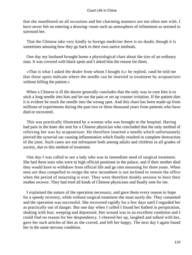that she manifested on all occasions and her charming manners are not often met with. I have never felt on entering a drawing−room such an atmosphere of refinement as seemed to surround her.

 That the Chinese take very kindly to foreign medicine there is no doubt, though it is sometimes amusing how they go back to their own native methods.

 One day my husband brought home a physiological chart about the size of an ordinary man. It was covered with black spots and I asked him the reason for them.

 «That is what I asked the dealer from whom I bought it,» he replied, «and he told me that those spots indicate where the needle can be inserted in treatment by acupuncture without killing the patient.»

 When a Chinese is ill the doctor generally concludes that the only way to cure him is to stick a long needle into him and let out the pain or set up counter irritation. If the patient dies it is evident he stuck the needle into the wrong spot. And this chart has been made up from millions of experiments during the past two or three thousand years from patients who have died or recovered.

 This was practically illustrated by a woman who was brought to the hospital. Having had pain in the knee she sent for a Chinese physician who concluded that the only method of relieving her was by acupuncture. He therefore inserted a needle which unfortunately pierced the synovial sac causing inflammation which finally resulted in complete destruction of the joint. Such cases are not infrequent both among adults and children in all grades of society, due to this method of treatment.

 One day I was called to see a lady who was in immediate need of surgical treatment. She had three sons who were in high official positions in the palace, and if their mother died they would have to withdraw from official life and go into mourning for three years. When men are thus compelled to resign the new incumbent is not inclined to restore the office when the period of mourning is over. They were therefore doubly anxious to have their mother recover. They had tried all kinds of Chinese physicians and finally sent for me.

 I explained the nature of the operation necessary, and gave them every reason to hope for a speedy recovery, while without surgical treatment she must surely die. They consented and the operation was successful. She recovered rapidly for a few days until I regarded her as practically out of danger. But one day when I called I found her bathed in perspiration, shaking with fear, weeping and depressed. Her wound was in an excellent condition and I could find no reason for her despondency. I cheered her up, laughed and talked with her, gave her such articles of diet as she craved, and left her happy. The next day I again found her in the same nervous condition.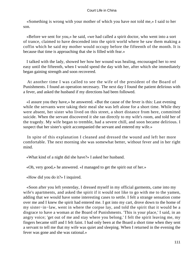«Something is wrong with your mother of which you have not told me,» I said to her son.

 «Before we sent for you,» he said, «we had called a spirit doctor, who went into a sort of trance, claimed to have descended into the spirit world where he saw them making a coffin which he said my mother would occupy before the fifteenth of the month. It is because that time is approaching that she is filled with fear.»

 I talked with the lady, showed her how her wound was healing, encouraged her to rest easy until the fifteenth, when I would spend the day with her, after which she immediately began gaining strength and soon recovered.

 At another time I was called to see the wife of the president of the Board of Punishments. I found an operation necessary. The next day I found the patient delirious with a fever, and asked the husband if my directions had been followed.

 «I assure you they have,» he answered. «But the cause of the fever is this: Last evening while the servants were taking their meal she was left alone for a short time. While they were absent, her sister who lived on this street, a short distance from here, committed suicide. When the servant discovered it she ran directly to my wife's room, and told her of the tragedy. My wife began to tremble, had a severe chill, and soon became delirious. I suspect that her sister's spirit accompanied the servant and entered my wife.»

 In spite of this explanation I cleaned and dressed the wound and left her more comfortable. The next morning she was somewhat better, without fever and in her right mind.

«What kind of a night did she have?» I asked her husband.

«Oh, very good,» he answered. «I managed to get the spirit out of her.»

«How did you do it?» I inquired.

 «Soon after you left yesterday, I dressed myself in my official garments, came into my wife's apartments, and asked the spirit if it would not like to go with me to the yamen, adding that we would have some interesting cases to settle. I felt a strange sensation come over me and I knew the spirit had entered me. I got into my cart, drove down to the home of my sister−in−law, went in where the corpse lay, and told the spirit that it would be a disgrace to have a woman at the Board of Punishments. 'This is your place,' I said, in an angry voice; 'get out of me and stay where you belong.' I felt the spirit leaving me, my fingers became stiff and I felt faint. I had only been at the Board a short time when they sent a servant to tell me that my wife was quiet and sleeping. When I returned in the evening the fever was gone and she was rational.»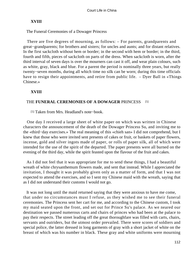# **XVIII**

The Funeral Ceremonies of a Dowager Princess

 There are five degrees of mourning, as follows: – For parents, grandparents and great−grandparents; for brothers and sisters; for uncles and aunts; and for distant relatives. In the first sackcloth without hem or border; in the second with hem or border; in the third, fourth and fifth, pieces of sackcloth on parts of the dress. When sackcloth is worn, after the third interval of seven days is over the mourners can cast it off, and wear plain colours, such as white, gray, black and blue. For a parent the period is nominally three years, but really twenty−seven months, during all which time no silk can be worn; during this time officials have to resign their appointments, and retire from public life. – Dyer Ball in «Things Chinese.»

# **XVIII**

# THE **FUNERAL CEREMONIES OF A DOWAGER** PRINCESS [5]

[5] Taken from Mrs. Headland's note−book.

 One day I received a large sheet of white paper on which was written in Chinese characters the announcement of the death of the Dowager Princess Su, and inviting me to the «third−day exercises.» The real meaning of this «chieh san» I did not comprehend, but I knew that those who were invited sent presents of cakes or fruit, or baskets of paper flowers, incense, gold and silver ingots made of paper, or rolls of paper silk, all of which were intended for the use of the spirit of the departed. The paper presents were all burned on the evening of the third day, while the spirit feasted upon the flavour of the fruit and cakes.

 As I did not feel that it was appropriate for me to send these things, I had a beautiful wreath of white chrysanthemum flowers made, and sent that instead. While I appreciated the invitation, I thought it was probably given only as a matter of form, and that I was not expected to attend the exercises, and so I sent my Chinese maid with the wreath, saying that as I did not understand their customs I would not go.

 It was not long until the maid returned saying that they were anxious to have me come, that under no circumstances must I refuse, as they wished me to see their funeral ceremonies. The Princess sent her cart for me, and according to the Chinese custom, I took my maid seated upon the front, and set out for Prince Su's palace. As we neared our destination we passed numerous carts and chairs of princes who had been at the palace to pay their respects. The street leading off the great thoroughfare was filled with carts, chairs, servants and outriders, but the utmost order prevailed. There were scores of soldiers and special police, the latter dressed in long garments of gray with a short jacket of white on the breast of which was his number in black. These gray and white uniforms were mourning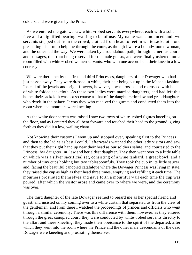colours, and were given by the Prince.

 As we entered the gate we saw white−robed servants everywhere, each with a sober face and a dignified bearing, waiting to be of use. My name was announced and two servants stepped out from the crowd, clothed from head to feet in white sackcloth, one presenting his arm to help me through the court, as though I were a bound−footed woman, and the other led the way. We were taken by a roundabout path, through numerous courts and passages, the front being reserved for the male guests, and were finally ushered into a room filled with white−robed women servants, who with one accord bent their knee in a low courtesy.

 We were there met by the first and third Princesses, daughters of the Dowager who had just passed away. They were dressed in white, their hair being put up in the Manchu fashion. Instead of the jewels and bright flowers, however, it was crossed and recrossed with bands of white folded sackcloth. As these two ladies were married daughters, and had left this home, their sackcloth was not so coarse as that of the daughters−in−law and granddaughters who dwelt in the palace. It was they who received the guests and conducted them into the room where the mourners were kneeling.

 As the white door screen was raised I saw two rows of white−robed figures kneeling on the floor, and as I entered they all bent forward and touched their head to the ground, giving forth as they did it a low, wailing chant.

 Not knowing their customs I went up and stooped over, speaking first to the Princess and then to the ladies as best I could. I afterwards watched the other lady visitors and saw that they put their right hand up near their head as our soldiers salute, and courtesied to the Princess, her daughter−in−law and her eldest daughter. They then went over to a little table on which was a silver sacrificial set, consisting of a wine tankard, a great bowl, and a number of tiny cups holding but two tablespoonfuls. They took the cup in its little saucer, and, facing the beautiful canopied catafalque where the Dowager Princess was lying in state, they raised the cup as high as their head three times, emptying and refilling it each time. The mourners prostrated themselves and gave forth a mournful wail each time the cup was poured, after which the visitor arose and came over to where we were, and the ceremony was over.

 The third daughter of the late Dowager seemed to regard me as her special friend and guest, and insisted on my coming over to a white curtain that separated us from the view of the gentlemen, and from there I watched the proceedings of princes and officials who went through a similar ceremony. There was this difference with them, however, as they entered through the great canopied court, they were conducted by white−robed servants directly to the altar, and there kneeling, they made their obeisance to the spirit of the departed, after which they went into the room where the Prince and the other male descendants of the dead Dowager were kneeling and prostrating themselves.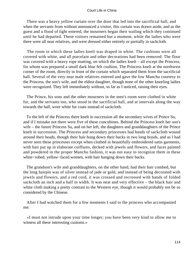There was a heavy yellow curtain over the door that led into the sacrificial hall, and when the servants from without announced a visitor, this curtain was drawn aside, and as the guest and a flood of light entered, the mourners began their wailing which they continued until he had departed. These visitors remained but a moment, while the ladies who were there were all near relatives, and were dressed either entirely or partially in sackcloth.

 The room in which these ladies knelt was draped in white. The cushions were all covered with white, and all porcelain and other decorations had been removed. The floor was covered with a heavy rope matting, on which the ladies knelt – all except the Princess, for whom was prepared a small dark blue felt cushion. The Princess knelt at the northwest corner of the room, directly in front of the curtain which separated them from the sacrificial hall. Several of the very near male relatives entered and gave the low Manchu courtesy to the Princess, the son's wife, and the eldest daughter, though none of the other kneeling ladies were recognized. They left immediately without, so far as I noticed, raising their eyes.

 The Prince, his sons and the other mourners in the men's room were clothed in white fur, and the servants too, who stood in the sacrificial hall, and at intervals along the way towards the hall, wore white fur coats instead of sackcloth.

 To the left of the Princess there knelt in succession all the secondary wives of Prince Su, and if I mistake not there were five of these concubines. Behind the Princess knelt her son's wife – the future Princess Su, and on her left, the daughters and granddaughters of the Prince knelt in succession. The Princess and secondary princesses had bands of sackcloth wound around their heads, though their hair hung down their backs in two long braids, and as I had never seen these princesses except when clothed in beautifully embroidered satin garments, with hair put up in elaborate coiffures, decked with jewels and flowers, and faces painted and powdered in the proper Manchu fashion, it was not easy to recognize them in these white−robed, yellow−faced women, with hair hanging down their backs.

 The grandson's wife and granddaughters, on the other hand, had their hair combed, but the long hairpin was of silver instead of jade or gold, and instead of being decorated with jewels and flowers, and a red cord, it was crossed and recrossed with bands of folded sackcloth an inch and a half in width. It was neat and very effective – the black hair and white cloth making a pretty contrast to the Western eye, though it would probably not be so considered by the Chinese.

 After I had watched them for a few moments I said to the princess who accompanied me:

 «I must not intrude upon your time longer; you have been very kind to allow me to witness all these interesting customs.»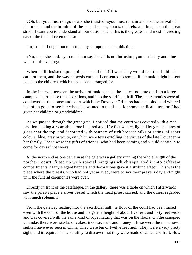«Oh, but you must not go now,» she insisted; «you must remain and see the arrival of the priests, and the burning of the paper houses, goods, chattels, and images on the great street. I want you to understand all our customs, and this is the greatest and most interesting day of the funeral ceremonies.»

I urged that I ought not to intrude myself upon them at this time.

 «No, no,» she said, «you must not say that. It is not intrusion; you must stay and dine with us this evening.»

When I still insisted upon going she said that if I went they would feel that I did not care for them, and she was so persistent that I consented to remain if the maid might be sent home to the children, which they at once arranged for.

 In the interval between the arrival of male guests, the ladies took me out into a large canopied court to see the decorations, and into the sacrificial hall. These ceremonies were all conducted in the house and court which the Dowager Princess had occupied, and where I had often gone to see her when she wanted to thank me for some medical attention I had given her children or grandchildren.

 As we passed through the great gate, I noticed that the court was covered with a mat pavilion making a room about one hundred and fifty feet square, lighted by great squares of glass near the top, and decorated with banners of rich brocade silks or satins, of sober colours, blue, gray or white, on which were texts extolling the virtues of the late Dowager or her family. These were the gifts of friends, who had been coming and would continue to come for days if not weeks.

 At the north end as one came in at the gate was a gallery running the whole length of the northern court, fitted up with special hangings which separated it into different compartments. Many elegant banners and decorations gave it a striking effect. This was the place where the priests, who had not yet arrived, were to say their prayers day and night until the funeral ceremonies were over.

 Directly in front of the catafalque, in the gallery, there was a table on which I afterwards saw the priests place a silver vessel which the head priest carried, and the others regarded with much solemnity.

 From the gateway leading into the sacrificial hall the floor of the court had been raised even with the door of the house and the gate, a height of about five feet, and forty feet wide, and was covered with the same kind of rope matting that was on the floors. On the canopied verandas there were stacks of cakes, incense, fruit and money. These were the most novel sights I have ever seen in China. They were ten or twelve feet high. They were a very pretty sight, and it required some scrutiny to discover that they were made of cakes and fruit. How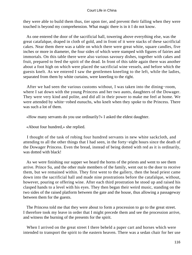they were able to build them thus, tier upon tier, and prevent their falling when they were touched is beyond my comprehension. What magic there is in it I do not know.

 As one entered the door of the sacrificial hall, towering above everything else, was the great catafalque, draped in cloth of gold, and in front of it were stacks of these sacrificial cakes. Near them there was a table on which there were great white, square candles, five inches or more in diameter, the four sides of which were stamped with figures of fairies and immortals. On this table there were also various savoury dishes, together with cakes and fruit, prepared to feed the spirit of the dead. In front of this table again there was another about a foot high on which were placed the sacrificial wine vessels, and before which the guests knelt. As we entered I saw the gentlemen kneeling to the left, while the ladies, separated from them by white curtains, were kneeling to the right.

 After we had seen the various customs without, I was taken into the dining−room, where I sat down with the young Princess and her two aunts, daughters of the Dowager. They were very kind and polite, and did all in their power to make me feel at home. We were attended by white−robed eunuchs, who knelt when they spoke to the Princess. There was such a lot of them.

«How many servants do you use ordinarily?» I asked the eldest daughter.

«About four hundred,» she replied.

 I thought of the task of robing four hundred servants in new white sackcloth, and attending to all the other things that I had seen, in the forty−eight hours since the death of the Dowager Princess. Even the bread, instead of being dotted with red as it is ordinarily, was dotted with black!

 As we were finishing our supper we heard the horns of the priests and went to see them arrive. Prince Su, and the other male members of the family, went out to the door to receive them, but we remained within. They first went to the gallery, then the head priest came down into the sacrificial hall and made nine prostrations before the catafalque, without, however, pouring or offering wine. After each third prostration he stood up and raised his clasped hands to a level with his eyes. They then began their weird music, standing on the two sides of the raised platform between the gate and the house, thus allowing a passageway between them for the guests.

 The Princess told me that they were about to form a procession to go to the great street. I therefore took my leave in order that I might precede them and see the procession arrive, and witness the burning of the presents for the spirit.

When I arrived on the great street I there beheld a paper cart and horses which were intended to transport the spirit to the eastern heaven. There was a sedan chair for her use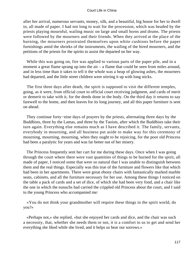after her arrival, numerous servants, money, silk, and a beautiful, big house for her to dwell in, all made of paper. I had not long to wait for the procession, which was headed by the priests playing mournful, wailing music on large and small horns and drums. The priests were followed by the mourners and their friends. When they arrived at the place of the burning, the mourners prostrated themselves upon white cushions before the paper furnishings amid the shrieks of the instruments, the wailing of the hired mourners, and the petitions of the priests for the spirits to assist the departed on her way.

 While this was going on, fire was applied to various parts of the paper pile, and in a moment a great flame sprang up into the air – a flame that could be seen from miles around, and in less time than it takes to tell it the whole was a heap of glowing ashes, the mourners had departed, and the little street children were stirring it up with long sticks.

 The first three days after death, the spirit is supposed to visit the different temples, going, as it were, from official court to official court receiving judgment, and cards of merit or demerit to take with it, for the deeds done in the body. On the third day it returns to say farewell to the home, and then leaves for its long journey, and all this paper furniture is sent on ahead.

 They continue forty−nine days of prayers by the priests, alternating three days by the Buddhists, three by the Lamas, and three by the Taoists, after which the Buddhists take their turn again. Everything else remains much as I have described it. The family, servants, everybody in mourning, and all business put aside to make way for this ceremony of mourning, mourning, mourning, when they ought to be rejoicing, for the poor old Princess had been a paralytic for years and was far better out of her misery.

 The Princess frequently sent her cart for me during these days. Once when I was going through the court where there were vast quantities of things to be burned for the spirit, all made of paper, I noticed some that were so natural that I was unable to distinguish between them and the real things. Especially was this true of the furniture and flowers like that which had been in her apartments. There were great ebony chairs with fantastically marked marble seats, cabinets, and all the furniture necessary for her use. Among these things I noticed on the table a pack of cards and a set of dice, of which she had been very fond, and a chair like the one in which the eunuchs had carried the crippled old Princess about the court, and I said to the young Princess who accompanied me:

 «You do not think your grandmother will require these things in the spirit world, do you?»

 «Perhaps not,» she replied, «but she enjoyed her cards and dice, and the chair was such a necessity, that, whether she needs them or not, it is a comfort to us to get and send her everything she liked while she lived, and it helps us bear our sorrows.»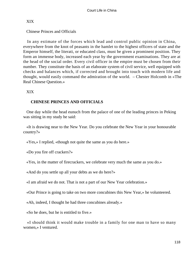# XIX

Chinese Princes and Officials

 In any estimate of the forces which lead and control public opinion in China, everywhere from the knot of peasants in the hamlet to the highest officers of state and the Emperor himself, the literati, or educated class, must be given a prominent position. They form an immense body, increased each year by the government examinations. They are at the head of the social order. Every civil officer in the empire must be chosen from their number. They constitute the basis of an elaborate system of civil service, well equipped with checks and balances which, if corrected and brought into touch with modern life and thought, would easily command the admiration of the world. – Chester Holcomb in «The Real Chinese Question.»

XIX

# **CHINESE PRINCES AND OFFICIALS**

 One day while the head eunuch from the palace of one of the leading princes in Peking was sitting in my study he said:

 «It is drawing near to the New Year. Do you celebrate the New Year in your honourable country?»

«Yes,» I replied, «though not quite the same as you do here.»

«Do you fire off crackers?»

«Yes, in the matter of firecrackers, we celebrate very much the same as you do.»

«And do you settle up all your debts as we do here?»

«I am afraid we do not. That is not a part of our New Year celebration.»

«Our Prince is going to take on two more concubines this New Year,» he volunteered.

«Ah, indeed, I thought he had three concubines already.»

«So he does, but he is entitled to five.»

 «I should think it would make trouble in a family for one man to have so many women,» I ventured.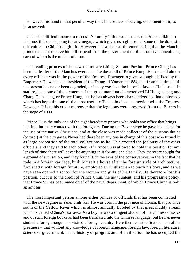He waved his hand in that peculiar way the Chinese have of saying, don't mention it, as he answered:

 «That is a difficult matter to discuss. Naturally if this woman sees the Prince talking to that one, this one is going to eat vinegar,» which gives us a glimpse of some of the domestic difficulties in Chinese high life. However it is a fact worth remembering that the Manchu prince does not receive his full stipend from the government until he has five concubines, each of whom is the mother of a son.

 The leading princes of the new regime are Ching, Su, and Pu−lun. Prince Ching has been the leader of the Manchus ever since the downfall of Prince Kung. He has held almost every office it was in the power of the Empress Dowager to give, «though disliked by the Emperor.» He was made president of the Tsung−li Yamen in 1884, and from that time until the present has never been degraded, or in any way lost the imperial favour. He is small in stature, has none of the elements of the great man that characterized Li Hung−chang and Chang Chih−tung, or Prince Kung, but he has always been characterized by that diplomacy which has kept him one of the most useful officials in close connection with the Empress Dowager. It is to his credit moreover that the legations were preserved from the Boxers in the siege of 1900.

 Prince Su is the only one of the eight hereditary princes who holds any office that brings him into intimate contact with the foreigners. During the Boxer siege he gave his palace for the use of the native Christians, and at the close was made collector of the customs duties (octoroi) at the city gates. Never had there been any one in charge of this post who turned in as large proportion of the total collections as he. This excited the jealousy of the other officials, and they said to each other: «If Prince Su is allowed to hold this position for any length of time there will never be anything in it for any one else.» They therefore sought for a ground of accusation, and they found it, in the eyes of the conservatives, in the fact that he rode in a foreign carriage, built himself a house after the foreign style of architecture, furnished it with foreign furniture, employed an Englishman to teach his boys, and as we have seen opened a school for the women and girls of his family. He therefore lost his position, but it is to the credit of Prince Chun, the new Regent, and his progressive policy, that Prince Su has been made chief of the naval department, of which Prince Ching is only an adviser.

 The most important person among either princes or officials that has been connected with the new regime is Yuan Shih−kai. He was born in the province of Honan, that province south of the Yellow River which is almost annually flooded by that great muddy stream which is called «China's Sorrow.» As a boy he was a diligent student of the Chinese classics and of such foreign books as had been translated into the Chinese language, but he has never studied a foreign tongue nor visited a foreign country. Here then rests the first element of his greatness – that without any knowledge of foreign language, foreign law, foreign literature, science of government, or the history of progress and of civilization, he has occupied the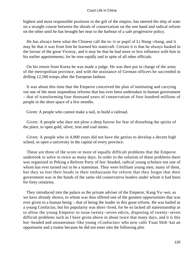highest and most responsible positions in the gift of the empire, has steered the ship of state on a straight course between the shoals of conservatism on the one hand and radical reform on the other until he has brought her near to the harbour of a safe progressive policy.

 He has always been what the Chinese call the tu−ti or pupil of Li Hung−chang, and it may be that it was from him he learned his statecraft. Certain it is that he always basked in the favour of the great Viceroy, and it may be that he had more or less influence with him in his earlier appointments, for he rose rapidly and in spite of all other officials.

 On his return from Korea he was made a judge. He was then put in charge of the army of the metropolitan province, and with the assistance of German officers he succeeded in drilling 12,500 troops after the European fashion.

 It was about this time that the Emperor conceived the plan of instituting and carrying out one of the most stupendous reforms that has ever been undertaken in human government – that of transforming four thousand years of conservatism of four hundred millions of people in the short space of a few months.

Given: A people who cannot make a nail, to build a railroad.

 Given: A people who dare not plow a deep furrow for fear of disturbing the spirits of the place, to open gold, silver, iron and coal mines.

 Given: A people who in 4,000 years did not have the genius to develop a decent high school, to open a university in the capital of every province.

 These are three of the score or more of equally difficult problems that the Emperor undertook to solve in twice as many days. In order to the solution of these problems there was organized in Peking a Reform Party of hot−headed, radical young scholars not one of whom has ever turned out to be a statesman. They were brilliant young men, many of them, but they so lost their heads in their enthusiasm for reform that they forgot that their government was in the hands of the same old conservative leaders under whom it had been for forty centuries.

 They introduced into the palace as the private adviser of the Emperor, Kang Yu−wei, as we have already shown, to whom was thus offered one of the greatest opportunities that was ever given to a human being – that of being the leader in this great reform. He was hailed as a young Confucius, but his popularity was short−lived, for he so lacked all statesmanship as to allow the young Emperor to issue twenty−seven edicts, disposing of twenty−seven difficult problems such as I have given above in about twice that many days, and it is this hot−headed and unstatesman−like young «Confucius» who now calls Yuan Shih−kai an opportunist and a traitor because he did not enter into the following plot.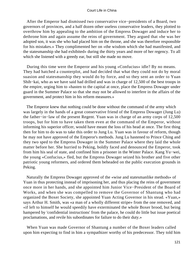After the Emperor had dismissed two conservative vice−presidents of a Board, two governors of provinces, and a half dozen other useless conservative leaders, they plotted to overthrow him by appealing to the ambition of the Empress Dowager and induce her to dethrone him and again assume the reins of government. They argued that «he was her adopted son, it was she who had placed him on the throne, and she was therefore responsible for his mistakes.» They complimented her on «the wisdom which she had manifested, and the statesmanship she had exhibited» during the thirty years and more of her regency. To all which she listened with a greedy ear, but still she made no move.

 During this time were the Emperor and his young «Confucius» idle? By no means. They had hatched a counterplot, and had decided that what they could not do by moral suasion and statesmanship they would do by force, and so they sent an order to Yuan Shih−kai, who as we have said had drilled and was in charge of 12,500 of the best troops in the empire, urging him to «hasten to the capital at once, place the Empress Dowager under guard in the Summer Palace so that she may not be allowed to interfere in the affairs of the government, and protect him in his reform measures.»

 The Emperor knew that nothing could be done without the command of the army which was largely in the hands of a great conservative friend of the Empress Dowager (Jung Lu) the father−in−law of the present Regent. Yuan was in charge of an army corps of 12,500 troops, but for him to have taken them even at the command of the Emperor, without informing his superior officer, would have meant the loss of his head at once. The first thing then for him to do was to take this order to Jung Lu. Yuan was in favour of reform, though he may not have approved of the Emperor's methods. Jung Lu hastened to Prince Ching and they two sped to the Empress Dowager in the Summer Palace where they laid the whole matter before her. She hurried to Peking, boldly faced and denounced the Emperor, took from him his seal of state, and confined him a prisoner in the Winter Palace. Kang Yu−wei, the young «Confucius,» fled, but the Empress Dowager seized his brother and five other patriotic young reformers, and ordered them beheaded on the public execution grounds in Peking.

 Naturally the Empress Dowager approved of the «wise and statesmanlike methods» of Yuan in thus protecting instead of imprisoning her, and thus placing the reins of government once more in her hands, and she appointed him Junior Vice−President of the Board of Works, and when she was compelled to remove the Governor of Shantung who had organized the Boxer Society, she appointed Yuan Acting Governor in his stead. «Yuan,» says Arthur H. Smith, was «a man of a wholly different stripe» from the one removed, and «if left to himself he would speedily have exterminated the whole Boxer brood, but being hampered by 'confidential instructions' from the palace, he could do little but issue poetical proclamations, and revile his subordinates for failure to do their duty.»

 When Yuan was made Governor of Shantung a number of the Boxer leaders called upon him expecting to find in him a sympathizer worthy of his predecessor. They told him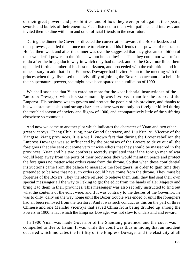of their great powers and possibilities, and of how they were proof against the spears, swords and bullets of their enemies. Yuan listened to them with patience and interest, and invited them to dine with him and other official friends in the near future.

 During the dinner the Governor directed the conversation towards the Boxer leaders and their prowess, and led them once more to relate to all his friends their powers of resistance. He fed them well, and after the dinner was over he suggested that they give an exhibition of their wonderful powers to the friends whom he had invited. This they could not well refuse to do after the braggadocio way in which they had talked, and so the Governor lined them up, called forth a number of his best marksmen, and proceeded with the exhibition, and it is unnecessary to add that if the Empress Dowager had invited Yuan to the meeting with the princes when they discussed the advisability of joining the Boxers on account of a belief in their supernatural powers, she might have been spared the humiliation of 1900.

 We shall soon see that Yuan cared no more for the «confidential instructions» of the Empress Dowager, when his statesmanship was involved, than for the orders of the Emperor. His business was to govern and protect the people of his province, and thanks to his wise statesmanship and strong character «there was not only no foreigner killed during the troubled season of anxiety and flight» of 1900, and «comparatively little of the suffering elsewhere so common.»

 And now we come to another plot which indicates the character of Yuan and two other great viceroys, Chang Chih−tung, now Grand Secretary, and Liu Kun−yi, Viceroy of the Yangtse−kiang provinces. It is a well−known fact that during the Boxer rebellion the Empress Dowager was so influenced by the promises of the Boxers to drive out all the foreigners that she sent out some very unwise edicts that they should be massacred in the provinces. Yuan and his two confreres secretly stipulated that if the foreign men of war would keep away from the ports of their provinces they would maintain peace and protect the foreigners no matter what orders came from the throne. So that when these confidential instructions came from the palace to massacre the foreigners, in order to gain time they pretended to believe that no such orders could have come from the throne. They must be forgeries of the Boxers. They therefore refused to believe them until they had sent their own special messenger all the way to Peking to get the edict from the hands of Her Majesty and bring it to them in their provinces. This messenger was also secretly instructed to find out what the contents of the edict were, and if it was contrary to the desires of the Governor, he was to dilly−dally on the way home until the Boxer trouble was ended or until the foreigners had all been removed from the territory. And it was such conduct as this on the part of three Chinese and one Manchu viceroys that saved China from being divided up among the Powers in 1900, a fact which the Empress Dowager was not slow to understand and reward.

 In 1900 Yuan was made Governor of the Shantung province, and the court was compelled to flee to Hsian. It was while the court was thus in hiding that an incident occurred which indicates the fertility of the Empress Dowager and the elasticity of all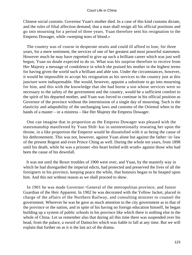Chinese social customs. Governor Yuan's mother died. In a case of this kind customs dictate, and the rules of filial affection demand, that a man shall resign all his official positions and go into mourning for a period of three years. Yuan therefore sent his resignation to the Empress Dowager, while «weeping tears of blood.»

 The country was of course in desperate straits and could ill afford to lose, for three years, for a mere sentiment, the services of one of her greatest and most powerful statesmen. However much he may have regretted to give up such a brilliant career which was just well begun, Yuan no doubt expected to do so. What was his surprise therefore to receive from Her Majesty a message of condolence in which she praised his mother in the highest terms for having given the world such a brilliant and able son. Under the circumstances, however, it would be impossible to accept his resignation as his services to the country just at this juncture were indispensable. She would, however, appoint a substitute to go into mourning for him, and this with the knowledge that she had borne a son whose services were so necessary to the safety of the government and the country, would be a sufficient comfort to the spirit of his departed mother, and Yuan was forced to continue in his official position as Governor of the province without the intermission of a single day of mourning. Such is the elasticity and adaptability of the unchanging laws and customs of the Oriental when in the hands of a master – or a mistress – like Her Majesty the Empress Dowager.

 One can imagine that in proportion as the Empress Dowager was pleased with the statesmanship manifested by Yuan Shih−kai in unintentionally reseating her upon the throne, in a like proportion the Emperor would be dissatisfied with it as being the cause of his dethronement. This was not, however, against Yuan alone but against the father−in−law of the present Regent and even Prince Ching as well. During the whole ten years, from 1898 until his death, while he was a prisoner «his heart boiled with wrath» against those who had been the cause of his downfall.

 It was not until the Boxer troubles of 1900 were over, and Yuan, by the masterly way in which he had disregarded the imperial edicts, had protected and preserved the lives of all the foreigners in his province, keeping peace the while, that honours began to be heaped upon him. And this not without reason as we shall proceed to show.

 In 1901 he was made Governor−General of the metropolitan province, and Junior Guardian of the Heir Apparent. In 1902 he was decorated with the Yellow Jacket, placed in charge of the affairs of the Northern Railway, and consulting minister to counsel the government. Wherever he was he gave as much attention to the city government as to that of the province or the nation, and in spite of his having no foreign education himself, he began building up a system of public schools in his province like which there is nothing else in the whole of China. Let us remember also that during ail this time there was suspended over his head, from the palace, a sword of Damocles which was liable to fall at any time. But we will explain that further on as it is the last act of the drama.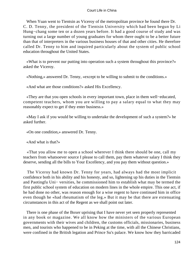When Yuan went to Tientsin as Viceroy of the metropolitan province he found there Dr. C. D. Tenny, the president of the Tientsin University which had been begun by Li Hung−chang some ten or a dozen years before. It had a good course of study and was turning out a large number of young graduates for whom there ought to be a better future than that of interpreters in the various business houses of that and other cities. He therefore called Dr. Tenny to him and inquired particularly about the system of public school education throughout the United States.

 «What is to prevent our putting into operation such a system throughout this province?» asked the Viceroy.

«Nothing,» answered Dr. Tenny, «except to be willing to submit to the conditions.»

«And what are those conditions?» asked His Excellency.

 «They are that you open schools in every important town, place in them well−educated, competent teachers, whom you are willing to pay a salary equal to what they may reasonably expect to get if they enter business.»

 «May I ask if you would be willing to undertake the development of such a system?» he asked further.

«On one condition,» answered Dr. Tenny.

«And what is that?»

 «That you allow me to open a school wherever I think there should be one, call my teachers from whatsoever source I please to call them, pay them whatever salary I think they deserve, sending all the bills to Your Excellency, and you pay them without question.»

 The Viceroy had known Dr. Tenny for years, had always had the most implicit confidence both in his ability and his honesty, and so, lightening up his duties in the Tientsin and Paotingfu Uni− versities, he commissioned him to establish what may be termed the first public school system of education on modern lines in the whole empire. This one act, if he had done no other, was reason enough for a wise regent to have continued him in office even though he «had rheumatism of the leg.» But it may be that there are extenuating circumstances in this act of the Regent as we shall point out later.

 There is one phase of the Boxer uprising that I have never yet seen properly represented in any book or magazine. We all know how the ministers of the various European governments with their wives and children, the customs officials, missionaries, business men, and tourists who happened to be in Peking at the time, with all the Chinese Christians, were confined in the British legation and Prince Su's palace. We know how they barricaded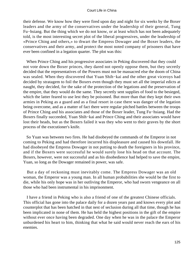their defense. We know how they were fired upon day and night for six weeks by the Boxer leaders and the army of the conservatives under the leadership of their general, Tung Fu−hsiang. But the thing which we do not know, or at least which has not been adequately told, is the most interesting secret plot of the liberal progressives, under the leadership of «Prince Ching and others,» to thwart the Empress Dowager and the Boxer leaders, the conservatives and their army, and protect the most noted company of prisoners that have ever been confined in a legation quarter. The plot was this:

 When Prince Ching and his progressive associates in Peking discovered that they could not vote down the Boxer princes, they dared not openly oppose them, but they secretly decided that the representatives of the Powers must not be massacred else the doom of China was sealed. When they discovered that Yuan Shih−kai and the other great viceroys had decided by stratagem to foil the Boxers even though they must set all the imperial edicts at naught, they decided, for the sake of the protection of the legations and the preservation of the empire, that they would do the same. They secretly sent supplies of food to the besieged, which the latter feared to use lest they be poisoned. But more than that they kept their own armies in Peking as a guard and as a final resort in case there was danger of the legation being overcome, and as a matter of fact there were regular pitched battles between the troops of Prince Ching and his associates and those of the Boxer leader, Tung Fu−hsiang. Had the Boxers finally succeeded, Yuan Shih−kai and Prince Ching and their associates would have lost their heads, but as the Boxers failed it was they who went to their graves by the short process of the executioner's knife.

 So Yuan was between two fires. He had disobeyed the commands of the Emperor in not coming to Peking and had therefore incurred his displeasure and caused his downfall. He had disobeyed the Empress Dowager in not putting to death the foreigners in his province, and if the Boxers were successful he would surely lose his head on that account. The Boxers, however, were not successful and as his disobedience had helped to save the empire, Yuan, so long as the Dowager remained in power, was safe.

 But a day of reckoning must inevitably come. The Empress Dowager was an old woman, the Emperor was a young man. In all human probabilities she would be the first to die, while his only hope was in her outliving the Emperor, who had sworn vengeance on all those who had been instrumental in his imprisonment.

 I have a friend in Peking who is also a friend of one of the greatest Chinese officials. This official has gone into the palace daily for a dozen years past and knows every plot and counterplot that has been hatched in that nest of seclusion during all that time, though he has been implicated in none of them. He has held the highest positions in the gift of the empire without ever once having been degraded. One day when he was in the palace the Emperor unburdened his heart to him, thinking that what he said would never reach the ears of his enemies.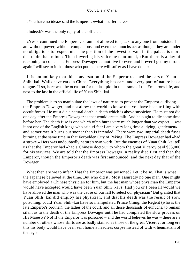«You have no idea,» said the Emperor, «what I suffer here.»

«Indeed?» was the only reply of the official.

 «Yes,» continued the Emperor, «I am not allowed to speak to any one from outside. I am without power, without companions, and even the eunuchs act as though they are under no obligations to respect me. The position of the lowest servant in the palace is more desirable than mine.» Then lowering his voice he continued, «But there is a day of reckoning to come. The Empress Dowager cannot live forever, and if ever I get my throne again I will see to it that those who put me here will suffer as I have done.»

 It is not unlikely that this conversation of the Emperor reached the ears of Yuan Shih−kai. Walls have ears in China. Everything has ears, and every part of nature has a tongue. If so, here was the occasion for the last plot in the drama of the Emperor's life, and next to the last in the official life of Yuan Shih−kai.

 The problem is to so manipulate the laws of nature as to prevent the Emperor outliving the Empress Dowager, and not allow the world to know that you have been trifling with occult forces. He must die a natural death, a death which is above suspicion. He must not die one day after the Empress Dowager as that would create talk. And he ought to die some time before her. The death fuse is one which often burns very much longer than we expect – was it not one of the English kings who said «I fear I am a very long time a−dying, gentlemen» – and sometimes it burns out sooner than is intended. There were two imperial death fuses burning at the same time in that Forbidden City of Peking. The Empress Dowager had «had a stroke.» Hers was undoubtedly nature's own work. But the enemies of Yuan Shih−kai tell us that the Emperor had «had a Chinese doctor,» to whom the great Viceroy paid \$33,000 for his services. We are told that the Empress Dowager in reality died first and then the Emperor, though the Emperor's death was first announced, and the next day that of the Dowager.

 What then are we to infer? That the Emperor was poisoned? Let it be so. That is what the Japanese believed at the time. But who did it? Most assuredly no one man. One might have employed a Chinese physician for him, but the last man whose physician the Emperor would have accepted would have been Yuan Shih−kai's. Had you or I been ill would we have allowed the man who was the cause of our fall to select our physician? But granted that Yuan Shih−kai did employ his physician, and that his death was the result of slow poisoning, could Yuan Shih−kai have so manipulated Prince Ching, the Regent (who is the late Emperor's brother), the ladies of the court, and all those thousands of eunuchs, to remain silent as to the death of the Empress Dowager until he had completed the slow process on His Majesty? No! If the Emperor was poisoned – and the world believes he was – there are a number of others whose skirts are as badly stained as those of the great Viceroy, or long ere this his body would have been sent home a headless corpse instead of with «rheumatism of the leg.»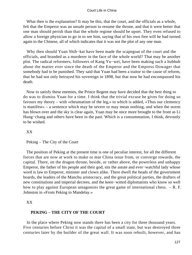What then is the explanation? It may be this, that the court, and the officials as a whole, felt that the Emperor was an unsafe person to resume the throne, and that it were better that one man should perish than that the whole regime should be upset. They even refused to allow a foreign physician to go in to see him, saying that of his own free will he had turned again to the Chinese, all of which indicates that it was not the plot of any one man.

 Why then should Yuan Shih−kai have been made the scapegoat of the court and the officials, and branded as a murderer in the face of the whole world? That may be another plot. The radical reformers, followers of Kang Yu−wei, have been making such a hubbub about the matter ever since the death of the Emperor and the Empress Dowager that somebody had to be punished. They said that Yuan had been a traitor to the cause of reform, that he had not only betrayed his sovereign in 1898, but that now he had encompassed his death.

 Now to satisfy these enemies, the Prince Regent may have decided that the best thing to do was to dismiss Yuan for a time. I think that the trivial excuse he gives for doing so favours my theory – with «rheumatism of the leg,» to which is added, «Thus our clemency is manifest» – a sentence which may be severe or may mean nothing, and when the storm has blown over and the sky is clear again, Yuan may be once more brought to the front as Li Hung−chang and others have been in the past. Which is a consummation, I think, devoutly to be wished.

XX

Peking – The City of the Court

 The position of Peking at the present time is one of peculiar interest, for all the different forces that are now at work to make or mar China issue from, or converge towards, the capital. There, on the dragon throne, beside, or rather above, the powerless and unhappy Emperor, the father of his people and their god, sits the astute and ever−watchful lady whose word is law to Emperor, minister and clown alike. There dwell the heads of the government boards, the leaders of the Manchu aristocracy, and the great political parties, the drafters of new constitutions and imperial decrees, and the keen−witted diplomatists who know so well how to play against European antagonists the great game of international chess. – R. F. Johnston in «From Peking to Mandelay.»

XX

# **PEKING** – **THE CITY OF THE COURT**

 In the place where Peking now stands there has been a city for three thousand years. Five centuries before Christ it was the capital of a small state, but was destroyed three centuries later by the builder of the great wall. It was soon rebuilt, however, and has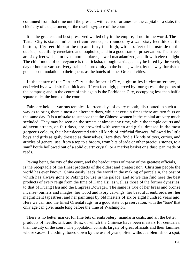continued from that time until the present, with varied fortunes, as the capital of a state, the chief city of a department, or the dwelling−place of the court.

 It is the greatest and best preserved walled city in the empire, if not in the world. The Tartar City is sixteen miles in circumference, surrounded by a wall sixty feet thick at the bottom, fifty feet thick at the top and forty feet high, with six feet of balustrade on the outside, beautifully crenelated and loopholed, and in a good state of preservation. The streets are sixty feet wide, – or even more in places, – well macadamized, and lit with electric light. The chief mode of conveyance is the 'ricksha, though carriages may be hired by the week, day or hour at various livery stables in proximity to the hotels, which, by the way, furnish as good accommodation to their guests as the hotels of other Oriental cities.

 In the centre of the Tartar City is the Imperial City, eight miles in circumference, encircled by a wall six feet thick and fifteen feet high, pierced by four gates at the points of the compass; and in the centre of this again is the Forbidden City, occupying less than half a square mile, the home of the court.

 Fairs are held, at various temples, fourteen days of every month, distributed in such a way as to bring them almost on alternate days, while at certain times there are two fairs on the same day. It is a mistake to suppose that the Chinese women in the capital are very much secluded. They may be seen on the streets at almost any time, while the temple courts and adjacent streets, on fair days, are crowded with women and girls, dressed in the most gorgeous colours, their hair decorated with all kinds of artificial flowers, followed by little boys and girls as gaily dressed as themselves. Here they find all kinds of toys, curios, and articles of general use, from a top to a broom, from bits of jade or other precious stones, to a snuff bottle hollowed out of a solid quartz crystal, or a market basket or a dust−pan made of reeds.

 Peking being the city of the court, and the headquarters of many of the greatest officials, is the receptacle of the finest products of the oldest and greatest non−Christian people the world has ever known. China easily leads the world in the making of porcelain, the best of which has always gone to Peking for use in the palace, and so we can find here the best products of every reign from the time of Kang Hsi, as well as those of the former dynasties, to that of Kuang Hsu and the Empress Dowager. The same is true of her brass and bronze incense−burners and images, her wood and ivory carvings, her beautiful embroideries, her magnificent tapestries, and her paintings by old masters of six or eight hundred years ago. Here we can find the finest Oriental rugs, in a good state of preservation, with the "tone' that only age can give, made long before the time of Washington.

 There is no better market for fine bits of embroidery, mandarin coats, and all the better products of needle, silk and floss, of which the Chinese have been masters for centuries, than the city of the court. The population consists largely of great officials and their families, whose cast−off clothing, toned down by the use of years, often without a blemish or a spot,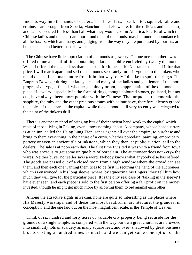finds its way into the hands of dealers. The finest furs, – seal, otter, squirrel, sable and ermine, – are brought from Siberia, Manchuria and elsewhere, for the officials and the court, and can be secured for less than half what they would cost in America. Pearls, of which the Chinese ladies and the court are more fond than of diamonds, may be found in abundance in all the bazars, which are many, and judging from the way they are purchased by tourists, are both cheaper and better than elsewhere.

 The Chinese have little appreciation of diamonds as jewelry. On one occasion there was offered to me a beautiful ring containing a large sapphire encircled by twenty diamonds. When I offered the dealer less than he asked for it, he said: «No, rather than sell it for that price, I will tear it apart, and sell the diamonds separately for drill−points to the tinkers who mend dishes. I can make more from it in that way, only I dislike to spoil the ring.» The Empress Dowager during her late years, and many of the ladies and gentlemen of the more progressive type, affected, whether genuinely or not, an appreciation of the diamond as a piece of jewelry, especially in the form of rings, though coloured stones, polished, but not cut, have always been more popular with the Chinese. The turquoise, the emerald, the sapphire, the ruby and the other precious stones with colour have, therefore, always graced the tables of the bazars in the capital, while the diamond until very recently was relegated to the point of the tinker's drill.

 There is another method of bringing bits of their ancient handiwork to the capital which most of those living in Peking, even, know nothing about. A company, whose headquarters is at an inn, called the Hsing Lung Tien, sends agents all over the empire, to purchase and bring to them everything in the nature of a curio, whether porcelain, painting, embroidery, pottery or even an ancient tile or inkstone, which they then, at public auction, sell to the dealers. The sale is at noon each day. The first time I visited it was with a friend from Iowa who was anxious to get some unique bits of porcelain. The auctioneer does not «cry» the wares. Neither buyer nor seller says a word. Nobody knows what anybody else has offered. The goods are passed out of a closed room from a high window where the crowd can see them, and then each one wanting them tries to be first in securing the hand of the auctioneer, which is ensconced in his long sleeve, where, by squeezing his fingers, they tell him how much they will give for the particular piece. It is the only real case of "talking in the sleeve' I have ever seen, and each piece is sold to the first person offering a fair profit on the money invested, though he might get much more by allowing them to bid against each other.

 Among the attractive sights in Peking, none are quite so interesting as the places where His Majesty worships, and of these the most beautiful in architecture, the grandest in conception, and the one laid out on the most magnificent scale, is the Temple of Heaven.

 Think of six hundred and forty acres of valuable city property being set aside for the grounds of a single temple, as compared with the way our own great churches are crowded into small city lots of scarcely as many square feet, and over−shadowed by great business blocks costing a hundred times as much, and we can get some conception of the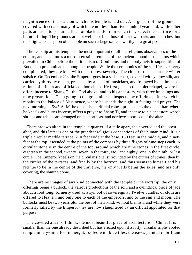magnificence of the scale on which this temple is laid out. A large part of the grounds is covered with cedars, many of which are not less than five hundred years old, while other parts are used to pasture a flock of black cattle from which they select the sacrifice for a burnt offering. The grounds are not well kept like those of our own parks and churches, but the original conception of a temple on such a large scale is worthy of a great people.

 The worship at this temple is the most important of all the religious observances of the empire, and constitutes a most interesting remnant of the ancient monotheistic cultus which prevailed in China before the rationalism of Confucius and the polytheistic superstition of Buddhism predominated among the people. While the ceremonies of the sacrifices are very complicated, they are kept with the strictest severity. The chief of these is at the winter solstice. On December 21st the Emperor goes in a sedan chair, covered with yellow silk, and carried by thirty−two men, preceded by a band of musicians, and followed by an immense retinue of princes and officials on horseback. He first goes to the tablet−chapel, where he offers incense to Shang Ti, the God above, and to his ancestors, with three kneelings and nine prostrations. Then going to the great altar he inspects the offerings, after which he repairs to the Palace of Abstinence, where he spends the night in fasting and prayer. The next morning at 5:45 A. M. he dons his sacrificial robes, proceeds to the open altar, where he kneels and burns incense, offers a prayer to Shang Ti, and incense to his ancestors whose shrines and tablets are arranged on the northeast and northwest portions of the altar.

 There are two altars in the temple, a quarter of a mile apart, the covered and the open altar, and this latter is one of the grandest religious conceptions of the human mind. It is a triple circular marble terrace, 210 feet wide at the base, 150 feet in the middle, and ninety feet at the top, ascended at the points of the compass by three flights of nine steps each. A circular stone is in the centre of the top, around which are nine stones in the first circle, eighteen in the second, twenty−seven in the third, etc., and eighty−one in the ninth, or last circle. The Emperor kneels on the circular stone, surrounded by the circles of stones, then by the circles of the terraces, and finally by the horizon, and thus seems to himself and his retinue to be in the centre of the universe, his only walls being the skies, and his only covering, the shining dome.

 There are no images of any kind connected with the temple or the worship, the only offerings being a bullock, the various productions of the soil, and a cylindrical piece of jade about a foot long, formerly used as a symbol of sovereignty. Twelve bundles of cloth are offered to Heaven, and only one to each of the emperors, and to the sun and moon. The bullocks must be two years old, the best of their kind, without blemish, and while they were formerly killed by the Emperor they are now slaughtered by an official appointed for that purpose.

 The covered altar is, I think, the most beautiful piece of architecture in China. It is smaller than the one already described but has erected upon it a lofty, circular triple−roofed temple ninety−nine feet in height, roofed with blue tiles, the eaves painted in brilliant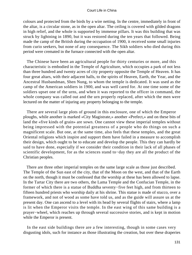colours and protected from the birds by a wire netting. In the centre, immediately in front of the altar, is a circular stone, as in the open altar. The ceiling is covered with gilded dragons in high relief, and the whole is supported by immense pillars. It was this building that was struck by lightning in 1890, but it was restored during the ten years that followed. Being made the camp of the British during the occupation of 1900, it received some small injuries from curio seekers, but none of any consequence. The Sikh soldiers who died during this period were cremated in the furnace connected with the open altar.

 The Chinese have been an agricultural people for thirty centuries or more, and this characteristic is embodied in the Temple of Agriculture, which occupies a park of not less than three hundred and twenty acres of city property opposite the Temple of Heaven. It has four great altars, with their adjacent halls, to the spirits of Heaven, Earth, the Year, and the Ancestral Husbandman, Shen Nung, to whom the temple is dedicated. It was used as the camp of the American soldiers in 1900, and was well cared for. At one time some of the soldiers upset one of the urns, and when it was reported to the officer in command, the whole company was called out and the urn properly replaced, after which the men were lectured on the matter of injuring any property belonging to the temple.

 There are several large plots of ground in this enclosure, one of which the Emperor ploughs, while another is marked «City Magistrate,» another «Prefect,» and on these bits of land the «five kinds of grain» are sown. One cannot view these imperial temples without being impressed with the potential greatness of a people who do things on such a magnificent scale. But one, at the same time, also feels that these temples, and the great Oriental religions which inspire and support them have failed in a measure to accomplish their design, which ought to be to educate and develop the people. This they can hardly be said to have done, especially if we consider their condition in their lack of all phases of scientific development, for as the sciences stand to−day they are all the product of the Christian peoples.

 There are three other imperial temples on the same large scale as those just described. The Temple of the Sun east of the city, that of the Moon on the west, and that of the Earth on the north, though it must be confessed that the worship at these has been allowed to lapse. In the Tartar City there are two others, the Lama Temple and the Confucian Temple, in the former of which there is a statue of Buddha seventy−five feet high, and from thirteen to fifteen hundred priests who worship daily at his shrine. This statue is made of stucco, over a framework, and not of wood as some have told us, and as the guide will assure us at the present day. One can ascend to a level with its head by several flights of stairs, where a lamp is lit when the Emperor visits the temple. In the east wing of this same building is a prayer−wheel, which reaches up through several successive stories, and is kept in motion while the Emperor is present.

 In the east side buildings there are a few interesting, though in some cases very disgusting idols, such for instance as those illustrating the creation, but over these draperies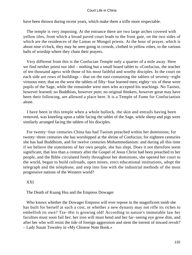have been thrown during recent years, which make them a trifle more respectable.

 The temple is very imposing. At the entrance there are two large arches covered with yellow tiles, from which a broad paved court leads to the front gate, on the two sides of which are the residences of the Lamas or Mongol priests. At the hour of prayer, which is about nine o'clock, they may be seen going in crowds, clothed in yellow robes, to the various halls of worship where they chant their prayers.

 Very different from this is the Confucian Temple only a quarter of a mile away. Here we find neither priest nor idol – nothing but a small board tablet to «Confucius, the teacher of ten thousand ages» with those of his most faithful and worthy disciples. In the court on each side are rows of buildings – that on the east containing the tablets of seventy−eight virtuous men; that on the west the tablets of fifty−four learned men; eighty−six of these were pupils of the Sage, while the remainder were men who accepted his teachings. No Taoists, however learned; no Buddhists, however pure; no original thinkers, however great may have been their following, are allowed a place here. It is a Temple of Fame for Confucianists alone.

 I have been in this temple when a whole bullock, the skin and entrails having been removed, was kneeling upon a table facing the tablet of the Sage, while sheep and pigs were similarly arranged facing the tablets of his disciples.

 For twenty−four centuries China has had Taoism preached within her dominions; for twenty−three centuries she has worshipped at the shrine of Confucius; for eighteen centuries she has had Buddhism, and for twelve centuries Mohammedanism: and during all this time if we believe the statements of her own people, she has slept. Does it not therefore seem significant, that less than a century after the Gospel of Jesus Christ had been preached to her people, and the Bible circulated freely throughout her dominions, she opened her court to the world, began to build railroads, open mines, erect educational institutions, adopt the telegraph and the telephone, and step into line with the industrial methods of the most progressive nations of the Western world?

### XXI

### The Death of Kuang Hsu and the Empress Dowager

 Who knows whether the Dowager Empress will ever repose in the magnificent tomb she has built for herself at such a cost, or whether a new dynasty may not rifle its riches to embellish its own? Tze−Hsi is growing old! According to nature's immutable law her faculties must soon fail her; her iron will must bend and her far−seeing eye grow dim, and after her who will resist the tide of foreign aggression and stem the torrent of inward revolt? – Lady Susan Townley in «My Chinese Note Book.»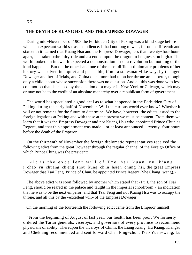## XXI

## THE **DEATH OF KUANG HSU AND THE EMPRESS DOWAGER**

 During mid−November of 1908 the Forbidden City of Peking was a blind stage before which an expectant world sat as an audience. It had not long to wait, for on the fifteenth and sixteenth it learned that Kuang Hsu and the Empress Dowager, less than twenty−four hours apart, had taken «the fairy ride and ascended upon the dragon to be guests on high.» The world looked on in awe. It expected a demonstration if not a revolution but nothing of the kind happened. But on the other hand one of the most difficult diplomatic problems of her history was solved in a quiet and peaceable, if not a statesman−like way, by the aged Dowager and her officials, and China once more had upon her throne an emperor, though only a child, about whose succession there was no question. And all this was done with less commotion than is caused by the election of a mayor in New York or Chicago, which may or may not be to the credit of an absolute monarchy over a republican form of government.

 The world has speculated a good deal as to what happened in the Forbidden City of Peking during the early half of November. Will the curious world ever know? Whether it will or not remains for the future to determine. We have, however, the edicts issued to the foreign legations at Peking and with these at the present we must be content. From them we learn that it was the Empress Dowager and not Kuang Hsu who appointed Prince Chun as Regent, and that this appointment was made – or at least announced – twenty−four hours before the death of the Emperor.

 On the thirteenth of November the foreign diplomatic representatives received the following edict from the great Dowager through the regular channel of the Foreign Office of which Prince Ching was the president:

 «It is the excellent will of Tze−hsi−kuan−yu−k'ang− i−chao−yu−chuang−ch'eng−shou−kung−ch'in−hsien−chung−hsi, the great Empress Dowager that Tsai Feng, Prince of Chun, be appointed Prince Regent (She Chang−wang).»

 The above edict was soon followed by another which stated that «Pu I, the son of Tsai Feng, should be reared in the palace and taught in the imperial schoolroom,» an indication that he was to be the next emperor, and that Tsai Feng and not Kuang Hsu was to occupy the throne, and all this by the «excellent will» of the Empress Dowager.

On the morning of the fourteenth the following edict came from the Emperor himself:

 "From the beginning of August of last year, our health has been poor. We formerly ordered the Tartar generals, viceroys, and governors of every province to recommend physicians of ability. Thereupon the viceroys of Chihli, the Liang Kiang, Hu Kiang, Kiangsu and Chekiang recommended and sent forward Chen Ping−chun, Tsao Yuen−wang, Lu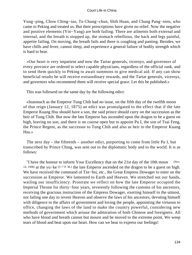Yung−ping, Chow Ching−tao, Tu Chung−chun, Shih Huan, and Chang Pang−nien, who came to Peking and treated us. But their prescriptions have given no relief. Now the negative and positive elements (Yin−Yang) are both failing. There are ailments both external and internal, and the breath is stopped up, the stomach rebellious, the back and legs painful, appetite failing. On moving, the breath fails and there is coughing and panting. Besides, we have chills and fever, cannot sleep, and experience a general failure of bodily strength which is hard to bear.

 «Our heart is very impatient and now the Tartar generals, viceroys, and governors of every province are ordered to select capable physicians, regardless of the official rank, and to send them quickly to Peking to await summons to give medical aid. If any can show beneficial results he will receive extraordinary rewards, and the Tartar generals, viceroys, and governors who recommend them will receive special grace. Let this be published.»

This was followed on the same day by the following edict:

 «Inasmuch as the Emperor Tung Chih had no issue, on the fifth day of the twelfth moon of that reign (January 12, 1875) an edict was promulgated to the effect that if the late Emperor Kuang Hsu should have a son, the said prince should carry on the succession as the heir of Tung Chih. But now the late Emperor has ascended upon the dragon to be a guest on high, leaving no son, and there is no course open but to appoint Pu I, the son of Tsai Feng, the Prince Regent, as the successor to Tung Chih and also as heir to the Emperor Kuang Hsu.»

 The next day – the fifteenth – another edict, purporting to come from little Pu I, but transcribed by Prince Ching, was sent out to the diplomatic body and to the world. It is as follows:

"I have the honour to inform Your Excellency that on the 21st day of the 10th moon [Nov.] 14, 1908] at the yu−ke [5−7 P. M.] the late Emperor ascended on the dragon to be a guest on high. We have received the command of Tze−hsi, etc., the Great Empress Dowager to enter on the succession as Emperor. We lamented to Earth and Heaven. We stretched out our hands, wailing our insufficiency. Prostrate we reflect on how the late Emperor occupied the Imperial Throne for thirty−four years, reverently following the customs of his ancestors, receiving the gracious instruction of the Empress Dowager, exerting himself to the utmost, not failing one day to revere Heaven and observe the laws of his ancestors, devoting himself with diligence to the affairs of government and loving the people, appointing the virtuous to office, changing the laws of the land to make the country powerful, considering new methods of government which arouse the admiration of both Chinese and foreigners. All who have blood and breath cannot but mourn and be moved to the extreme point. We weep tears of blood and beat upon our heart. How can we bear to express our feelings!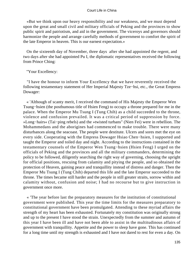«But we think upon our heavy responsibility and our weakness, and we must depend upon the great and small civil and military officials of Peking and the provinces to show public spirit and patriotism, and aid in the government. The viceroys and governors should harmonize the people and arrange carefully methods of government to comfort the spirit of the late Emperor in heaven. This is our earnest expectation.»

 On the sixteenth day of November, three days after she had appointed the regent, and two days after she had appointed Pu I, the diplomatic representatives received the following from Prince Ching:

"Your Excellency:

 "I have the honour to inform Your Excellency that we have reverently received the following testamentary statement of Her Imperial Majesty Tze−hsi, etc., the Great Empress Dowager:

 « 'Although of scanty merit, I received the command of His Majesty the Emperor Wen Tsung−hsien (the posthumous title of Hsien Feng) to occupy a throne prepared for me in the palace. When the Emperor Mu Tsung I (Tung Chih) as a child succeeded to the throne, violence and confusion prevailed. It was a critical period of suppression by force. »Long−hairs« (Tai−ping rebels) and the »twisted turbans" (Nien Fei) were in rebellion. The Mohammedans and the aborigines had commenced to make trouble. There were many disturbances along the seacoast. The people were destitute. Ulcers and sores met the eye on every side. Cooperating with the Empress Dowager Hsiao Chen−hsien, I supported and taught the Emperor and toiled day and night. According to the instructions contained in the testamentary counsels of the Emperor Wen Tsung−hsien (Hsien Feng) I urged on the officials of Peking and the provinces and all the military commanders, determining the policy to be followed, diligently searching the right way of governing, choosing the upright for official positions, rescuing from calamity and pitying the people, and so obtained the protection of Heaven, gaining peace and tranquillity instead of distress and danger. Then the Emperor Mu Tsung I (Tung Chih) departed this life and the late Emperor succeeded to the throne. The times became still harder and the people in still greater straits, sorrow within and calamity without, confusion and noise; I had no recourse but to give instruction in government once more.

 « 'The year before last the preparatory measures for the institution of constitutional government were published. This year the time limits for the measures preparatory to constitutional government have been promulgated. Attending to these myriad affairs the strength of my heart has been exhausted. Fortunately my constitution was originally strong and up to the present I have stood the strain. Unexpectedly from the summer and autumn of this year I have been ill and have not been able to assist in the multitudinous affairs of government with tranquillity. Appetite and the power to sleep have gone. This has continued for a long time until my strength is exhausted and I have not dared to rest for even a day. On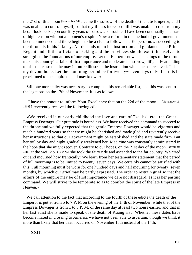the 21st of this moon [November 14th] came the sorrow of the death of the late Emperor, and I was unable to control myself, so that my illness increased till I was unable to rise from my bed. I look back upon our fifty years of sorrow and trouble. I have been continually in a state of high tension without a moment's respite. Now a reform in the method of government has been commenced and there begins to be a clue to follow. The Emperor now succeeding to the throne is in his infancy. All depends upon his instruction and guidance. The Prince Regent and all the officials of Peking and the provinces should exert themselves to strengthen the foundations of our empire. Let the Emperor now succeedings to the throne make his country's affairs of first importance and moderate his sorrow, diligently attending to his studies so that he may in future illustrate the instruction which he has received. This is my devout hope. Let the mourning period be for twenty−seven days only. Let this be proclaimed to the empire that all may know.' »

 Still one more edict was necessary to complete this remarkable list, and this was sent to the legations on the 17th of November. It is as follows:

 "I have the honour to inform Your Excellency that on the 22d of the moon [November 15, 1908] I reverently received the following edict:

 «We received in our early childhood the love and care of Tze−hsi, etc., the Great Empress Dowager. Our gratitude is boundless. We have received the command to succeed to the throne and we fully expected that the gentle Empress Dowager would be vigorous and reach a hundred years so that we might be cherished and made glad and reverently receive her instructions so that our government might be established and the state made firm. But her toil by day and night gradually weakened her. Medicine was constantly administered in the hope that she might recover. Contrary to our hopes, on the 21st day of the moon [November 14th] at the wei−k'o [1−3 P.M.] she took the fairy ride and ascended to the far country. We cried out and mourned how frantically! We learn from her testamentary statement that the period of full mourning is to be limited to twenty−seven days. We certainly cannot be satisfied with this. Full mourning must be worn for one hundred days and half mourning for twenty−seven months, by which our grief may be partly expressed. The order to restrain grief so that the affairs of the empire may be of first importance we dare not disregard, as it is her parting command. We will strive to be temperate so as to comfort the spirit of the late Empress in Heaven.»

 We call attention to the fact that according to the fourth of these edicts the death of the Emperor is put at from 5 to 7 P. M on the evening of the 14th of November, while that of the Empress Dowager is from 1 to 3 P. M. of the same day at least two hours earlier, and that in her last edict she is made to speak of the death of Kuang Hsu. Whether these dates have become mixed in crossing to America we have not been able to ascertain, though we think it more than likely that her death occurred on November 15th instead of the 14th.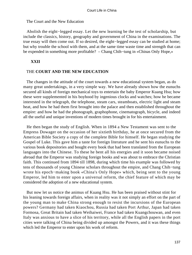The Court and the New Education

 Abolish the eight−legged essay. Let the new learning be the test of scholarship, but include the classics, history, geography and government of China in the examinations. The true essay will then come out. If so desired, the eight−legged essay can be studied at home; but why trouble the school with them, and at the same time waste time and strength that can be expended in something more profitable? – Chang Chih−tung in «Chinas Only Hope,»

# **XXII**

## THE **COURT AND THE NEW EDUCATION**

 The changes in the attitude of the court towards a new educational system began, as do many great undertakings, in a very simple way. We have already shown how the eunuchs secured all kinds of foreign mechanical toys to entertain the baby Emperor Kuang Hsu; how these were supplemented in his boyhood by ingenious clocks and watches; how he became interested in the telegraph, the telephone, steam cars, steamboats, electric light and steam heat, and how he had them first brought into the palace and then established throughout the empire: and how he had the phonograph, graphophone, cinematograph, bicycle, and indeed all the useful and unique inventions of modern times brought in for his entertainment.

 He then began the study of English. When in 1894 a New Testament was sent to the Empress Dowager on the occasion of her sixtieth birthday, he at once secured from the American Bible Society a copy of the complete Bible for himself. He began studying the Gospel of Luke. This gave him a taste for foreign literature and he sent his eunuchs to the various book depositories and bought every book that had been translated from the European languages into the Chinese. To these he bent all his energies and it soon became noised abroad that the Emperor was studying foreign books and was about to embrace the Christian faith. This continued from 1894 till 1898, during which time his example was followed by tens of thousands of young Chinese scholars throughout the empire, and Chang Chih−tung wrote his epoch−making book «China's Only Hope» which, being sent to the young Emperor, led him to enter upon a universal reform, the chief feature of which may be considered the adoption of a new educational system.

 But now let us notice the animus of Kuang Hsu. He has been praised without stint for his leaning towards foreign affairs, when in reality was it not simply an effort on the part of the young man to make China strong enough to resist the incursions of the European powers? Germany had taken Kiaochou, Russia had taken Port Arthur, Japan had taken Formosa, Great Britain had taken Weihaiwei, France had taken Kuangchouwan, and even Italy was anxious to have a slice of his territory, while all the English papers in the port cities were talking of China being divided up amongst the Powers, and it was these things which led the Emperor to enter upon his work of reform.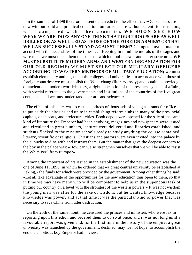In the summer of 1898 therefore he sent out an edict to the effect that: «Our scholars are now without solid and practical education; our artisans are without scientific instructors; when compared with other countries **WE SOON SEE HOW WEAK WE ARE. DOES ANY ONE THINK THAT OUR TROOPS ARE AS WELL DRILLED OR AS WELL LED AS THOSE OF THE FOREIGN ARMIES?** OR **THAT WE CAN SUCCESSFULLY STAND AGAINST THEM?** Changes must be made to accord with the necessities of the times. . . . Keeping in mind the morals of the sages and wise men, we must make them the basis on which to build newer and better structures. **WE MUST SUBSTITUTE MODERN ARMS AND WESTERN ORGANIZATION FOR OUR OLD REGIME;** WE **MUST SELECT OUR MILITARY OFFICERS ACCORDING TO WESTERN METHODS OF MILITARY EDUCATION;** we must establish elementary and high schools, colleges and universities, in accordance with those of foreign countries; we must abolish the Wen−chang (literary essay) and obtain a knowledge of ancient and modern world−history, a right conception of the present−day state of affairs, with special reference to the governments and institutions of the countries of the five great continents; and we must understand their arts and sciences.»

 The effect of this edict was to cause hundreds of thousands of young aspirants for office to put aside the classics and unite in establishing reform clubs in many of the provincial capitals, open ports, and prefectural cities. Book depots were opened for the sale of the same kind of literature the Emperor had been studying, magazines and newspapers were issued and circulated in great numbers, lectures were delivered and libraries established, and students flocked to the mission schools ready to study anything the course contained, literary, scientific or religious. Christians and pastors were even invited into the palace by the eunuchs to dine with and instruct them. But the matter that gave the deepest concern to the boy in the palace was: «How can we so strengthen ourselves that we will be able to resist the White Peril from Europe?»

 Among the important edicts issued in the establishment of the new education was the one of June 11, 1898, in which he ordered that «a great central university be established at Peking,» the funds for which were provided by the government. Among other things he said: «Let all take advantage of the opportunities for the new education thus open to them, so that in time we may have many who will be competent to help us in the stupendous task of putting our country on a level with the strongest of the western powers.» It was not wisdom the young man was after for the sake of wisdom, but he wanted knowledge because knowledge was power, and at that time it was the particular kind of power that was necessary to save China from utter destruction.

 On the 26th of the same month he censured the princes and ministers who were lax in reporting upon this edict, and ordered them to do so at once, and it was not long until a favourable report was given and, for the first time in the history of the empire, a great university was launched by the government, destined, may we not hope, to accomplish the end the ambitious boy Emperor had in view.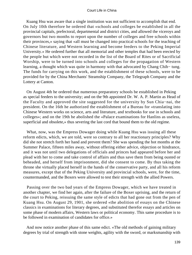Kuang Hsu was aware that a single institution was not sufficient to accomplish that end. On July 10th therefore he ordered that «schools and colleges be established in all the provincial capitals, prefectoral, departmental and district cities, and allowed the viceroys and governors but two months to report upon the number of colleges and free schools within their provinces,» saying that «all must be changed into practical schools for the teaching of Chinese literature, and Western learning and become feeders to the Peking Imperial University.» He ordered further that all memorial and other temples that had been erected by the people but which were not recorded in the list of the Board of Rites or of Sacrificial Worship, were to be turned into schools and colleges for the propagation of Western learning, a thought which was quite in harmony with that advocated by Chang Chih− tung. The funds for carrying on this work, and the establishment of these schools, were to be provided for by the China Merchants' Steamship Company, the Telegraph Company and the Lottery at Canton.

 On August 4th he ordered that numerous preparatory schools be established in Peking as special feeders to the university; and on the 9th appointed Dr. W. A. P. Martin as Head of the Faculty and approved the site suggested for the university by Sun Chia−nai, the president. On the 16th he authorized the establishment of a Bureau for «translating into Chinese Western works on science, arts and literature, and textbooks for use in schools and colleges»; and on the 19th he abolished the «Palace examinations for Hanlins as useless, superficial and obsolete,» thus severing the last cord that bound them to the old regime.

 What, now, was the Empress Dowager doing while Kuang Hsu was issuing all these reform edicts, which, we are told, were so contrary to all her reactionary principles? Why did she not stretch forth her hand and prevent them? She was spending the hot months at the Summer Palace, fifteen miles away, without offering either advice, objection or hindrance, and it was not until two delegations of officials and princes had appeared before her and plead with her to come and take control of affairs and thus save them from being ousted or beheaded, and herself from imprisonment, did she consent to come. By thus taking the throne she virtually placed herself in the hands of the conservative party, and all his reform measures, except that of the Peking University and provincial schools, were, for the time, countermanded, and the Boxers were allowed to test their strength with the allied Powers.

 Passing over the two bad years of the Empress Dowager, which we have treated in another chapter, we find her again, after the failure of the Boxer uprising, and the return of the court to Peking, reissuing the same style of edicts that had gone out from the pen of Kuang Hsu. On August 29, 1901, she ordered «the abolition of essays on the Chinese classics in examinations for literary degrees, and substituted therefor essays and articles on some phase of modern affairs, Western laws or political economy. This same procedure is to be followed in examination of candidates for office.»

 And now notice another phase of this same edict. «The old methods of gaining military degrees by trial of strength with stone weights, agility with the sword, or marksmanship with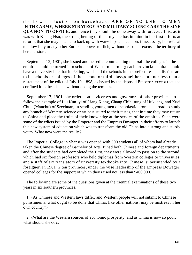the bow on foot or on horseback, **ARE OF NO USE TO MEN IN THE ARMY, WHERE STRATEGY AND MILITARY SCIENCE ARE THE SINE QUA NON TO OFFICE,** and hence they should be done away with forever.» It is, as it was with Kuang Hsu, the strengthening of the army she has in mind in her first efforts at reform, that she may be able to back up with war−ships and cannon, if necessary, her refusal to allow Italy or any other European power to filch, without reason or excuse, the territory of her ancestors.

 September 12, 1901, she issued another edict commanding that «all the colleges in the empire should be turned into schools of Western learning; each provincial capital should have a university like that in Peking, whilst all the schools in the prefectures and districts are to be schools or colleges of the second or third class,» neither more nor less than a restatement of the edict of July 10, 1898, as issued by the deposed Emperor, except that she confined it to the schools without taking the temples.

 September 17, 1901, she ordered «the viceroys and governors of other provinces to follow the example of Liu Kun−yi of Liang Kiang, Chang Chih−tung of Hukuang, and Kuei Chun (Manchu) of Szechuan, in sending young men of scholastic promise abroad to study any branch of Western science or art best suited to their tastes, that in time they may return to China and place the fruits of their knowledge at the service of the empire.» Such were some of the edicts issued by the Emperor and the Empress Dowager in their efforts to launch this new system of education which was to transform the old China into a strong and sturdy youth. What now were the results?

 The Imperial College in Shansi was opened with 300 students all of whom had already taken the Chinese degree of Bachelor of Arts. It had both Chinese and foreign departments, and after the students had completed the first, they were allowed to pass on to the second, which had six foreign professors who held diplomas from Western colleges or universities, and a staff of six translators of university textbooks into Chinese, superintended by a foreigner. In 1901−2 ten provinces, under the wise leadership of the Empress Dowager, opened colleges for the support of which they raised not less than \$400,000.

 The following are some of the questions given at the triennial examinations of these two years in six southern provinces:

 1. «As Chinese and Western laws differ, and Western people will not submit to Chinese punishments, what ought to be done that China, like other nations, may be mistress in her own country?»

 2. «What are the Western sources of economic prosperity, and as China is now so poor, what should she do?»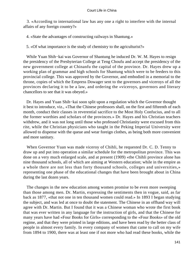3. «According to international law has any one a right to interfere with the internal affairs of any foreign country?»

4. «State the advantages of constructing railways in Shantung.»

5. «Of what importance is the study of chemistry to the agriculturist?»

 While Yuan Shih−kai was Governor of Shantung he induced Dr. W. M. Hayes to resign the presidency of the Presbyterian College at Teng Choufu and accept the presidency of the new government college at Chinanfu the capital of the province. Dr. Hayes drew up a working plan of grammar and high schools for Shantung which were to be feeders to this provincial college. This was approved by the Governor, and embodied in a memorial to the throne, copies of which the Empress Dowager sent to the governors and viceroys of all the provinces declaring it to be a law, and ordering the «viceroys, governors and literary chancellors to see that it was obeyed.»

 Dr. Hayes and Yuan Shih−kai soon split upon a regulation which the Governor thought it best to introduce, viz., «That the Chinese professors shall, on the first and fifteenth of each month, conduct their classes in reverential sacrifice to the Most Holy Confucius, and to all the former worthies and scholars of the provinces.» Dr. Hayes and his Christian teachers withdrew, and it was not long until those who professed Christianity were excused from this rite, while the Christian physicians who taught in the Peking Imperial University were allowed to dispense with the queue and wear foreign clothes, as being both more convenient and more sanitary.

 When Governor Yuan was made viceroy of Chihli, he requested Dr. C. D. Tenny to draw up and put into operation a similar schedule for the metropolitan province. This was done on a very much enlarged scale, and at present (1909) «the Chihli province alone has nine thousand schools, all of which are aiming at Western education; while in the empire as a whole there are not less than forty thousand schools, colleges and universities,» representing one phase of the educational changes that have been brought about in China during the last dozen years.

 The changes in the new education among women promise to be even more sweeping than those among men. Dr. Martin, expressing the sentiments then in vogue, said, as far back as 1877, «that not one in ten thousand women could read.» In 1893 I began studying the subject, and was led at once to doubt the statement. The Chinese in an offhand way will agree with Dr. Martin. But I found that it was a Chinese woman who wrote the first book that was ever written in any language for the instruction of girls, and that the Chinese for many years have had «Four Books for Girls» corresponding to the «Four Books» of the old regime, and that they were printed in large editions, and have been read by the better class of people in almost every family. In every company of women that came to call on my wife from 1894 to 1900, there was at least one if not more who had read these books, while the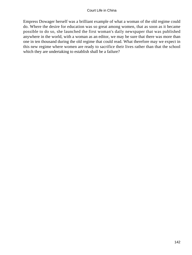Empress Dowager herself was a brilliant example of what a woman of the old regime could do. Where the desire for education was so great among women, that as soon as it became possible to do so, she launched the first woman's daily newspaper that was published anywhere in the world, with a woman as an editor, we may be sure that there was more than one in ten thousand during the old regime that could read. What therefore may we expect in this new regime where women are ready to sacrifice their lives rather than that the school which they are undertaking to establish shall be a failure?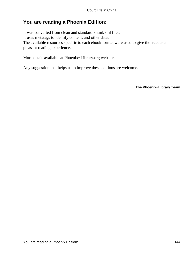## **You are reading a Phoenix Edition:**

It was converted from clean and standard xhtml/xml files. It uses metatags to identify content, and other data. The available resources specific to each ebook format were used to give the reader a pleasant reading experience.

More detais available at Phoenix−Library.org website.

Any suggestion that helps us to improve these editions are welcome.

**The Phoenix−Library Team**